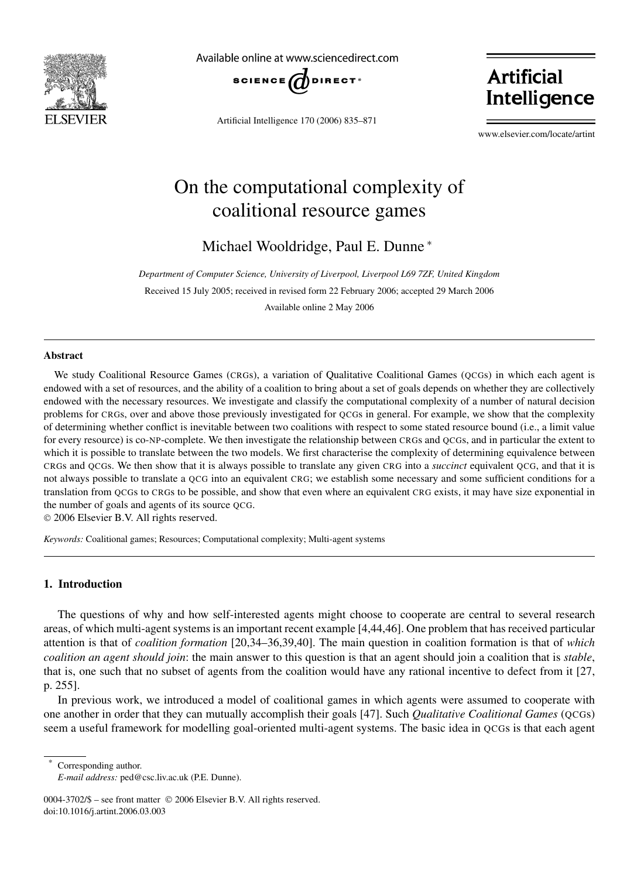

Available online at www.sciencedirect.com



Artificial Intelligence 170 (2006) 835–871

**Artificial** Intelligence

www.elsevier.com/locate/artint

# On the computational complexity of coalitional resource games

Michael Wooldridge, Paul E. Dunne <sup>∗</sup>

*Department of Computer Science, University of Liverpool, Liverpool L69 7ZF, United Kingdom* Received 15 July 2005; received in revised form 22 February 2006; accepted 29 March 2006 Available online 2 May 2006

## **Abstract**

We study Coalitional Resource Games (CRGs), a variation of Qualitative Coalitional Games (QCGs) in which each agent is endowed with a set of resources, and the ability of a coalition to bring about a set of goals depends on whether they are collectively endowed with the necessary resources. We investigate and classify the computational complexity of a number of natural decision problems for CRGs, over and above those previously investigated for QCGs in general. For example, we show that the complexity of determining whether conflict is inevitable between two coalitions with respect to some stated resource bound (i.e., a limit value for every resource) is co-NP-complete. We then investigate the relationship between CRGs and QCGs, and in particular the extent to which it is possible to translate between the two models. We first characterise the complexity of determining equivalence between CRGs and QCGs. We then show that it is always possible to translate any given CRG into a *succinct* equivalent QCG, and that it is not always possible to translate a QCG into an equivalent CRG; we establish some necessary and some sufficient conditions for a translation from QCGs to CRGs to be possible, and show that even where an equivalent CRG exists, it may have size exponential in the number of goals and agents of its source QCG.

© 2006 Elsevier B.V. All rights reserved.

*Keywords:* Coalitional games; Resources; Computational complexity; Multi-agent systems

# **1. Introduction**

The questions of why and how self-interested agents might choose to cooperate are central to several research areas, of which multi-agent systems is an important recent example [4,44,46]. One problem that has received particular attention is that of *coalition formation* [20,34–36,39,40]. The main question in coalition formation is that of *which coalition an agent should join*: the main answer to this question is that an agent should join a coalition that is *stable*, that is, one such that no subset of agents from the coalition would have any rational incentive to defect from it [27, p. 255].

In previous work, we introduced a model of coalitional games in which agents were assumed to cooperate with one another in order that they can mutually accomplish their goals [47]. Such *Qualitative Coalitional Games* (QCGs) seem a useful framework for modelling goal-oriented multi-agent systems. The basic idea in QCGs is that each agent

Corresponding author.

*E-mail address:* ped@csc.liv.ac.uk (P.E. Dunne).

<sup>0004-3702/\$ –</sup> see front matter © 2006 Elsevier B.V. All rights reserved. doi:10.1016/j.artint.2006.03.003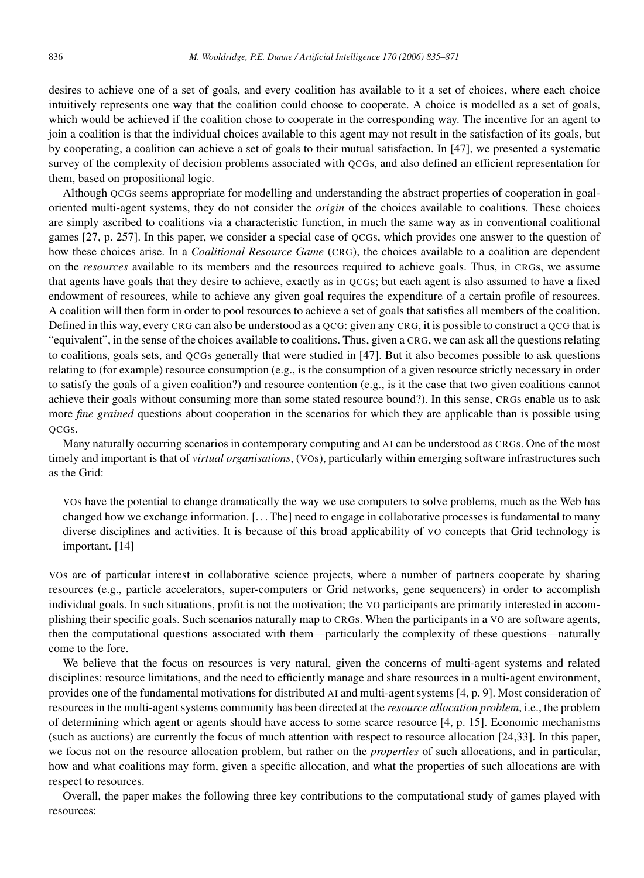desires to achieve one of a set of goals, and every coalition has available to it a set of choices, where each choice intuitively represents one way that the coalition could choose to cooperate. A choice is modelled as a set of goals, which would be achieved if the coalition chose to cooperate in the corresponding way. The incentive for an agent to join a coalition is that the individual choices available to this agent may not result in the satisfaction of its goals, but by cooperating, a coalition can achieve a set of goals to their mutual satisfaction. In [47], we presented a systematic survey of the complexity of decision problems associated with QCGs, and also defined an efficient representation for them, based on propositional logic.

Although QCGs seems appropriate for modelling and understanding the abstract properties of cooperation in goaloriented multi-agent systems, they do not consider the *origin* of the choices available to coalitions. These choices are simply ascribed to coalitions via a characteristic function, in much the same way as in conventional coalitional games [27, p. 257]. In this paper, we consider a special case of QCGs, which provides one answer to the question of how these choices arise. In a *Coalitional Resource Game* (CRG), the choices available to a coalition are dependent on the *resources* available to its members and the resources required to achieve goals. Thus, in CRGs, we assume that agents have goals that they desire to achieve, exactly as in QCGs; but each agent is also assumed to have a fixed endowment of resources, while to achieve any given goal requires the expenditure of a certain profile of resources. A coalition will then form in order to pool resources to achieve a set of goals that satisfies all members of the coalition. Defined in this way, every CRG can also be understood as a QCG: given any CRG, it is possible to construct a QCG that is "equivalent", in the sense of the choices available to coalitions. Thus, given a CRG, we can ask all the questions relating to coalitions, goals sets, and QCGs generally that were studied in [47]. But it also becomes possible to ask questions relating to (for example) resource consumption (e.g., is the consumption of a given resource strictly necessary in order to satisfy the goals of a given coalition?) and resource contention (e.g., is it the case that two given coalitions cannot achieve their goals without consuming more than some stated resource bound?). In this sense, CRGs enable us to ask more *fine grained* questions about cooperation in the scenarios for which they are applicable than is possible using OCG<sub>S</sub>.

Many naturally occurring scenarios in contemporary computing and AI can be understood as CRGs. One of the most timely and important is that of *virtual organisations*, (VOs), particularly within emerging software infrastructures such as the Grid:

VOs have the potential to change dramatically the way we use computers to solve problems, much as the Web has changed how we exchange information. [. . . The] need to engage in collaborative processes is fundamental to many diverse disciplines and activities. It is because of this broad applicability of VO concepts that Grid technology is important. [14]

VOs are of particular interest in collaborative science projects, where a number of partners cooperate by sharing resources (e.g., particle accelerators, super-computers or Grid networks, gene sequencers) in order to accomplish individual goals. In such situations, profit is not the motivation; the VO participants are primarily interested in accomplishing their specific goals. Such scenarios naturally map to CRGs. When the participants in a VO are software agents, then the computational questions associated with them—particularly the complexity of these questions—naturally come to the fore.

We believe that the focus on resources is very natural, given the concerns of multi-agent systems and related disciplines: resource limitations, and the need to efficiently manage and share resources in a multi-agent environment, provides one of the fundamental motivations for distributed AI and multi-agent systems [4, p. 9]. Most consideration of resources in the multi-agent systems community has been directed at the *resource allocation problem*, i.e., the problem of determining which agent or agents should have access to some scarce resource [4, p. 15]. Economic mechanisms (such as auctions) are currently the focus of much attention with respect to resource allocation [24,33]. In this paper, we focus not on the resource allocation problem, but rather on the *properties* of such allocations, and in particular, how and what coalitions may form, given a specific allocation, and what the properties of such allocations are with respect to resources.

Overall, the paper makes the following three key contributions to the computational study of games played with resources: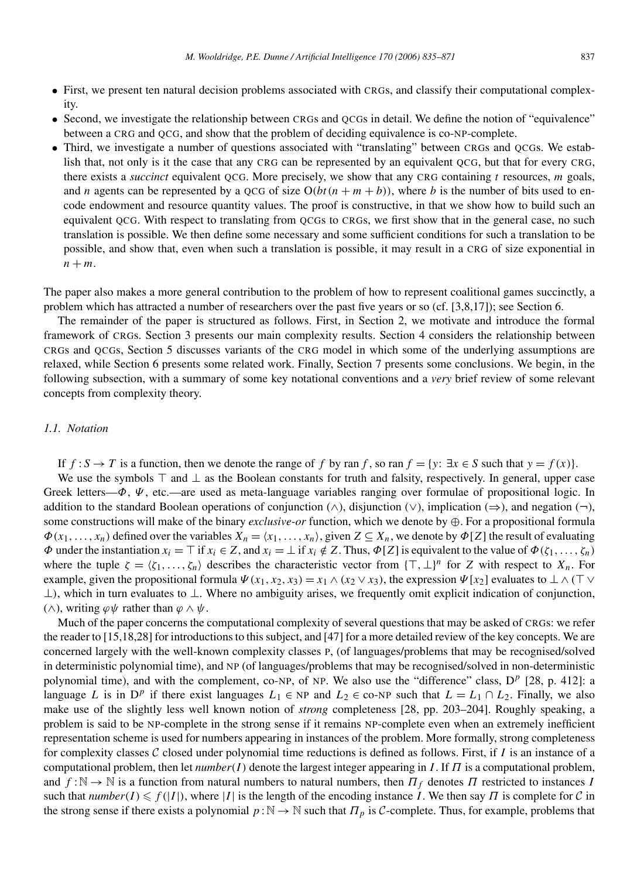- First, we present ten natural decision problems associated with CRGs, and classify their computational complexity.
- Second, we investigate the relationship between CRGs and QCGs in detail. We define the notion of "equivalence" between a CRG and QCG, and show that the problem of deciding equivalence is co-NP-complete.
- Third, we investigate a number of questions associated with "translating" between CRGs and QCGs. We establish that, not only is it the case that any CRG can be represented by an equivalent QCG, but that for every CRG, there exists a *succinct* equivalent QCG. More precisely, we show that any CRG containing *t* resources, *m* goals, and *n* agents can be represented by a QCG of size  $O(bt(n + m + b))$ , where *b* is the number of bits used to encode endowment and resource quantity values. The proof is constructive, in that we show how to build such an equivalent QCG. With respect to translating from QCGs to CRGs, we first show that in the general case, no such translation is possible. We then define some necessary and some sufficient conditions for such a translation to be possible, and show that, even when such a translation is possible, it may result in a CRG of size exponential in  $n + m$ .

The paper also makes a more general contribution to the problem of how to represent coalitional games succinctly, a problem which has attracted a number of researchers over the past five years or so (cf. [3,8,17]); see Section 6.

The remainder of the paper is structured as follows. First, in Section 2, we motivate and introduce the formal framework of CRGs. Section 3 presents our main complexity results. Section 4 considers the relationship between CRGs and QCGs, Section 5 discusses variants of the CRG model in which some of the underlying assumptions are relaxed, while Section 6 presents some related work. Finally, Section 7 presents some conclusions. We begin, in the following subsection, with a summary of some key notational conventions and a *very* brief review of some relevant concepts from complexity theory.

# *1.1. Notation*

If *f* : *S* → *T* is a function, then we denote the range of *f* by ran *f*, so ran *f* = {*y*: ∃*x* ∈ *S* such that *y* = *f*(*x*)}. We use the symbols  $\top$  and  $\bot$  as the Boolean constants for truth and falsity, respectively. In general, upper case Greek letters—*Φ*, *Ψ* , etc.—are used as meta-language variables ranging over formulae of propositional logic. In addition to the standard Boolean operations of conjunction (∧), disjunction ( $\vee$ ), implication ( $\Rightarrow$ ), and negation (¬), some constructions will make of the binary *exclusive-or* function, which we denote by ⊕. For a propositional formula  $\Phi(x_1, \ldots, x_n)$  defined over the variables  $X_n = \langle x_1, \ldots, x_n \rangle$ , given  $Z \subseteq X_n$ , we denote by  $\Phi[Z]$  the result of evaluating  $\Phi$  under the instantiation  $x_i = \text{T}$  if  $x_i \in Z$ , and  $x_i = \text{T}$  if  $x_i \notin Z$ . Thus,  $\Phi[Z]$  is equivalent to the value of  $\Phi(\zeta_1, \ldots, \zeta_n)$ where the tuple  $\zeta = \langle \zeta_1, \ldots, \zeta_n \rangle$  describes the characteristic vector from  $\{\top, \bot\}^n$  for *Z* with respect to  $X_n$ . For example, given the propositional formula *Ψ (x*1*,x*2*,x*3*)* = *x*<sup>1</sup> ∧ *(x*<sup>2</sup> ∨ *x*3*)*, the expression *Ψ*[*x*2] evaluates to ⊥ ∧ *(* ∨ ⊥*)*, which in turn evaluates to ⊥. Where no ambiguity arises, we frequently omit explicit indication of conjunction,

(∧), writing *ϕψ* rather than *ϕ* ∧ *ψ*.

Much of the paper concerns the computational complexity of several questions that may be asked of CRGs: we refer the reader to [15,18,28] for introductions to this subject, and [47] for a more detailed review of the key concepts. We are concerned largely with the well-known complexity classes P, (of languages/problems that may be recognised/solved in deterministic polynomial time), and NP (of languages/problems that may be recognised/solved in non-deterministic polynomial time), and with the complement, co-NP, of NP. We also use the "difference" class, D*<sup>p</sup>* [28, p. 412]: a language *L* is in D<sup>*p*</sup> if there exist languages  $L_1 \in NP$  and  $L_2 \in \text{co-NP}$  such that  $L = L_1 \cap L_2$ . Finally, we also make use of the slightly less well known notion of *strong* completeness [28, pp. 203–204]. Roughly speaking, a problem is said to be NP-complete in the strong sense if it remains NP-complete even when an extremely inefficient representation scheme is used for numbers appearing in instances of the problem. More formally, strong completeness for complexity classes C closed under polynomial time reductions is defined as follows. First, if *I* is an instance of a computational problem, then let *number(I)* denote the largest integer appearing in *I* . If *Π* is a computational problem, and  $f : \mathbb{N} \to \mathbb{N}$  is a function from natural numbers to natural numbers, then  $\Pi_f$  denotes  $\Pi$  restricted to instances  $I$ such that  $number(I) \leq f(|I|)$ , where  $|I|$  is the length of the encoding instance *I*. We then say *Π* is complete for *C* in the strong sense if there exists a polynomial  $p : \mathbb{N} \to \mathbb{N}$  such that  $\Pi_p$  is C-complete. Thus, for example, problems that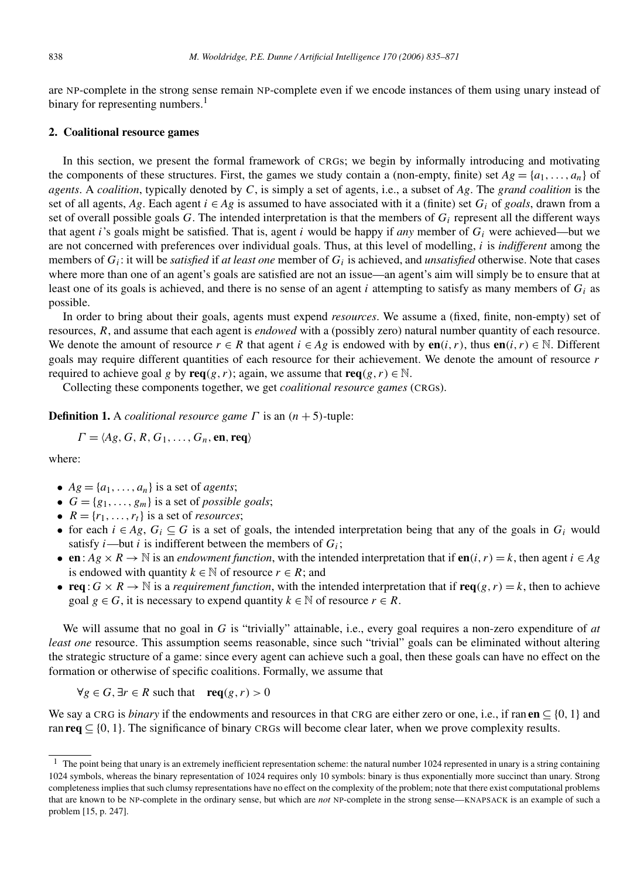are NP-complete in the strong sense remain NP-complete even if we encode instances of them using unary instead of binary for representing numbers.<sup>1</sup>

## **2. Coalitional resource games**

In this section, we present the formal framework of CRGs; we begin by informally introducing and motivating the components of these structures. First, the games we study contain a (non-empty, finite) set  $Ag = \{a_1, \ldots, a_n\}$  of *agents*. A *coalition*, typically denoted by *C*, is simply a set of agents, i.e., a subset of *Ag*. The *grand coalition* is the set of all agents, Ag. Each agent  $i \in Ag$  is assumed to have associated with it a (finite) set  $G_i$  of goals, drawn from a set of overall possible goals  $G$ . The intended interpretation is that the members of  $G_i$  represent all the different ways that agent *i*'s goals might be satisfied. That is, agent *i* would be happy if *any* member of *Gi* were achieved—but we are not concerned with preferences over individual goals. Thus, at this level of modelling, *i* is *indifferent* among the members of *Gi*: it will be *satisfied* if *at least one* member of *Gi* is achieved, and *unsatisfied* otherwise. Note that cases where more than one of an agent's goals are satisfied are not an issue—an agent's aim will simply be to ensure that at least one of its goals is achieved, and there is no sense of an agent *i* attempting to satisfy as many members of *Gi* as possible.

In order to bring about their goals, agents must expend *resources*. We assume a (fixed, finite, non-empty) set of resources, *R*, and assume that each agent is *endowed* with a (possibly zero) natural number quantity of each resource. We denote the amount of resource  $r \in R$  that agent  $i \in Ag$  is endowed with by  $en(i, r)$ , thus  $en(i, r) \in \mathbb{N}$ . Different goals may require different quantities of each resource for their achievement. We denote the amount of resource *r* required to achieve goal *g* by **req** $(g, r)$ ; again, we assume that **req** $(g, r) \in \mathbb{N}$ .

Collecting these components together, we get *coalitional resource games* (CRGs).

**Definition 1.** A *coalitional resource game*  $\Gamma$  is an  $(n + 5)$ -tuple:

 $\Gamma = \langle Ag, G, R, G_1, \ldots, G_n, \textbf{en}, \textbf{req} \rangle$ 

where:

- $Ag = \{a_1, \ldots, a_n\}$  is a set of *agents*;
- $G = \{g_1, \ldots, g_m\}$  is a set of *possible goals*;
- $R = \{r_1, \ldots, r_t\}$  is a set of *resources*;
- for each  $i \in Ag$ ,  $G_i \subseteq G$  is a set of goals, the intended interpretation being that any of the goals in  $G_i$  would satisfy *i*—but *i* is indifferent between the members of  $G_i$ ;
- **en**:  $Ag \times R \rightarrow \mathbb{N}$  is an *endowment function*, with the intended interpretation that if **en** $(i, r) = k$ , then agent  $i \in Ag$ is endowed with quantity  $k \in \mathbb{N}$  of resource  $r \in R$ ; and
- **req**:  $G \times R \to \mathbb{N}$  is a *requirement function*, with the intended interpretation that if **req** $(g, r) = k$ , then to achieve *goal g* ∈ *G*, it is necessary to expend quantity  $k \in \mathbb{N}$  of resource  $r \in R$ .

We will assume that no goal in *G* is "trivially" attainable, i.e., every goal requires a non-zero expenditure of *at least one* resource. This assumption seems reasonable, since such "trivial" goals can be eliminated without altering the strategic structure of a game: since every agent can achieve such a goal, then these goals can have no effect on the formation or otherwise of specific coalitions. Formally, we assume that

 $∀g ∈ G, ∃r ∈ R$  such that **req** $(g, r) > 0$ 

We say a CRG is *binary* if the endowments and resources in that CRG are either zero or one, i.e., if ran **en**  $\subseteq$  {0, 1} and ran **req**  $\subseteq$  {0, 1}. The significance of binary CRGs will become clear later, when we prove complexity results.

 $<sup>1</sup>$  The point being that unary is an extremely inefficient representation scheme: the natural number 1024 represented in unary is a string containing</sup> 1024 symbols, whereas the binary representation of 1024 requires only 10 symbols: binary is thus exponentially more succinct than unary. Strong completeness implies that such clumsy representations have no effect on the complexity of the problem; note that there exist computational problems that are known to be NP-complete in the ordinary sense, but which are *not* NP-complete in the strong sense—KNAPSACK is an example of such a problem [15, p. 247].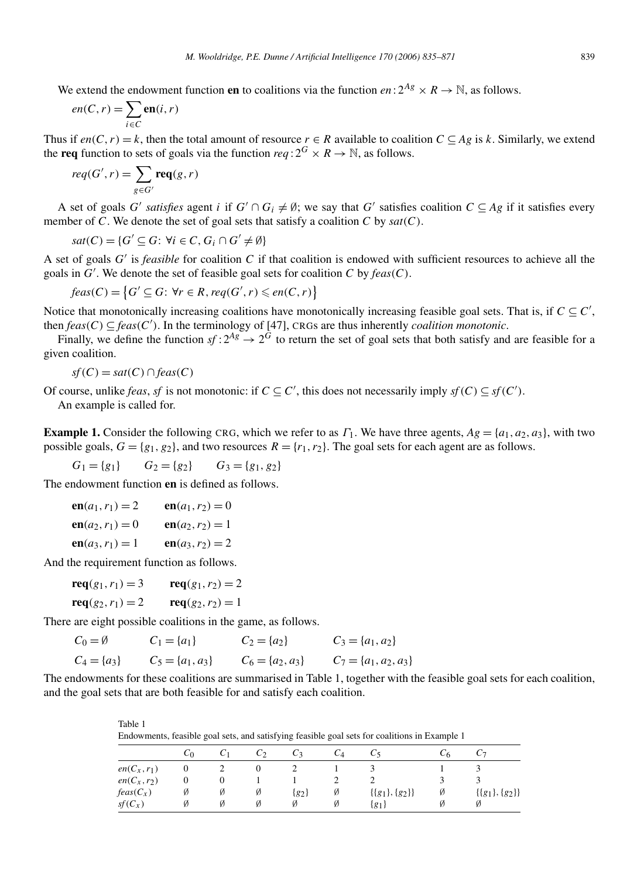We extend the endowment function **en** to coalitions via the function  $en: 2^{Ag} \times R \rightarrow \mathbb{N}$ , as follows.

$$
en(C,r) = \sum_{i \in C} \mathbf{en}(i,r)
$$

Thus if  $en(C, r) = k$ , then the total amount of resource  $r \in R$  available to coalition  $C \subseteq Ag$  is *k*. Similarly, we extend the **req** function to sets of goals via the function  $req: 2^G \times R \rightarrow \mathbb{N}$ , as follows.

$$
req(G', r) = \sum_{g \in G'} \text{req}(g, r)
$$

A set of goals *G'* satisfies agent *i* if  $G' \cap G_i \neq \emptyset$ ; we say that *G'* satisfies coalition  $C \subseteq Ag$  if it satisfies every member of *C*. We denote the set of goal sets that satisfy a coalition *C* by *sat(C)*.

$$
sat(C) = \{G' \subseteq G \colon \forall i \in C, G_i \cap G' \neq \emptyset\}
$$

A set of goals *G* is *feasible* for coalition *C* if that coalition is endowed with sufficient resources to achieve all the goals in *G* . We denote the set of feasible goal sets for coalition *C* by *feas(C)*.

$$
feas(C) = \{G' \subseteq G: \forall r \in R, \text{req}(G', r) \leqslant en(C, r)\}
$$

Notice that monotonically increasing coalitions have monotonically increasing feasible goal sets. That is, if  $C \subseteq C'$ , then  $feas(C) \subseteq feas(C')$ . In the terminology of [47], CRGs are thus inherently *coalition monotonic*.

Finally, we define the function  $s f : 2^{Ag} \rightarrow 2^{\tilde{G}}$  to return the set of goal sets that both satisfy and are feasible for a given coalition.

 $sf(C) = sat(C) ∩ feas(C)$ 

Of course, unlike *feas*, *sf* is not monotonic: if  $C \subseteq C'$ , this does not necessarily imply  $sf(C) \subseteq sf(C')$ . An example is called for.

**Example 1.** Consider the following CRG, which we refer to as  $\Gamma_1$ . We have three agents,  $Ag = \{a_1, a_2, a_3\}$ , with two possible goals,  $G = \{g_1, g_2\}$ , and two resources  $R = \{r_1, r_2\}$ . The goal sets for each agent are as follows.

 $G_1 = \{g_1\}$   $G_2 = \{g_2\}$   $G_3 = \{g_1, g_2\}$ 

The endowment function **en** is defined as follows.

| $en(a_1, r_1) = 2$ | $en(a_1, r_2) = 0$ |
|--------------------|--------------------|
| $en(a_2, r_1) = 0$ | $en(a_2, r_2) = 1$ |
| $en(a_3, r_1) = 1$ | $en(a_3, r_2) = 2$ |

And the requirement function as follows.

Table 1

$$
req(g_1, r_1) = 3 \treq(g_1, r_2) = 2
$$
  

$$
req(g_2, r_1) = 2 \treq(g_2, r_2) = 1
$$

There are eight possible coalitions in the game, as follows.

| $C_0 = \emptyset$ | $C_1 = \{a_1\}$      | $C_2 = \{a_2\}$      | $C_3 = \{a_1, a_2\}$      |
|-------------------|----------------------|----------------------|---------------------------|
| $C_4 = \{a_3\}$   | $C_5 = \{a_1, a_3\}$ | $C_6 = \{a_2, a_3\}$ | $C_7 = \{a_1, a_2, a_3\}$ |

The endowments for these coalitions are summarised in Table 1, together with the feasible goal sets for each coalition, and the goal sets that are both feasible for and satisfy each coalition.

Endowments, feasible goal sets, and satisfying feasible goal sets for coalitions in Example 1

|                       | UΩ | U1 | ပေ | $C_3$     | $\mathsf{C}_A$ | しょ                     |   |                        |  |
|-----------------------|----|----|----|-----------|----------------|------------------------|---|------------------------|--|
| $en(C_x, r_1)$        |    |    |    |           |                |                        |   |                        |  |
| $en(C_x, r_2)$        |    |    |    |           |                |                        |   |                        |  |
| feas(C <sub>x</sub> ) | Ø  | Ø  | Ø  | $\{g_2\}$ | Ø              | $\{\{g_1\},\{g_2\}\}\$ | Ø | $\{\{g_1\},\{g_2\}\}\$ |  |
| $sf(C_x)$             | Ø  | Ø  | n  | Ø         | Ø              | ${g_1}$                | Ø | n                      |  |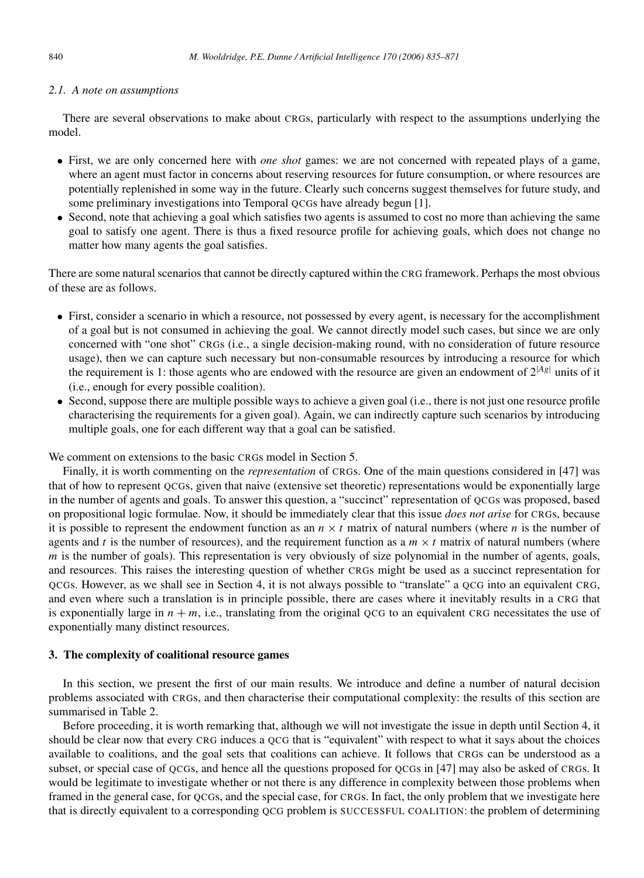## *2.1. A note on assumptions*

There are several observations to make about CRGs, particularly with respect to the assumptions underlying the model.

- First, we are only concerned here with *one shot* games: we are not concerned with repeated plays of a game, where an agent must factor in concerns about reserving resources for future consumption, or where resources are potentially replenished in some way in the future. Clearly such concerns suggest themselves for future study, and some preliminary investigations into Temporal QCGs have already begun [1].
- Second, note that achieving a goal which satisfies two agents is assumed to cost no more than achieving the same goal to satisfy one agent. There is thus a fixed resource profile for achieving goals, which does not change no matter how many agents the goal satisfies.

There are some natural scenarios that cannot be directly captured within the CRG framework. Perhaps the most obvious of these are as follows.

- First, consider a scenario in which a resource, not possessed by every agent, is necessary for the accomplishment of a goal but is not consumed in achieving the goal. We cannot directly model such cases, but since we are only concerned with "one shot" CRGs (i.e., a single decision-making round, with no consideration of future resource usage), then we can capture such necessary but non-consumable resources by introducing a resource for which the requirement is 1: those agents who are endowed with the resource are given an endowment of  $2^{|Ag|}$  units of it (i.e., enough for every possible coalition).
- Second, suppose there are multiple possible ways to achieve a given goal (i.e., there is not just one resource profile characterising the requirements for a given goal). Again, we can indirectly capture such scenarios by introducing multiple goals, one for each different way that a goal can be satisfied.

We comment on extensions to the basic CRGs model in Section 5.

Finally, it is worth commenting on the *representation* of CRGs. One of the main questions considered in [47] was that of how to represent QCGs, given that naive (extensive set theoretic) representations would be exponentially large in the number of agents and goals. To answer this question, a "succinct" representation of QCGs was proposed, based on propositional logic formulae. Now, it should be immediately clear that this issue *does not arise* for CRGs, because it is possible to represent the endowment function as an  $n \times t$  matrix of natural numbers (where *n* is the number of agents and *t* is the number of resources), and the requirement function as a  $m \times t$  matrix of natural numbers (where *m* is the number of goals). This representation is very obviously of size polynomial in the number of agents, goals, and resources. This raises the interesting question of whether CRGs might be used as a succinct representation for QCGs. However, as we shall see in Section 4, it is not always possible to "translate" a QCG into an equivalent CRG, and even where such a translation is in principle possible, there are cases where it inevitably results in a CRG that is exponentially large in  $n + m$ , i.e., translating from the original QCG to an equivalent CRG necessitates the use of exponentially many distinct resources.

# **3. The complexity of coalitional resource games**

In this section, we present the first of our main results. We introduce and define a number of natural decision problems associated with CRGs, and then characterise their computational complexity: the results of this section are summarised in Table 2.

Before proceeding, it is worth remarking that, although we will not investigate the issue in depth until Section 4, it should be clear now that every CRG induces a QCG that is "equivalent" with respect to what it says about the choices available to coalitions, and the goal sets that coalitions can achieve. It follows that CRGs can be understood as a subset, or special case of QCGs, and hence all the questions proposed for QCGs in [47] may also be asked of CRGs. It would be legitimate to investigate whether or not there is any difference in complexity between those problems when framed in the general case, for QCGs, and the special case, for CRGs. In fact, the only problem that we investigate here that is directly equivalent to a corresponding QCG problem is SUCCESSFUL COALITION: the problem of determining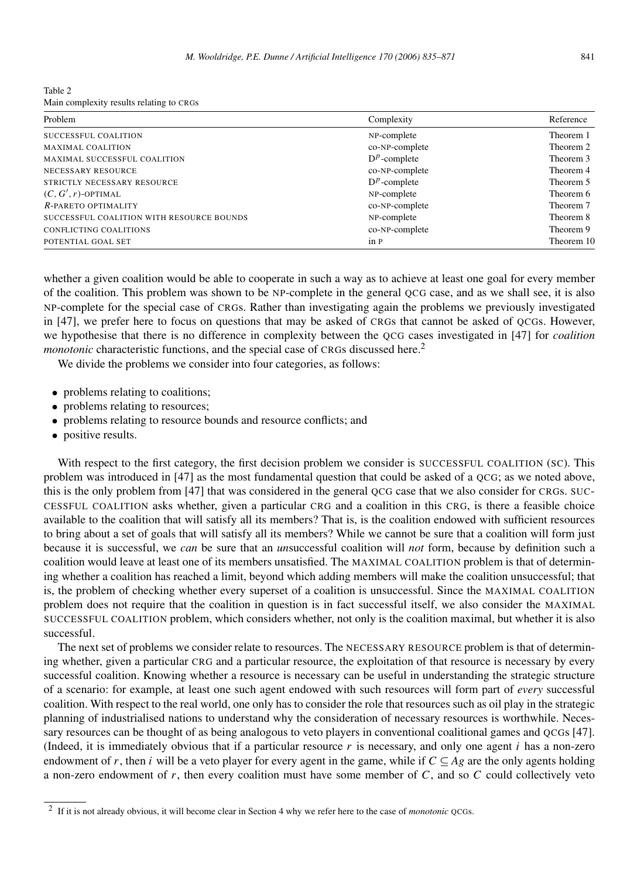Table 2 Main complexity results relating to CRGs

| Problem                                   | Complexity      | Reference  |  |
|-------------------------------------------|-----------------|------------|--|
| SUCCESSFUL COALITION                      | NP-complete     | Theorem 1  |  |
| <b>MAXIMAL COALITION</b>                  | co-NP-complete  | Theorem 2  |  |
| MAXIMAL SUCCESSFUL COALITION              | $D^p$ -complete | Theorem 3  |  |
| <b>NECESSARY RESOURCE</b>                 | co-NP-complete  | Theorem 4  |  |
| STRICTLY NECESSARY RESOURCE               | $D^p$ -complete | Theorem 5  |  |
| $(C, G', r)$ -OPTIMAL                     | NP-complete     | Theorem 6  |  |
| R-PARETO OPTIMALITY                       | co-NP-complete  | Theorem 7  |  |
| SUCCESSFUL COALITION WITH RESOURCE BOUNDS | NP-complete     | Theorem 8  |  |
| <b>CONFLICTING COALITIONS</b>             | co-NP-complete  | Theorem 9  |  |
| POTENTIAL GOAL SET                        | in P            | Theorem 10 |  |

whether a given coalition would be able to cooperate in such a way as to achieve at least one goal for every member of the coalition. This problem was shown to be NP-complete in the general QCG case, and as we shall see, it is also NP-complete for the special case of CRGs. Rather than investigating again the problems we previously investigated in [47], we prefer here to focus on questions that may be asked of CRGs that cannot be asked of QCGs. However, we hypothesise that there is no difference in complexity between the QCG cases investigated in [47] for *coalition monotonic* characteristic functions, and the special case of CRGs discussed here.<sup>2</sup>

We divide the problems we consider into four categories, as follows:

- problems relating to coalitions;
- problems relating to resources;
- problems relating to resource bounds and resource conflicts; and
- positive results.

With respect to the first category, the first decision problem we consider is SUCCESSFUL COALITION (SC). This problem was introduced in [47] as the most fundamental question that could be asked of a QCG; as we noted above, this is the only problem from [47] that was considered in the general QCG case that we also consider for CRGs. SUC-CESSFUL COALITION asks whether, given a particular CRG and a coalition in this CRG, is there a feasible choice available to the coalition that will satisfy all its members? That is, is the coalition endowed with sufficient resources to bring about a set of goals that will satisfy all its members? While we cannot be sure that a coalition will form just because it is successful, we *can* be sure that an *un*successful coalition will *not* form, because by definition such a coalition would leave at least one of its members unsatisfied. The MAXIMAL COALITION problem is that of determining whether a coalition has reached a limit, beyond which adding members will make the coalition unsuccessful; that is, the problem of checking whether every superset of a coalition is unsuccessful. Since the MAXIMAL COALITION problem does not require that the coalition in question is in fact successful itself, we also consider the MAXIMAL SUCCESSFUL COALITION problem, which considers whether, not only is the coalition maximal, but whether it is also successful.

The next set of problems we consider relate to resources. The NECESSARY RESOURCE problem is that of determining whether, given a particular CRG and a particular resource, the exploitation of that resource is necessary by every successful coalition. Knowing whether a resource is necessary can be useful in understanding the strategic structure of a scenario: for example, at least one such agent endowed with such resources will form part of *every* successful coalition. With respect to the real world, one only has to consider the role that resources such as oil play in the strategic planning of industrialised nations to understand why the consideration of necessary resources is worthwhile. Necessary resources can be thought of as being analogous to veto players in conventional coalitional games and QCGs [47]. (Indeed, it is immediately obvious that if a particular resource *r* is necessary, and only one agent *i* has a non-zero endowment of *r*, then *i* will be a veto player for every agent in the game, while if  $C \subseteq Ag$  are the only agents holding a non-zero endowment of *r*, then every coalition must have some member of *C*, and so *C* could collectively veto

<sup>2</sup> If it is not already obvious, it will become clear in Section 4 why we refer here to the case of *monotonic* QCGs.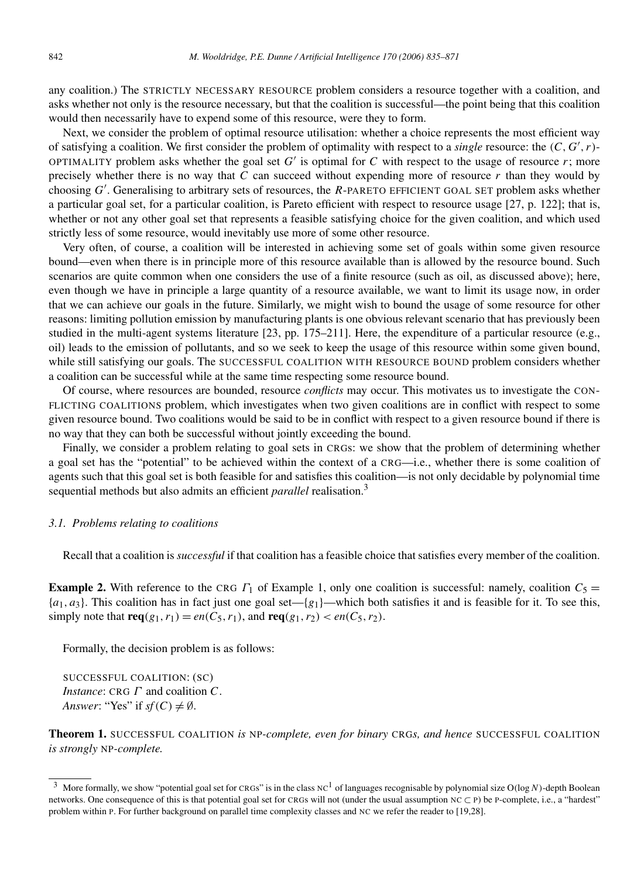any coalition.) The STRICTLY NECESSARY RESOURCE problem considers a resource together with a coalition, and asks whether not only is the resource necessary, but that the coalition is successful—the point being that this coalition would then necessarily have to expend some of this resource, were they to form.

Next, we consider the problem of optimal resource utilisation: whether a choice represents the most efficient way of satisfying a coalition. We first consider the problem of optimality with respect to a *single* resource: the  $(C, G', r)$ -OPTIMALITY problem asks whether the goal set  $G'$  is optimal for  $C$  with respect to the usage of resource  $r$ ; more precisely whether there is no way that *C* can succeed without expending more of resource *r* than they would by choosing *G* . Generalising to arbitrary sets of resources, the *R*-PARETO EFFICIENT GOAL SET problem asks whether a particular goal set, for a particular coalition, is Pareto efficient with respect to resource usage [27, p. 122]; that is, whether or not any other goal set that represents a feasible satisfying choice for the given coalition, and which used strictly less of some resource, would inevitably use more of some other resource.

Very often, of course, a coalition will be interested in achieving some set of goals within some given resource bound—even when there is in principle more of this resource available than is allowed by the resource bound. Such scenarios are quite common when one considers the use of a finite resource (such as oil, as discussed above); here, even though we have in principle a large quantity of a resource available, we want to limit its usage now, in order that we can achieve our goals in the future. Similarly, we might wish to bound the usage of some resource for other reasons: limiting pollution emission by manufacturing plants is one obvious relevant scenario that has previously been studied in the multi-agent systems literature [23, pp. 175–211]. Here, the expenditure of a particular resource (e.g., oil) leads to the emission of pollutants, and so we seek to keep the usage of this resource within some given bound, while still satisfying our goals. The SUCCESSFUL COALITION WITH RESOURCE BOUND problem considers whether a coalition can be successful while at the same time respecting some resource bound.

Of course, where resources are bounded, resource *conflicts* may occur. This motivates us to investigate the CON-FLICTING COALITIONS problem, which investigates when two given coalitions are in conflict with respect to some given resource bound. Two coalitions would be said to be in conflict with respect to a given resource bound if there is no way that they can both be successful without jointly exceeding the bound.

Finally, we consider a problem relating to goal sets in CRGs: we show that the problem of determining whether a goal set has the "potential" to be achieved within the context of a CRG—i.e., whether there is some coalition of agents such that this goal set is both feasible for and satisfies this coalition—is not only decidable by polynomial time sequential methods but also admits an efficient *parallel* realisation.3

## *3.1. Problems relating to coalitions*

Recall that a coalition is *successful* if that coalition has a feasible choice that satisfies every member of the coalition.

**Example 2.** With reference to the CRG  $\Gamma_1$  of Example 1, only one coalition is successful: namely, coalition  $C_5$  =  $\{a_1, a_3\}$ . This coalition has in fact just one goal set— $\{g_1\}$ —which both satisfies it and is feasible for it. To see this, simply note that **req**( $g_1, r_1$ ) =  $en(C_5, r_1)$ , and **req**( $g_1, r_2$ ) <  $en(C_5, r_2)$ .

Formally, the decision problem is as follows:

SUCCESSFUL COALITION: (SC) *Instance*: CRG *Γ* and coalition *C*. *Answer*: "Yes" if  $sf(C) \neq \emptyset$ .

**Theorem 1.** SUCCESSFUL COALITION *is* NP*-complete, even for binary* CRG*s, and hence* SUCCESSFUL COALITION *is strongly* NP*-complete.*

 $3$  More formally, we show "potential goal set for CRGs" is in the class NC<sup>1</sup> of languages recognisable by polynomial size O(log N)-depth Boolean networks. One consequence of this is that potential goal set for CRGs will not (under the usual assumption NC ⊂ P) be P-complete, i.e., a "hardest" problem within P. For further background on parallel time complexity classes and NC we refer the reader to [19,28].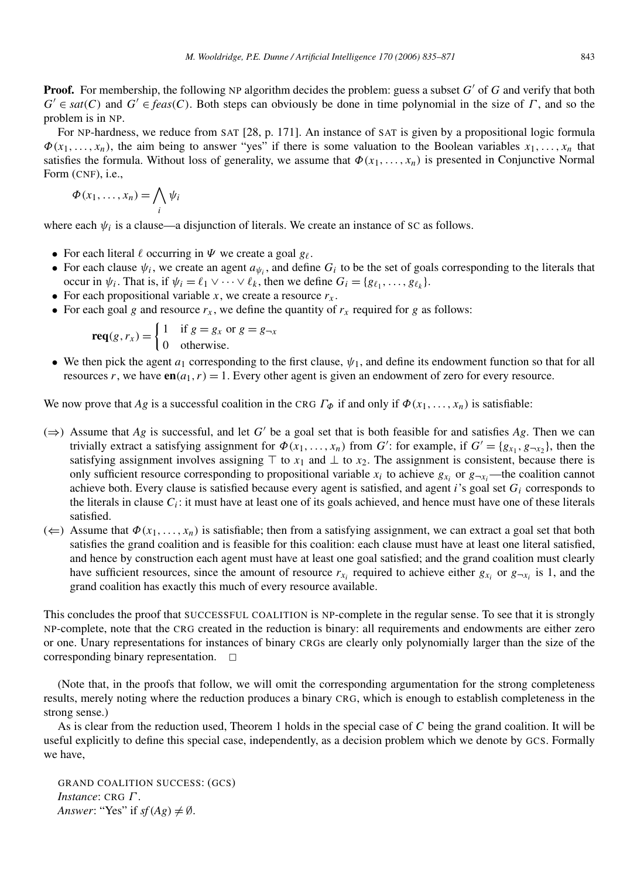**Proof.** For membership, the following NP algorithm decides the problem: guess a subset  $G'$  of  $G$  and verify that both *G* ∈ *sat(C)* and *G* ∈ *feas(C)*. Both steps can obviously be done in time polynomial in the size of *Γ* , and so the problem is in NP.

For NP-hardness, we reduce from SAT [28, p. 171]. An instance of SAT is given by a propositional logic formula  $\Phi(x_1, \ldots, x_n)$ , the aim being to answer "yes" if there is some valuation to the Boolean variables  $x_1, \ldots, x_n$  that satisfies the formula. Without loss of generality, we assume that  $\Phi(x_1, \ldots, x_n)$  is presented in Conjunctive Normal Form (CNF), i.e.,

$$
\Phi(x_1,\ldots,x_n)=\bigwedge_i\psi_i
$$

where each  $\psi_i$  is a clause—a disjunction of literals. We create an instance of SC as follows.

- For each literal  $\ell$  occurring in  $\Psi$  we create a goal  $g_{\ell}$ .
- For each clause  $\psi_i$ , we create an agent  $a_{\psi_i}$ , and define  $G_i$  to be the set of goals corresponding to the literals that occur in  $\psi_i$ . That is, if  $\psi_i = \ell_1 \vee \cdots \vee \ell_k$ , then we define  $G_i = \{g_{\ell_1}, \ldots, g_{\ell_k}\}.$
- For each propositional variable  $x$ , we create a resource  $r<sub>x</sub>$ .
- For each goal *g* and resource  $r_x$ , we define the quantity of  $r_x$  required for *g* as follows:

$$
\operatorname{req}(g, r_x) = \begin{cases} 1 & \text{if } g = g_x \text{ or } g = g_{\neg x} \\ 0 & \text{otherwise.} \end{cases}
$$

• We then pick the agent  $a_1$  corresponding to the first clause,  $\psi_1$ , and define its endowment function so that for all resources *r*, we have  $en(a_1, r) = 1$ . Every other agent is given an endowment of zero for every resource.

We now prove that *Ag* is a successful coalition in the CRG  $\Gamma_{\Phi}$  if and only if  $\Phi(x_1, \ldots, x_n)$  is satisfiable:

- ( $\Rightarrow$ ) Assume that *Ag* is successful, and let *G'* be a goal set that is both feasible for and satisfies *Ag*. Then we can trivially extract a satisfying assignment for  $\Phi(x_1, \ldots, x_n)$  from *G*': for example, if  $G' = \{g_{x_1}, g_{\neg x_2}\}\$ , then the satisfying assignment involves assigning  $\top$  to *x*<sub>1</sub> and  $\bot$  to *x*<sub>2</sub>. The assignment is consistent, because there is only sufficient resource corresponding to propositional variable  $x_i$  to achieve  $g_{x_i}$  or  $g_{\neg x_i}$ —the coalition cannot achieve both. Every clause is satisfied because every agent is satisfied, and agent *i*'s goal set *Gi* corresponds to the literals in clause  $C_i$ : it must have at least one of its goals achieved, and hence must have one of these literals satisfied.
- $(\Leftarrow)$  Assume that  $\Phi(x_1, \ldots, x_n)$  is satisfiable; then from a satisfying assignment, we can extract a goal set that both satisfies the grand coalition and is feasible for this coalition: each clause must have at least one literal satisfied, and hence by construction each agent must have at least one goal satisfied; and the grand coalition must clearly have sufficient resources, since the amount of resource  $r_{x_i}$  required to achieve either  $g_{x_i}$  or  $g_{\neg x_i}$  is 1, and the grand coalition has exactly this much of every resource available.

This concludes the proof that SUCCESSFUL COALITION is NP-complete in the regular sense. To see that it is strongly NP-complete, note that the CRG created in the reduction is binary: all requirements and endowments are either zero or one. Unary representations for instances of binary CRGs are clearly only polynomially larger than the size of the corresponding binary representation.  $\Box$ 

(Note that, in the proofs that follow, we will omit the corresponding argumentation for the strong completeness results, merely noting where the reduction produces a binary CRG, which is enough to establish completeness in the strong sense.)

As is clear from the reduction used, Theorem 1 holds in the special case of *C* being the grand coalition. It will be useful explicitly to define this special case, independently, as a decision problem which we denote by GCS. Formally we have,

GRAND COALITION SUCCESS: (GCS) *Instance*: CRG *Γ* . *Answer*: "Yes" if  $sf(Ag) \neq \emptyset$ .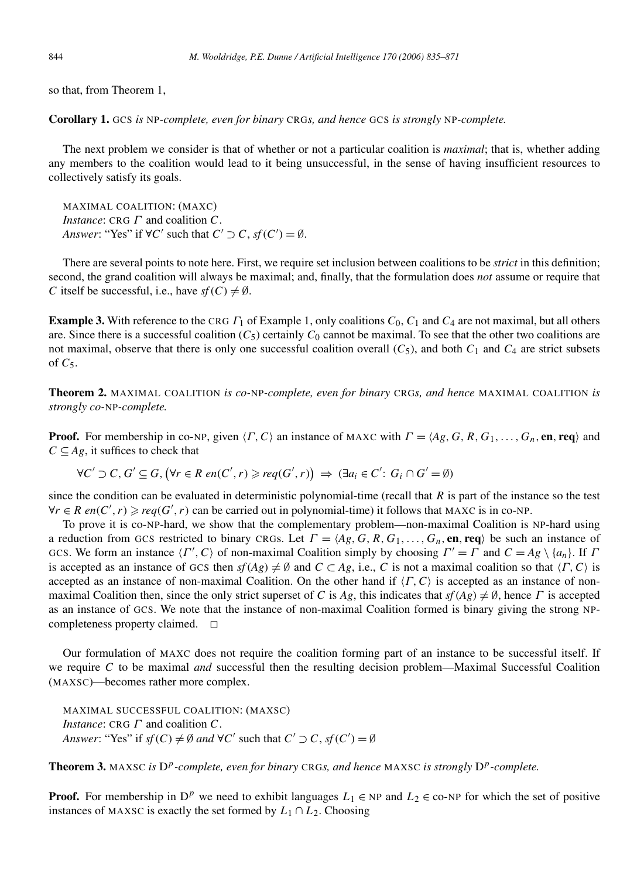so that, from Theorem 1,

**Corollary 1.** GCS *is* NP*-complete, even for binary* CRG*s, and hence* GCS *is strongly* NP*-complete.*

The next problem we consider is that of whether or not a particular coalition is *maximal*; that is, whether adding any members to the coalition would lead to it being unsuccessful, in the sense of having insufficient resources to collectively satisfy its goals.

MAXIMAL COALITION: (MAXC) *Instance*: CRG *Γ* and coalition *C*. *Answer*: "Yes" if  $\forall C'$  such that  $C' \supset C$ ,  $sf(C') = \emptyset$ .

There are several points to note here. First, we require set inclusion between coalitions to be *strict* in this definition; second, the grand coalition will always be maximal; and, finally, that the formulation does *not* assume or require that *C* itself be successful, i.e., have  $sf(C) \neq \emptyset$ .

**Example 3.** With reference to the CRG  $\Gamma_1$  of Example 1, only coalitions  $C_0$ ,  $C_1$  and  $C_4$  are not maximal, but all others are. Since there is a successful coalition  $(C_5)$  certainly  $C_0$  cannot be maximal. To see that the other two coalitions are not maximal, observe that there is only one successful coalition overall  $(C_5)$ , and both  $C_1$  and  $C_4$  are strict subsets of  $C_5$ .

**Theorem 2.** MAXIMAL COALITION *is co-*NP*-complete, even for binary* CRG*s, and hence* MAXIMAL COALITION *is strongly co-*NP*-complete.*

**Proof.** For membership in co-NP, given  $\langle \Gamma, C \rangle$  an instance of MAXC with  $\Gamma = \langle Ag, G, R, G_1, \ldots, G_n, e_n, \text{req} \rangle$  and  $C \subseteq Ag$ , it suffices to check that

 $\forall$ *C'*  $\supset$  *C*,  $G' \subseteq G$ ,  $(\forall r \in R \text{ en } (C', r) \geqslant \text{req}(G', r)) \implies (\exists a_i \in C' : G_i \cap G' = \emptyset)$ 

since the condition can be evaluated in deterministic polynomial-time (recall that *R* is part of the instance so the test  $\forall r \in R$  *en*(*C'*, *r*)  $\ge$  *req*(*G'*, *r*) can be carried out in polynomial-time) it follows that MAXC is in co-NP.

To prove it is co-NP-hard, we show that the complementary problem—non-maximal Coalition is NP-hard using a reduction from GCS restricted to binary CRGs. Let  $\Gamma = \langle Ag, G, R, G_1, \ldots, G_n, \text{en}, \text{req} \rangle$  be such an instance of GCS. We form an instance  $\langle \Gamma', \Gamma \rangle$  of non-maximal Coalition simply by choosing  $\Gamma' = \Gamma$  and  $C = Ag \setminus \{a_n\}$ . If *Γ* is accepted as an instance of GCS then  $s f(Ag) \neq \emptyset$  and  $C \subset Ag$ , i.e., C is not a maximal coalition so that  $\langle \Gamma, C \rangle$  is accepted as an instance of non-maximal Coalition. On the other hand if  $\langle \Gamma, C \rangle$  is accepted as an instance of nonmaximal Coalition then, since the only strict superset of *C* is *Ag*, this indicates that  $s f(Ag) \neq \emptyset$ , hence *Γ* is accepted as an instance of GCS. We note that the instance of non-maximal Coalition formed is binary giving the strong NPcompleteness property claimed.  $\square$ 

Our formulation of MAXC does not require the coalition forming part of an instance to be successful itself. If we require *C* to be maximal *and* successful then the resulting decision problem—Maximal Successful Coalition (MAXSC)—becomes rather more complex.

MAXIMAL SUCCESSFUL COALITION: (MAXSC) *Instance*: CRG *Γ* and coalition *C*. *Answer*: "Yes" if *sf* $(C) \neq \emptyset$  *and*  $\forall C'$  such that  $C' \supset C$ , *sf* $(C') = \emptyset$ 

**Theorem 3.** MAXSC *is* D*p-complete, even for binary* CRG*s, and hence* MAXSC *is strongly* D*p-complete.*

**Proof.** For membership in D<sup>*p*</sup> we need to exhibit languages  $L_1 \in NP$  and  $L_2 \in \text{co-NP}$  for which the set of positive instances of MAXSC is exactly the set formed by  $L_1 \cap L_2$ . Choosing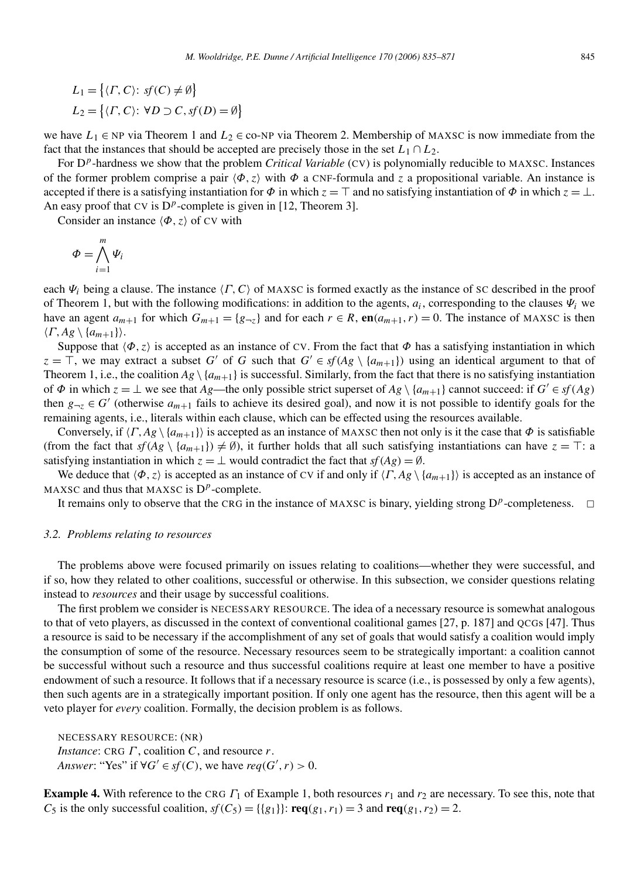$$
L_1 = \{ \langle \Gamma, C \rangle : sf(C) \neq \emptyset \}
$$
  

$$
L_2 = \{ \langle \Gamma, C \rangle : \forall D \supset C, sf(D) = \emptyset \}
$$

we have *L*<sup>1</sup> ∈ NP via Theorem 1 and *L*<sup>2</sup> ∈ co-NP via Theorem 2. Membership of MAXSC is now immediate from the fact that the instances that should be accepted are precisely those in the set  $L_1 \cap L_2$ .

For D*p*-hardness we show that the problem *Critical Variable* (CV) is polynomially reducible to MAXSC. Instances of the former problem comprise a pair  $\langle \Phi, z \rangle$  with  $\Phi$  a CNF-formula and *z* a propositional variable. An instance is accepted if there is a satisfying instantiation for  $\Phi$  in which  $z = \top$  and no satisfying instantiation of  $\Phi$  in which  $z = \bot$ . An easy proof that CV is  $D^p$ -complete is given in [12, Theorem 3].

Consider an instance  $\langle \Phi, z \rangle$  of CV with

$$
\Phi = \bigwedge_{i=1}^m \Psi_i
$$

each  $\Psi_i$  being a clause. The instance  $\langle \Gamma, C \rangle$  of MAXSC is formed exactly as the instance of SC described in the proof of Theorem 1, but with the following modifications: in addition to the agents, *ai*, corresponding to the clauses *Ψi* we have an agent  $a_{m+1}$  for which  $G_{m+1} = \{g_{\neg z}\}\$  and for each  $r \in R$ ,  $\mathbf{en}(a_{m+1}, r) = 0$ . The instance of MAXSC is then  $\langle \Gamma, Ag \setminus \{a_{m+1}\}\rangle$ .

Suppose that  $\langle \Phi, z \rangle$  is accepted as an instance of CV. From the fact that  $\Phi$  has a satisfying instantiation in which  $z = \top$ , we may extract a subset *G'* of *G* such that  $G' \in sf(Ag \setminus \{a_{m+1}\})$  using an identical argument to that of Theorem 1, i.e., the coalition  $Ag \ (a_{m+1})$  is successful. Similarly, from the fact that there is no satisfying instantiation of  $\Phi$  in which  $z = \bot$  we see that *Ag*—the only possible strict superset of  $Ag \setminus \{a_{m+1}\}\)$  cannot succeed: if  $G' \in sf(Ag)$ then  $g_{\neg z} \in G'$  (otherwise  $a_{m+1}$  fails to achieve its desired goal), and now it is not possible to identify goals for the remaining agents, i.e., literals within each clause, which can be effected using the resources available.

Conversely, if  $\langle \Gamma, Ag \setminus \{a_{m+1}\}\rangle$  is accepted as an instance of MAXSC then not only is it the case that  $\Phi$  is satisfiable (from the fact that  $sf(Ag \setminus \{a_{m+1}\}) \neq \emptyset$ ), it further holds that all such satisfying instantiations can have  $z = \top$ : a satisfying instantiation in which  $z = \perp$  would contradict the fact that  $sf(Ag) = \emptyset$ .

We deduce that  $\langle \Phi, z \rangle$  is accepted as an instance of CV if and only if  $\langle \Gamma, Ag \setminus \{a_{m+1}\}\rangle$  is accepted as an instance of MAXSC and thus that MAXSC is  $D^p$ -complete.

It remains only to observe that the CRG in the instance of MAXSC is binary, yielding strong  $D^p$ -completeness.  $\Box$ 

## *3.2. Problems relating to resources*

The problems above were focused primarily on issues relating to coalitions—whether they were successful, and if so, how they related to other coalitions, successful or otherwise. In this subsection, we consider questions relating instead to *resources* and their usage by successful coalitions.

The first problem we consider is NECESSARY RESOURCE. The idea of a necessary resource is somewhat analogous to that of veto players, as discussed in the context of conventional coalitional games [27, p. 187] and QCGs [47]. Thus a resource is said to be necessary if the accomplishment of any set of goals that would satisfy a coalition would imply the consumption of some of the resource. Necessary resources seem to be strategically important: a coalition cannot be successful without such a resource and thus successful coalitions require at least one member to have a positive endowment of such a resource. It follows that if a necessary resource is scarce (i.e., is possessed by only a few agents), then such agents are in a strategically important position. If only one agent has the resource, then this agent will be a veto player for *every* coalition. Formally, the decision problem is as follows.

NECESSARY RESOURCE: (NR) *Instance*: CRG *Γ* , coalition *C*, and resource *r*. *Answer*: "Yes" if  $\forall G' \in \mathit{sf}(C)$ , we have  $\mathit{req}(G', r) > 0$ .

**Example 4.** With reference to the CRG  $\Gamma_1$  of Example 1, both resources  $r_1$  and  $r_2$  are necessary. To see this, note that *C*<sub>5</sub> is the only successful coalition,  $sf(C_5) = \{ {g_1} \}$ : **req** $(g_1, r_1) = 3$  and **req** $(g_1, r_2) = 2$ .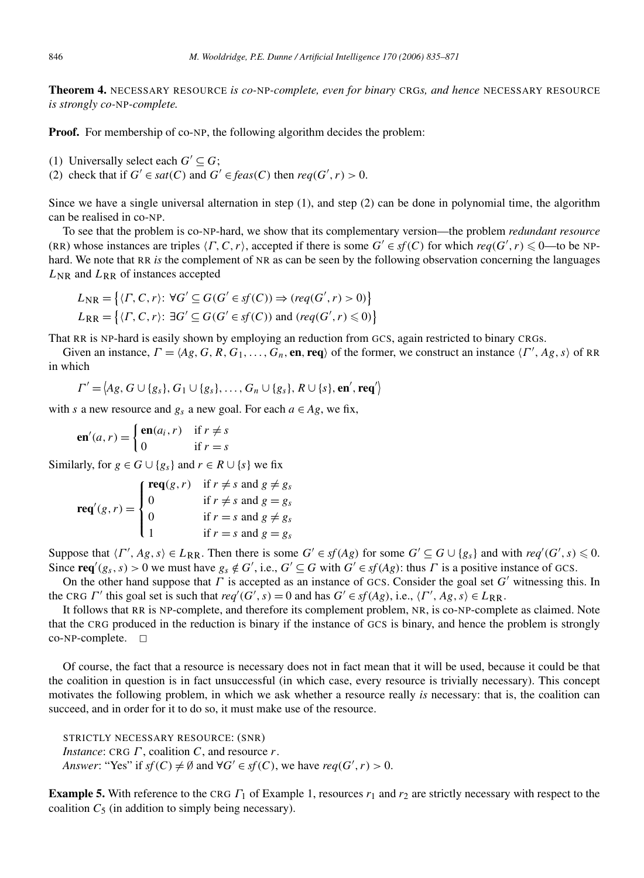**Theorem 4.** NECESSARY RESOURCE *is co-*NP*-complete, even for binary* CRG*s, and hence* NECESSARY RESOURCE *is strongly co-*NP*-complete.*

**Proof.** For membership of co-NP, the following algorithm decides the problem:

(1) Universally select each  $G' \subseteq G$ ;

(2) check that if  $G' \in sat(C)$  and  $G' \in feas(C)$  then  $req(G', r) > 0$ .

Since we have a single universal alternation in step  $(1)$ , and step  $(2)$  can be done in polynomial time, the algorithm can be realised in co-NP.

To see that the problem is co-NP-hard, we show that its complementary version—the problem *redundant resource*  $(RR)$  whose instances are triples  $\langle \Gamma, C, r \rangle$ , accepted if there is some  $G' \in sf(C)$  for which  $req(G', r) \leq 0$ —to be NPhard. We note that RR *is* the complement of NR as can be seen by the following observation concerning the languages *L*NR and *L*RR of instances accepted

$$
L_{\rm NR} = \{ \langle \Gamma, C, r \rangle: \forall G' \subseteq G(G' \in sf(C)) \Rightarrow (req(G', r) > 0) \}
$$
  

$$
L_{\rm RR} = \{ \langle \Gamma, C, r \rangle: \exists G' \subseteq G(G' \in sf(C)) \text{ and } (req(G', r) \leq 0) \}
$$

That RR is NP-hard is easily shown by employing an reduction from GCS, again restricted to binary CRGs.

Given an instance,  $\Gamma = \langle Ag, G, R, G_1, \ldots, G_n, \text{en}, \text{req} \rangle$  of the former, we construct an instance  $\langle \Gamma', Ag, s \rangle$  of RR in which

$$
\Gamma' = \langle Ag, G \cup \{g_s\}, G_1 \cup \{g_s\}, \ldots, G_n \cup \{g_s\}, R \cup \{s\}, en', req'\rangle
$$

with *s* a new resource and  $g_s$  a new goal. For each  $a \in Ag$ , we fix,

$$
\mathbf{en}'(a,r) = \begin{cases} \mathbf{en}(a_i,r) & \text{if } r \neq s \\ 0 & \text{if } r = s \end{cases}
$$

Similarly, for  $g \in G \cup \{g_s\}$  and  $r \in R \cup \{s\}$  we fix

$$
\operatorname{req}'(g, r) = \begin{cases} \operatorname{req}(g, r) & \text{if } r \neq s \text{ and } g \neq g_s \\ 0 & \text{if } r \neq s \text{ and } g = g_s \\ 0 & \text{if } r = s \text{ and } g \neq g_s \\ 1 & \text{if } r = s \text{ and } g = g_s \end{cases}
$$

Suppose that  $\langle \Gamma', Ag, s \rangle \in L_{RR}$ . Then there is some  $G' \in sf(Ag)$  for some  $G' \subseteq G \cup \{g_s\}$  and with  $req'(G', s) \leq 0$ . Since **req**<sup> $\prime$ </sup>(g<sub>s</sub>, s) > 0 we must have  $g_s \notin G'$ , i.e.,  $G' \subseteq G$  with  $G' \in sf(Ag)$ : thus  $\Gamma$  is a positive instance of GCS.

On the other hand suppose that *Γ* is accepted as an instance of GCS. Consider the goal set *G* witnessing this. In the CRG *Γ'* this goal set is such that  $req'(G', s) = 0$  and has  $G' \in sf(Ag)$ , i.e.,  $\langle \Gamma', Ag, s \rangle \in L_{RR}$ .

It follows that RR is NP-complete, and therefore its complement problem, NR, is co-NP-complete as claimed. Note that the CRG produced in the reduction is binary if the instance of GCS is binary, and hence the problem is strongly  $co-NP$ -complete.  $\square$ 

Of course, the fact that a resource is necessary does not in fact mean that it will be used, because it could be that the coalition in question is in fact unsuccessful (in which case, every resource is trivially necessary). This concept motivates the following problem, in which we ask whether a resource really *is* necessary: that is, the coalition can succeed, and in order for it to do so, it must make use of the resource.

STRICTLY NECESSARY RESOURCE: (SNR) *Instance*: CRG *Γ* , coalition *C*, and resource *r*. *Answer*: "Yes" if *sf*(*C*)  $\neq$  Ø and  $\forall$ *G'*  $\in$  *sf*(*C*), we have *req*(*G'*, *r*) > 0.

**Example 5.** With reference to the CRG  $\Gamma_1$  of Example 1, resources  $r_1$  and  $r_2$  are strictly necessary with respect to the coalition  $C_5$  (in addition to simply being necessary).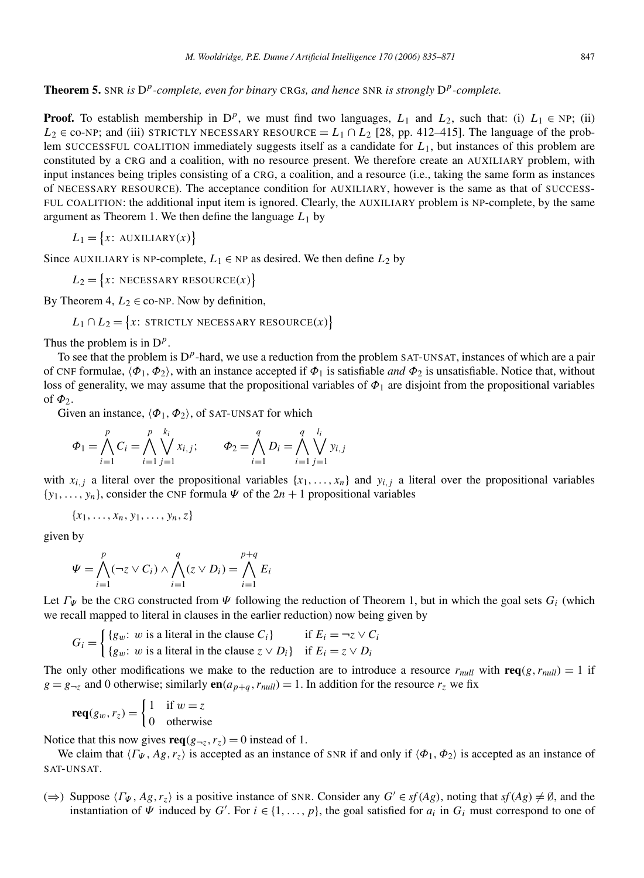**Theorem 5.** SNR *is* D*p-complete, even for binary* CRG*s, and hence* SNR *is strongly* D*p-complete.*

**Proof.** To establish membership in  $D^p$ , we must find two languages,  $L_1$  and  $L_2$ , such that: (i)  $L_1 \in NP$ ; (ii)  $L_2 \in \text{co-NP}$ ; and (iii) STRICTLY NECESSARY RESOURCE =  $L_1 \cap L_2$  [28, pp. 412–415]. The language of the problem SUCCESSFUL COALITION immediately suggests itself as a candidate for *L*1, but instances of this problem are constituted by a CRG and a coalition, with no resource present. We therefore create an AUXILIARY problem, with input instances being triples consisting of a CRG, a coalition, and a resource (i.e., taking the same form as instances of NECESSARY RESOURCE). The acceptance condition for AUXILIARY, however is the same as that of SUCCESS-FUL COALITION: the additional input item is ignored. Clearly, the AUXILIARY problem is NP-complete, by the same argument as Theorem 1. We then define the language  $L_1$  by

$$
L_1 = \{x: \text{AUXILIARY}(x)\}
$$

Since AUXILIARY is NP-complete,  $L_1 \in NP$  as desired. We then define  $L_2$  by

 $L_2 = \{x: \text{NECESSARY RESOURCE}(x)\}$ 

By Theorem 4,  $L_2 \in \text{co-NP}$ . Now by definition,

$$
L_1 \cap L_2 = \{x: \text{STRICTLY NECESSARY RESOURCE}(x)\}
$$

Thus the problem is in  $D^p$ .

To see that the problem is  $D^p$ -hard, we use a reduction from the problem SAT-UNSAT, instances of which are a pair of CNF formulae,  $\langle \Phi_1, \Phi_2 \rangle$ , with an instance accepted if  $\Phi_1$  is satisfiable *and*  $\Phi_2$  is unsatisfiable. Notice that, without loss of generality, we may assume that the propositional variables of *Φ*<sup>1</sup> are disjoint from the propositional variables of  $\Phi_2$ .

Given an instance,  $\langle \Phi_1, \Phi_2 \rangle$ , of SAT-UNSAT for which

$$
\Phi_1 = \bigwedge_{i=1}^p C_i = \bigwedge_{i=1}^p \bigvee_{j=1}^{k_i} x_{i,j}; \qquad \Phi_2 = \bigwedge_{i=1}^q D_i = \bigwedge_{i=1}^q \bigvee_{j=1}^{l_i} y_{i,j}
$$

with  $x_{i,j}$  a literal over the propositional variables  $\{x_1, \ldots, x_n\}$  and  $y_{i,j}$  a literal over the propositional variables  $\{y_1, \ldots, y_n\}$ , consider the CNF formula  $\Psi$  of the  $2n + 1$  propositional variables

$$
\{x_1,\ldots,x_n,y_1,\ldots,y_n,z\}
$$

given by

$$
\Psi = \bigwedge_{i=1}^p (\neg z \lor C_i) \land \bigwedge_{i=1}^q (z \lor D_i) = \bigwedge_{i=1}^{p+q} E_i
$$

Let *ΓΨ* be the CRG constructed from *Ψ* following the reduction of Theorem 1, but in which the goal sets *Gi* (which we recall mapped to literal in clauses in the earlier reduction) now being given by

$$
G_i = \begin{cases} \{g_w : w \text{ is a literal in the clause } C_i\} & \text{if } E_i = \neg z \lor C_i \\ \{g_w : w \text{ is a literal in the clause } z \lor D_i\} & \text{if } E_i = z \lor D_i \end{cases}
$$

The only other modifications we make to the reduction are to introduce a resource  $r_{null}$  with  $req(g, r_{null}) = 1$  if  $g = g_{\neg z}$  and 0 otherwise; similarly **en** $(a_{p+q}, r_{null}) = 1$ . In addition for the resource  $r_z$  we fix

$$
\operatorname{req}(g_w, r_z) = \begin{cases} 1 & \text{if } w = z \\ 0 & \text{otherwise} \end{cases}
$$

Notice that this now gives **req** $(g_{\neg z}, r_z) = 0$  instead of 1.

We claim that  $\langle \Gamma_{\Psi}, A g, r_z \rangle$  is accepted as an instance of SNR if and only if  $\langle \Phi_1, \Phi_2 \rangle$  is accepted as an instance of SAT-UNSAT.

 $(\Rightarrow)$  Suppose  $\langle \Gamma_{\Psi}, Ag, r_{z} \rangle$  is a positive instance of SNR. Consider any  $G' \in sf(Ag)$ , noting that  $sf(Ag) \neq \emptyset$ , and the instantiation of  $\Psi$  induced by  $G'$ . For  $i \in \{1, ..., p\}$ , the goal satisfied for  $a_i$  in  $G_i$  must correspond to one of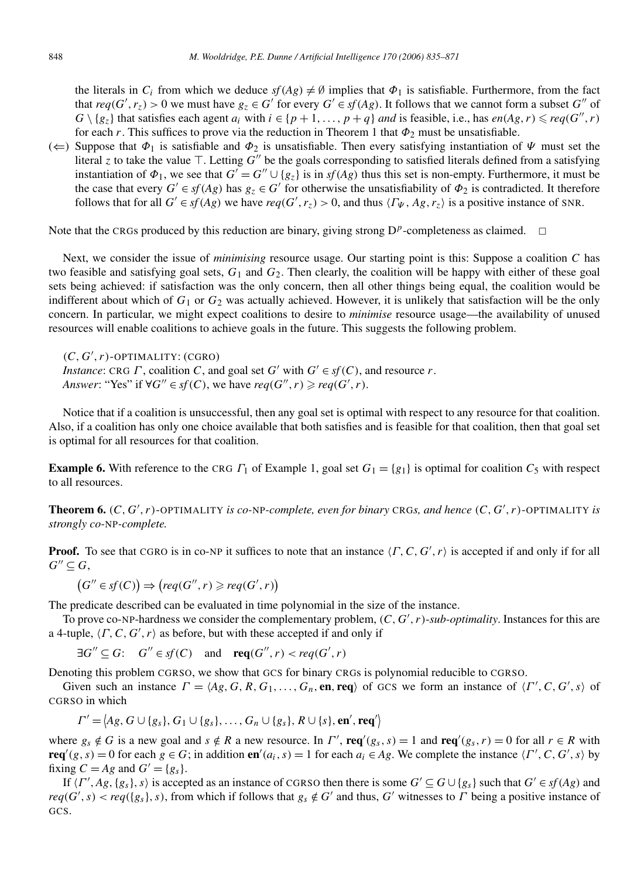the literals in  $C_i$  from which we deduce  $sf(Ag) \neq \emptyset$  implies that  $\Phi_1$  is satisfiable. Furthermore, from the fact that  $req(G', r_z) > 0$  we must have  $g_z \in G'$  for every  $G' \in sf(Ag)$ . It follows that we cannot form a subset  $G''$  of *G*  $\setminus \{g_z\}$  that satisfies each agent *a<sub>i</sub>* with *i* ∈ {*p* + 1, ..., *p* + *q*} *and* is feasible, i.e., has *en*(*Ag*, *r*) ≤ *req*(*G*<sup>*n*</sup>, *r*) for each *r*. This suffices to prove via the reduction in Theorem 1 that  $\Phi_2$  must be unsatisfiable.

(⇐) Suppose that *Φ*<sup>1</sup> is satisfiable and *Φ*<sup>2</sup> is unsatisfiable. Then every satisfying instantiation of *Ψ* must set the literal *z* to take the value  $\top$ . Letting *G*<sup>"</sup> be the goals corresponding to satisfied literals defined from a satisfying instantiation of  $\Phi_1$ , we see that  $G' = G'' \cup \{g_{z}\}\$ is in  $sf(Ag)$  thus this set is non-empty. Furthermore, it must be the case that every  $G' \in sf(Ag)$  has  $g_z \in G'$  for otherwise the unsatisfiability of  $\Phi_2$  is contradicted. It therefore follows that for all  $G' \in sf(Ag)$  we have  $req(G', r_z) > 0$ , and thus  $\langle \Gamma_{\Psi}, Ag, r_z \rangle$  is a positive instance of SNR.

Note that the CRGs produced by this reduction are binary, giving strong  $D^p$ -completeness as claimed.  $\Box$ 

Next, we consider the issue of *minimising* resource usage. Our starting point is this: Suppose a coalition *C* has two feasible and satisfying goal sets,  $G_1$  and  $G_2$ . Then clearly, the coalition will be happy with either of these goal sets being achieved: if satisfaction was the only concern, then all other things being equal, the coalition would be indifferent about which of  $G_1$  or  $G_2$  was actually achieved. However, it is unlikely that satisfaction will be the only concern. In particular, we might expect coalitions to desire to *minimise* resource usage—the availability of unused resources will enable coalitions to achieve goals in the future. This suggests the following problem.

*(C,G ,r)*-OPTIMALITY: (CGRO) *Instance*: CRG *Γ*, coalition *C*, and goal set *G'* with  $G' \in sf(C)$ , and resource *r*. *Answer*: "Yes" if  $\forall G'' \in s f(C)$ , we have  $req(G'', r) \geqslant req(G', r)$ .

Notice that if a coalition is unsuccessful, then any goal set is optimal with respect to any resource for that coalition. Also, if a coalition has only one choice available that both satisfies and is feasible for that coalition, then that goal set is optimal for all resources for that coalition.

**Example 6.** With reference to the CRG  $\Gamma_1$  of Example 1, goal set  $G_1 = \{g_1\}$  is optimal for coalition  $C_5$  with respect to all resources.

**Theorem 6.** *(C,G ,r)*-OPTIMALITY *is co-*NP*-complete, even for binary* CRG*s, and hence (C,G ,r)*-OPTIMALITY *is strongly co-*NP*-complete.*

**Proof.** To see that CGRO is in co-NP it suffices to note that an instance  $\langle \Gamma, C, G', r \rangle$  is accepted if and only if for all  $G'' \subseteq G$ ,

$$
(G'' \in sf(C)) \Rightarrow (req(G'', r) \geq req(G', r))
$$

The predicate described can be evaluated in time polynomial in the size of the instance.

To prove co-NP-hardness we consider the complementary problem, *(C,G ,r)*-*sub-optimality*. Instances for this are a 4-tuple,  $\langle \Gamma, C, G', r \rangle$  as before, but with these accepted if and only if

 $\exists G'' \subseteq G$ :  $G'' \in \mathit{sf}(C)$  and  $\text{req}(G'', r) < \mathit{req}(G', r)$ 

Denoting this problem CGRSO, we show that GCS for binary CRGs is polynomial reducible to CGRSO.

Given such an instance  $\Gamma = \langle Ag, G, R, G_1, \ldots, G_n, \text{en}, \text{req} \rangle$  of GCS we form an instance of  $\langle \Gamma', C, G', s \rangle$  of CGRSO in which

$$
\Gamma' = \langle Ag, G \cup \{g_s\}, G_1 \cup \{g_s\}, \ldots, G_n \cup \{g_s\}, R \cup \{s\}, en', req'\rangle
$$

where  $g_s \notin G$  is a new goal and  $s \notin R$  a new resource. In  $\Gamma'$ , **req**' $(g_s, s) = 1$  and **req'** $(g_s, r) = 0$  for all  $r \in R$  with **req**<sup> $\prime$ </sup>(*g,s*) = 0 for each *g*  $\in$  *G*; in addition **en**<sup> $\prime$ </sup>(*a<sub>i</sub>, s*) = 1 for each *a<sub>i</sub>*  $\in$  *Ag*. We complete the instance  $\langle \Gamma', C, G', s \rangle$  by fixing  $C = Ag$  and  $G' = \{g_s\}.$ 

If  $\langle \Gamma', Ag, \{g_s\}, s \rangle$  is accepted as an instance of CGRSO then there is some  $G' \subseteq G \cup \{g_s\}$  such that  $G' \in sf(Ag)$  and  $req(G', s) < req({g_s}, s)$ , from which if follows that  $g_s \notin G'$  and thus,  $G'$  witnesses to  $\Gamma$  being a positive instance of GCS.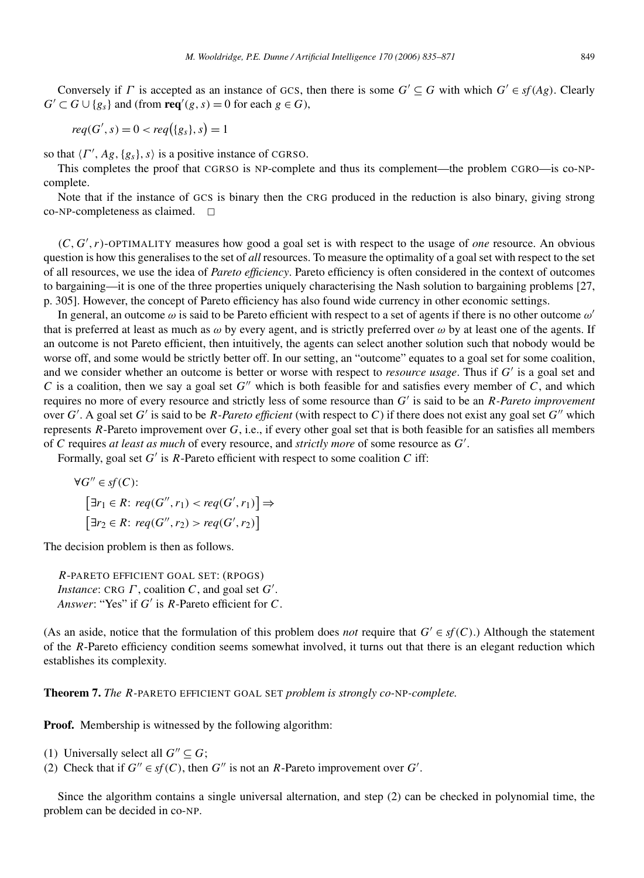Conversely if *Γ* is accepted as an instance of GCS, then there is some  $G' \subseteq G$  with which  $G' \in sf(Ag)$ . Clearly  $G' \subset G \cup \{g_s\}$  and (from **req'** $(g, s) = 0$  for each  $g \in G$ ),

$$
req(G', s) = 0 < req(\lbrace g_s \rbrace, s) = 1
$$

so that  $\langle \Gamma', Ag, \{g_s\}, s \rangle$  is a positive instance of CGRSO.

This completes the proof that CGRSO is NP-complete and thus its complement—the problem CGRO—is co-NPcomplete.

Note that if the instance of GCS is binary then the CRG produced in the reduction is also binary, giving strong co-NP-completeness as claimed.  $\square$ 

*(C,G ,r)*-OPTIMALITY measures how good a goal set is with respect to the usage of *one* resource. An obvious question is how this generalises to the set of *all* resources. To measure the optimality of a goal set with respect to the set of all resources, we use the idea of *Pareto efficiency*. Pareto efficiency is often considered in the context of outcomes to bargaining—it is one of the three properties uniquely characterising the Nash solution to bargaining problems [27, p. 305]. However, the concept of Pareto efficiency has also found wide currency in other economic settings.

In general, an outcome *ω* is said to be Pareto efficient with respect to a set of agents if there is no other outcome *ω* that is preferred at least as much as *ω* by every agent, and is strictly preferred over *ω* by at least one of the agents. If an outcome is not Pareto efficient, then intuitively, the agents can select another solution such that nobody would be worse off, and some would be strictly better off. In our setting, an "outcome" equates to a goal set for some coalition, and we consider whether an outcome is better or worse with respect to *resource usage*. Thus if *G* is a goal set and *C* is a coalition, then we say a goal set  $G''$  which is both feasible for and satisfies every member of *C*, and which requires no more of every resource and strictly less of some resource than *G* is said to be an *R-Pareto improvement* over  $G'$ . A goal set  $G'$  is said to be *R-Pareto efficient* (with respect to C) if there does not exist any goal set  $G''$  which represents *R*-Pareto improvement over *G*, i.e., if every other goal set that is both feasible for an satisfies all members of *C* requires *at least as much* of every resource, and *strictly more* of some resource as *G* .

Formally, goal set  $G'$  is  $R$ -Pareto efficient with respect to some coalition  $C$  iff:

$$
\forall G'' \in sf(C):
$$
  
\n
$$
\left[\exists r_1 \in R: \text{req}(G'', r_1) < \text{req}(G', r_1)\right] \Rightarrow
$$
  
\n
$$
\left[\exists r_2 \in R: \text{req}(G'', r_2) > \text{req}(G', r_2)\right]
$$

The decision problem is then as follows.

*R*-PARETO EFFICIENT GOAL SET: (RPOGS) *Instance*: CRG *Γ* , coalition *C*, and goal set *G* . *Answer*: "Yes" if *G* is *R*-Pareto efficient for *C*.

(As an aside, notice that the formulation of this problem does *not* require that  $G' \in sf(C)$ .) Although the statement of the *R*-Pareto efficiency condition seems somewhat involved, it turns out that there is an elegant reduction which establishes its complexity.

**Theorem 7.** *The R-*PARETO EFFICIENT GOAL SET *problem is strongly co-*NP*-complete.*

**Proof.** Membership is witnessed by the following algorithm:

- (1) Universally select all  $G'' \subseteq G$ ;
- (2) Check that if  $G'' \in sf(C)$ , then  $G''$  is not an  $R$ -Pareto improvement over  $G'$ .

Since the algorithm contains a single universal alternation, and step (2) can be checked in polynomial time, the problem can be decided in co-NP.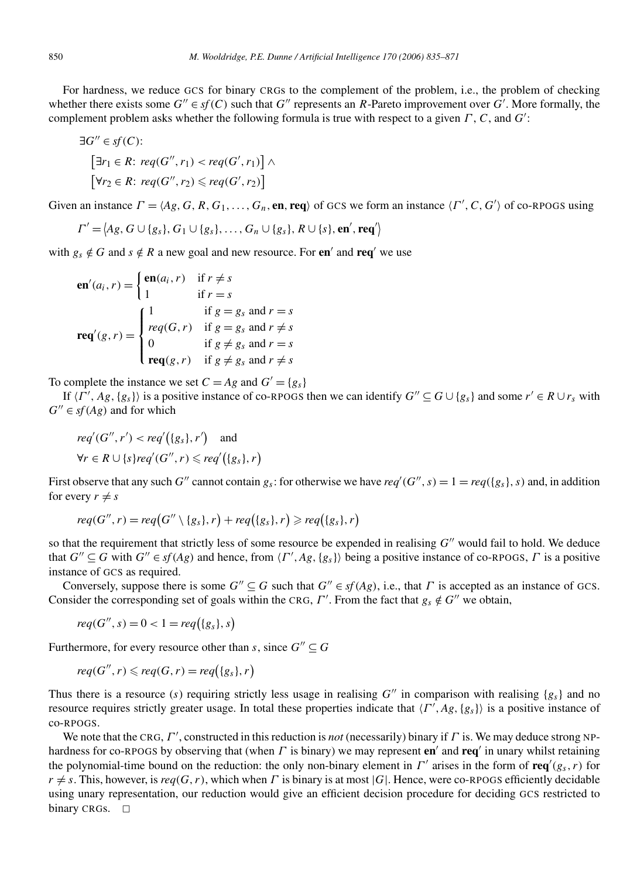For hardness, we reduce GCS for binary CRGs to the complement of the problem, i.e., the problem of checking whether there exists some  $G'' \in sf(C)$  such that  $G''$  represents an *R*-Pareto improvement over  $G'$ . More formally, the complement problem asks whether the following formula is true with respect to a given *Γ* , *C*, and *G* :

$$
\exists G'' \in sf(C):
$$
  
\n
$$
[\exists r_1 \in R: \text{req}(G'', r_1) < \text{req}(G', r_1)] \land
$$
  
\n
$$
[\forall r_2 \in R: \text{req}(G'', r_2) \leq \text{req}(G', r_2)]
$$

Given an instance  $\Gamma = \langle Ag, G, R, G_1, \ldots, G_n, \text{en}, \text{req} \rangle$  of GCS we form an instance  $\langle \Gamma', C, G' \rangle$  of co-RPOGS using

$$
\Gamma' = \langle Ag, G \cup \{g_s\}, G_1 \cup \{g_s\}, \ldots, G_n \cup \{g_s\}, R \cup \{s\}, en', req'\rangle
$$

with  $g_s \notin G$  and  $s \notin R$  a new goal and new resource. For **en**' and **req**' we use

$$
\mathbf{en}'(a_i, r) = \begin{cases} \mathbf{en}(a_i, r) & \text{if } r \neq s \\ 1 & \text{if } r = s \end{cases}
$$

$$
\mathbf{req}'(g, r) = \begin{cases} 1 & \text{if } g = g_s \text{ and } r = s \\ req(G, r) & \text{if } g = g_s \text{ and } r \neq s \\ 0 & \text{if } g \neq g_s \text{ and } r = s \\ \mathbf{req}(g, r) & \text{if } g \neq g_s \text{ and } r \neq s \end{cases}
$$

To complete the instance we set  $C = Ag$  and  $G' = \{g_s\}$ 

If  $\langle \Gamma', Ag, \{g_s\} \rangle$  is a positive instance of co-RPOGS then we can identify  $G'' \subseteq G \cup \{g_s\}$  and some  $r' \in R \cup r_s$  with  $G'' \in sf(Ag)$  and for which

$$
req'(G'', r') < req'(\{g_s\}, r') \text{ and}
$$
  
\n
$$
\forall r \in R \cup \{s\}req'(G'', r) \leq req'(\{g_s\}, r)
$$

First observe that any such G'' cannot contain  $g_s$ : for otherwise we have  $req'(G'', s) = 1 = req(\{g_s\}, s)$  and, in addition for every  $r \neq s$ 

$$
req(G'', r) = req(G'' \setminus \{g_s\}, r) + req(\{g_s\}, r) \geqslant req(\{g_s\}, r)
$$

so that the requirement that strictly less of some resource be expended in realising *G*<sup>"</sup> would fail to hold. We deduce that  $G'' \subseteq G$  with  $G'' \in sf(Ag)$  and hence, from  $\langle \Gamma', Ag, \{g_s\} \rangle$  being a positive instance of co-RPOGS,  $\Gamma$  is a positive instance of GCS as required.

Conversely, suppose there is some  $G'' \subseteq G$  such that  $G'' \in sf(Ag)$ , i.e., that  $\Gamma$  is accepted as an instance of GCS. Consider the corresponding set of goals within the CRG,  $\Gamma'$ . From the fact that  $g_s \notin G''$  we obtain,

 $req(G'', s) = 0 < 1 = req({g_s}, s)$ 

Furthermore, for every resource other than *s*, since  $G'' \subseteq G$ 

$$
req(G'', r) \leqslant req(G, r) = req({g_s}, r)
$$

Thus there is a resource (*s*) requiring strictly less usage in realising  $G''$  in comparison with realising  $\{g_s\}$  and no resource requires strictly greater usage. In total these properties indicate that  $\langle \Gamma', Ag, \{g_s\} \rangle$  is a positive instance of co-RPOGS.

We note that the CRG,  $Γ'$ , constructed in this reduction is *not* (necessarily) binary if  $Γ$  is. We may deduce strong NPhardness for co-RPOGS by observing that (when  $\Gamma$  is binary) we may represent **en**' and **req**' in unary whilst retaining the polynomial-time bound on the reduction: the only non-binary element in  $\Gamma'$  arises in the form of **req**<sup>'</sup>( $g_s$ ,  $r$ ) for  $r \neq s$ . This, however, is  $req(G, r)$ , which when *Γ* is binary is at most |*G*|. Hence, were co-RPOGS efficiently decidable using unary representation, our reduction would give an efficient decision procedure for deciding GCS restricted to binary CRGs.  $\Box$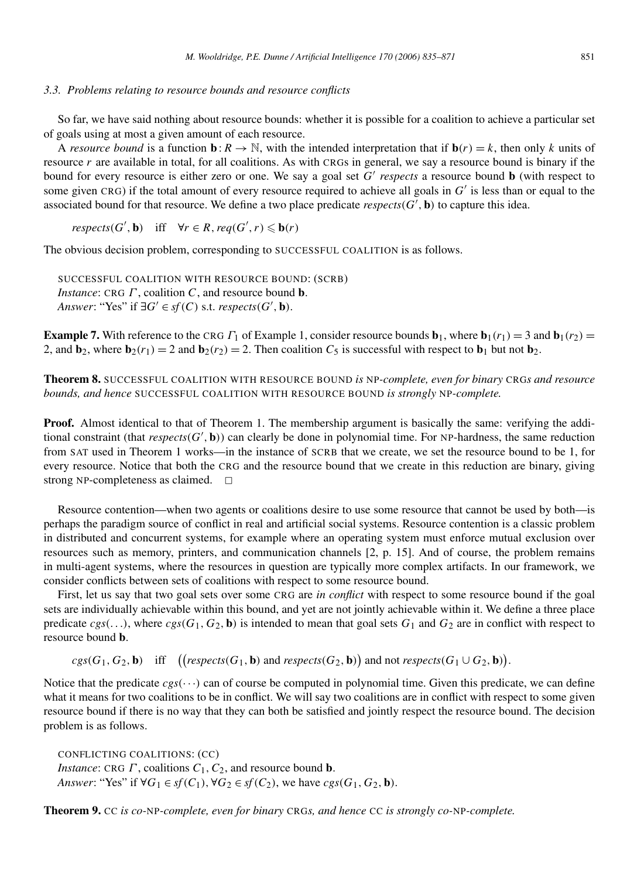#### *3.3. Problems relating to resource bounds and resource conflicts*

So far, we have said nothing about resource bounds: whether it is possible for a coalition to achieve a particular set of goals using at most a given amount of each resource.

A *resource bound* is a function  $\mathbf{b}: R \to \mathbb{N}$ , with the intended interpretation that if  $\mathbf{b}(r) = k$ , then only *k* units of resource *r* are available in total, for all coalitions. As with CRGs in general, we say a resource bound is binary if the bound for every resource is either zero or one. We say a goal set *G respects* a resource bound **b** (with respect to some given CRG) if the total amount of every resource required to achieve all goals in *G* is less than or equal to the associated bound for that resource. We define a two place predicate  $\text{respects}(G', \mathbf{b})$  to capture this idea.

*respects*(*G'*, **b**) iff  $\forall r \in R$ , *req*(*G'*, *r*)  $\leq$  **b**(*r*)

The obvious decision problem, corresponding to SUCCESSFUL COALITION is as follows.

SUCCESSFUL COALITION WITH RESOURCE BOUND: (SCRB) *Instance*: CRG *Γ* , coalition *C*, and resource bound **b**. *Answer*: "Yes" if  $\exists G' \in sf(C)$  s.t. *respects* $(G', \mathbf{b})$ .

**Example 7.** With reference to the CRG  $\Gamma_1$  of Example 1, consider resource bounds  $\mathbf{b}_1$ , where  $\mathbf{b}_1(r_1) = 3$  and  $\mathbf{b}_1(r_2) =$ 2, and  $\mathbf{b}_2$ , where  $\mathbf{b}_2(r_1) = 2$  and  $\mathbf{b}_2(r_2) = 2$ . Then coalition  $C_5$  is successful with respect to  $\mathbf{b}_1$  but not  $\mathbf{b}_2$ .

**Theorem 8.** SUCCESSFUL COALITION WITH RESOURCE BOUND *is* NP*-complete, even for binary* CRG*s and resource bounds, and hence* SUCCESSFUL COALITION WITH RESOURCE BOUND *is strongly* NP*-complete.*

**Proof.** Almost identical to that of Theorem 1. The membership argument is basically the same: verifying the additional constraint (that  $respects(G', \mathbf{b}))$  can clearly be done in polynomial time. For NP-hardness, the same reduction from SAT used in Theorem 1 works—in the instance of SCRB that we create, we set the resource bound to be 1, for every resource. Notice that both the CRG and the resource bound that we create in this reduction are binary, giving strong NP-completeness as claimed.  $\square$ 

Resource contention—when two agents or coalitions desire to use some resource that cannot be used by both—is perhaps the paradigm source of conflict in real and artificial social systems. Resource contention is a classic problem in distributed and concurrent systems, for example where an operating system must enforce mutual exclusion over resources such as memory, printers, and communication channels [2, p. 15]. And of course, the problem remains in multi-agent systems, where the resources in question are typically more complex artifacts. In our framework, we consider conflicts between sets of coalitions with respect to some resource bound.

First, let us say that two goal sets over some CRG are *in conflict* with respect to some resource bound if the goal sets are individually achievable within this bound, and yet are not jointly achievable within it. We define a three place predicate  $cgs(...)$ , where  $cgs(G_1, G_2, \mathbf{b})$  is intended to mean that goal sets  $G_1$  and  $G_2$  are in conflict with respect to resource bound **b**.

 $cgs(G_1, G_2, \mathbf{b})$  iff  $((\mathit{respects}(G_1, \mathbf{b}) \text{ and } \mathit{respects}(G_2, \mathbf{b}))$  and not  $\mathit{respects}(G_1 \cup G_2, \mathbf{b})).$ 

Notice that the predicate  $cgs(\cdots)$  can of course be computed in polynomial time. Given this predicate, we can define what it means for two coalitions to be in conflict. We will say two coalitions are in conflict with respect to some given resource bound if there is no way that they can both be satisfied and jointly respect the resource bound. The decision problem is as follows.

CONFLICTING COALITIONS: (CC) *Instance*: CRG  $\Gamma$ , coalitions  $C_1$ ,  $C_2$ , and resource bound **b**. *Answer*: "Yes" if  $\forall G_1 \in \text{sf}(C_1), \forall G_2 \in \text{sf}(C_2)$ , we have  $\text{cgs}(G_1, G_2, \mathbf{b})$ .

**Theorem 9.** CC *is co-*NP*-complete, even for binary* CRG*s, and hence* CC *is strongly co-*NP*-complete.*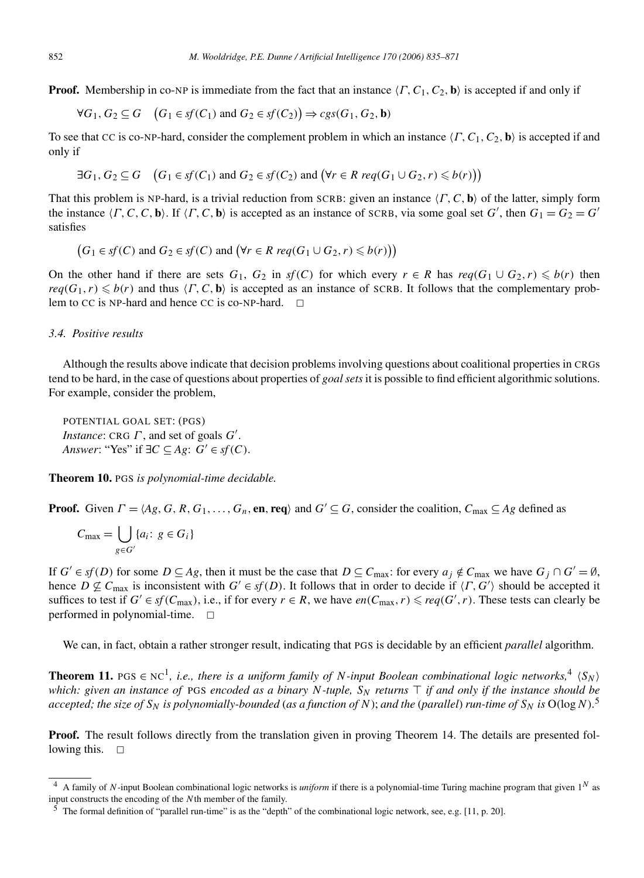**Proof.** Membership in co-NP is immediate from the fact that an instance  $\langle \Gamma, C_1, C_2, \mathbf{b} \rangle$  is accepted if and only if

$$
\forall G_1, G_2 \subseteq G \quad \big(G_1 \in \mathit{sf}(C_1) \text{ and } G_2 \in \mathit{sf}(C_2)\big) \Rightarrow \mathit{cgs}(G_1, G_2, \mathbf{b})
$$

To see that CC is co-NP-hard, consider the complement problem in which an instance  $\langle \Gamma, C_1, C_2, \mathbf{b} \rangle$  is accepted if and only if

$$
\exists G_1, G_2 \subseteq G \quad \big(G_1 \in \mathit{sf}(C_1) \text{ and } G_2 \in \mathit{sf}(C_2) \text{ and } \big(\forall r \in \mathit{R} \text{ reg}(G_1 \cup G_2, r) \leqslant b(r)\big)\big)
$$

That this problem is NP-hard, is a trivial reduction from SCRB: given an instance  $\langle \Gamma, C, \mathbf{b} \rangle$  of the latter, simply form the instance  $\langle \Gamma, C, C, \mathbf{b} \rangle$ . If  $\langle \Gamma, C, \mathbf{b} \rangle$  is accepted as an instance of SCRB, via some goal set *G'*, then  $G_1 = G_2 = G'$ satisfies

$$
(G_1 \in \mathit{sf}(C) \text{ and } G_2 \in \mathit{sf}(C) \text{ and } (\forall r \in \mathit{R} \text{ reg}(G_1 \cup G_2, r) \leqslant b(r)))
$$

On the other hand if there are sets  $G_1$ ,  $G_2$  in  $sf(C)$  for which every  $r \in R$  has  $req(G_1 \cup G_2, r) \leqslant b(r)$  then  $req(G_1, r) \leqslant b(r)$  and thus  $\langle \Gamma, C, \mathbf{b} \rangle$  is accepted as an instance of SCRB. It follows that the complementary problem to CC is NP-hard and hence CC is co-NP-hard.  $\Box$ 

# *3.4. Positive results*

Although the results above indicate that decision problems involving questions about coalitional properties in CRGs tend to be hard, in the case of questions about properties of *goal sets*it is possible to find efficient algorithmic solutions. For example, consider the problem,

POTENTIAL GOAL SET: (PGS) *Instance*: CRG *Γ*, and set of goals *G*<sup>'</sup>. *Answer*: "Yes" if  $\exists C \subseteq Ag: G' \in sf(C)$ .

**Theorem 10.** PGS *is polynomial-time decidable.*

**Proof.** Given  $\Gamma = \langle Ag, G, R, G_1, \ldots, G_n, \mathbf{en}, \mathbf{req} \rangle$  and  $G' \subseteq G$ , consider the coalition,  $C_{\text{max}} \subseteq Ag$  defined as

$$
C_{\max} = \bigcup_{g \in G'} \{a_i : g \in G_i\}
$$

If  $G' \in sf(D)$  for some  $D \subseteq Ag$ , then it must be the case that  $D \subseteq C_{\text{max}}$ : for every  $a_j \notin C_{\text{max}}$  we have  $G_j \cap G' = \emptyset$ , hence  $D \nsubseteq C_{\text{max}}$  is inconsistent with  $G' \in sf(D)$ . It follows that in order to decide if  $\langle \Gamma, G' \rangle$  should be accepted it suffices to test if  $G' \in \text{sf}(C_{\text{max}})$ , i.e., if for every  $r \in R$ , we have  $\text{en}(C_{\text{max}}, r) \leqslant \text{req}(G', r)$ . These tests can clearly be performed in polynomial-time.  $\square$ 

We can, in fact, obtain a rather stronger result, indicating that PGS is decidable by an efficient *parallel* algorithm.

**Theorem 11.** PGS  $\in$  NC<sup>1</sup>, *i.e., there is a uniform family of N-input Boolean combinational logic networks*,<sup>4</sup>  $\langle S_N \rangle$ *which: given an instance of PGS encoded as a binary N-tuple,*  $S_N$  *returns*  $\top$  *if and only if the instance should be* accepted; the size of  $S_N$  is polynomially-bounded (as a function of N); and the (parallel) run-time of  $S_N$  is  $O(\log N)$ .

**Proof.** The result follows directly from the translation given in proving Theorem 14. The details are presented following this.  $\square$ 

<sup>4</sup> A family of *N*-input Boolean combinational logic networks is *uniform* if there is a polynomial-time Turing machine program that given 1*<sup>N</sup>* as input constructs the encoding of the *N*th member of the family.

<sup>&</sup>lt;sup>5</sup> The formal definition of "parallel run-time" is as the "depth" of the combinational logic network, see, e.g.  $[11, p. 20]$ .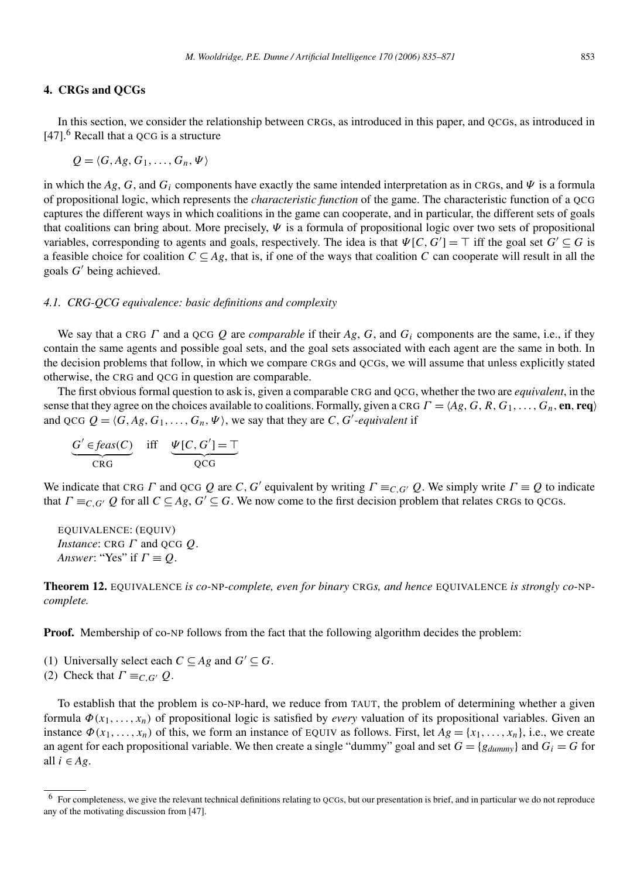# **4. CRGs and QCGs**

In this section, we consider the relationship between CRGs, as introduced in this paper, and QCGs, as introduced in [47]. $<sup>6</sup>$  Recall that a QCG is a structure</sup>

$$
Q = \langle G, Ag, G_1, \ldots, G_n, \Psi \rangle
$$

in which the *Ag*, *G*, and *G<sub>i</sub>* components have exactly the same intended interpretation as in CRGs, and  $\Psi$  is a formula of propositional logic, which represents the *characteristic function* of the game. The characteristic function of a QCG captures the different ways in which coalitions in the game can cooperate, and in particular, the different sets of goals that coalitions can bring about. More precisely, *Ψ* is a formula of propositional logic over two sets of propositional variables, corresponding to agents and goals, respectively. The idea is that  $\Psi[C, G'] = \top$  iff the goal set  $G' \subseteq G$  is a feasible choice for coalition  $C \subseteq Ag$ , that is, if one of the ways that coalition *C* can cooperate will result in all the goals  $G'$  being achieved.

## *4.1. CRG-QCG equivalence: basic definitions and complexity*

We say that a CRG *Γ* and a QCG *Q* are *comparable* if their *Ag*, *G*, and *Gi* components are the same, i.e., if they contain the same agents and possible goal sets, and the goal sets associated with each agent are the same in both. In the decision problems that follow, in which we compare CRGs and QCGs, we will assume that unless explicitly stated otherwise, the CRG and QCG in question are comparable.

The first obvious formal question to ask is, given a comparable CRG and QCG, whether the two are *equivalent*, in the sense that they agree on the choices available to coalitions. Formally, given a CRG  $\Gamma = \langle Ag, G, R, G_1, \ldots, G_n, en, req \rangle$ and QCG  $Q = \langle G, Ag, G_1, \ldots, G_n, \Psi \rangle$ , we say that they are *C*, *G'*-equivalent if

$$
\underbrace{G' \in feas(C)}_{\text{CRG}} \quad \text{iff} \quad \underbrace{\Psi[C,G'] = \top}_{\text{QCG}}
$$

We indicate that CRG *Γ* and QCG *Q* are *C*, *G'* equivalent by writing  $\Gamma \equiv_{C,G'} Q$ . We simply write  $\Gamma \equiv Q$  to indicate that  $\Gamma \equiv_{C,G'} Q$  for all  $C \subseteq Ag$ ,  $G' \subseteq G$ . We now come to the first decision problem that relates CRGs to QCGs.

EQUIVALENCE: (EQUIV) *Instance*: CRG *Γ* and QCG *Q*. *Answer*: "Yes" if  $\Gamma \equiv Q$ .

**Theorem 12.** EQUIVALENCE *is co-*NP*-complete, even for binary* CRG*s, and hence* EQUIVALENCE *is strongly co-*NP*complete.*

**Proof.** Membership of co-NP follows from the fact that the following algorithm decides the problem:

- (1) Universally select each  $C \subseteq Ag$  and  $G' \subseteq G$ .
- (2) Check that  $\Gamma \equiv_{C,G'} Q$ .

To establish that the problem is co-NP-hard, we reduce from TAUT, the problem of determining whether a given formula *Φ(x*1*,...,xn)* of propositional logic is satisfied by *every* valuation of its propositional variables. Given an instance  $\Phi(x_1, \ldots, x_n)$  of this, we form an instance of EQUIV as follows. First, let  $Ag = \{x_1, \ldots, x_n\}$ , i.e., we create an agent for each propositional variable. We then create a single "dummy" goal and set  $G = \{g_{dummy}\}$  and  $G_i = G$  for all  $i$  ∈ *Ag*.

 $6\,$  For completeness, we give the relevant technical definitions relating to QCGs, but our presentation is brief, and in particular we do not reproduce any of the motivating discussion from [47].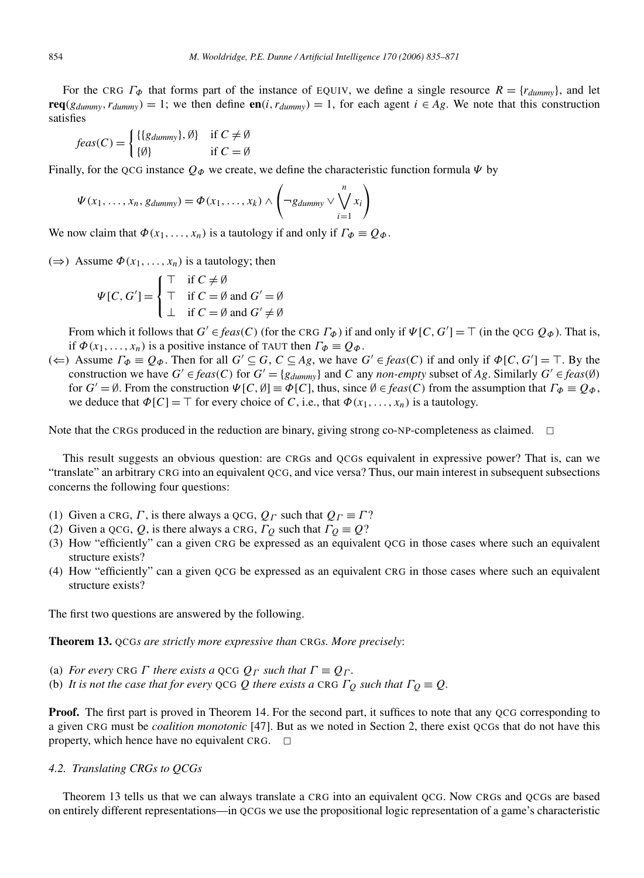For the CRG *ΓΦ* that forms part of the instance of EQUIV, we define a single resource *R* = {*rdummy*}, and let **req** $(g_{\text{dummy}}$ ,  $r_{\text{dummy}}) = 1$ ; we then define **en** $(i, r_{\text{dummy}}) = 1$ , for each agent  $i \in Ag$ . We note that this construction satisfies

$$
feas(C) = \begin{cases} \{\{g_{dummy}\}, \emptyset\} & \text{if } C \neq \emptyset \\ \{\emptyset\} & \text{if } C = \emptyset \end{cases}
$$

Finally, for the QCG instance *QΦ* we create, we define the characteristic function formula *Ψ* by

$$
\Psi(x_1,\ldots,x_n,g_{dummy})=\Phi(x_1,\ldots,x_k)\wedge\left(\neg g_{dummy}\vee\bigvee_{i=1}^n x_i\right)
$$

We now claim that  $\Phi(x_1, \ldots, x_n)$  is a tautology if and only if  $\Gamma_{\Phi} \equiv Q_{\Phi}$ .

 $(\Rightarrow)$  Assume  $\Phi(x_1, \ldots, x_n)$  is a tautology; then

$$
\Psi[C, G'] = \begin{cases} \top & \text{if } C \neq \emptyset \\ \top & \text{if } C = \emptyset \text{ and } G' = \emptyset \\ \bot & \text{if } C = \emptyset \text{ and } G' \neq \emptyset \end{cases}
$$

From which it follows that  $G' \in \text{feas}(C)$  (for the CRG  $\Gamma_{\Phi}$ ) if and only if  $\Psi[C, G'] = \top$  (in the QCG  $Q_{\Phi}$ ). That is, if  $\Phi(x_1, \ldots, x_n)$  is a positive instance of TAUT then  $\Gamma_{\Phi} \equiv Q_{\Phi}$ .

(←) Assume  $\Gamma_{\Phi} \equiv Q_{\Phi}$ . Then for all  $G' \subseteq G$ ,  $C \subseteq Ag$ , we have  $G' \in feas(C)$  if and only if  $\Phi[C, G'] = \top$ . By the construction we have  $G' \in \text{feas}(C)$  for  $G' = \{g_{dummy}\}$  and  $C$  any *non-empty* subset of  $Ag$ . Similarly  $G' \in \text{feas}(\emptyset)$ for  $G' = \emptyset$ . From the construction  $\Psi[C, \emptyset] \equiv \Phi[C]$ , thus, since  $\emptyset \in \text{feas}(C)$  from the assumption that  $\Gamma_{\Phi} \equiv Q_{\Phi}$ , we deduce that  $\Phi[C] = \top$  for every choice of *C*, i.e., that  $\Phi(x_1, \ldots, x_n)$  is a tautology.

Note that the CRGs produced in the reduction are binary, giving strong co-NP-completeness as claimed.  $\Box$ 

This result suggests an obvious question: are CRGs and QCGs equivalent in expressive power? That is, can we "translate" an arbitrary CRG into an equivalent QCG, and vice versa? Thus, our main interest in subsequent subsections concerns the following four questions:

- (1) Given a CRG,  $\Gamma$ , is there always a QCG,  $Q_{\Gamma}$  such that  $Q_{\Gamma} \equiv \Gamma$ ?
- (2) Given a QCG, Q, is there always a CRG,  $\Gamma_0$  such that  $\Gamma_0 \equiv Q$ ?
- (3) How "efficiently" can a given CRG be expressed as an equivalent QCG in those cases where such an equivalent structure exists?
- (4) How "efficiently" can a given QCG be expressed as an equivalent CRG in those cases where such an equivalent structure exists?

The first two questions are answered by the following.

**Theorem 13.** QCG*s are strictly more expressive than* CRG*s. More precisely*:

- (a) *For every* CRG *Γ there exists a* QCG  $Q_\Gamma$  *such that*  $\Gamma \equiv Q_\Gamma$ .
- (b) It is not the case that for every QCG Q there exists a CRG  $\Gamma_O$  such that  $\Gamma_O \equiv Q$ .

**Proof.** The first part is proved in Theorem 14. For the second part, it suffices to note that any QCG corresponding to a given CRG must be *coalition monotonic* [47]. But as we noted in Section 2, there exist QCGs that do not have this property, which hence have no equivalent CRG.  $\Box$ 

#### *4.2. Translating CRGs to QCGs*

Theorem 13 tells us that we can always translate a CRG into an equivalent QCG. Now CRGs and QCGs are based on entirely different representations—in QCGs we use the propositional logic representation of a game's characteristic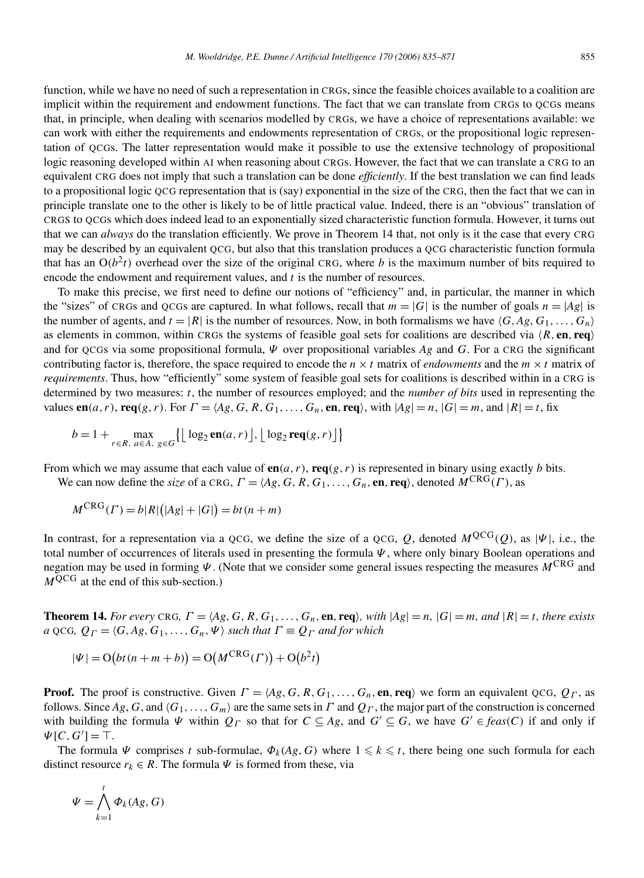function, while we have no need of such a representation in CRGs, since the feasible choices available to a coalition are implicit within the requirement and endowment functions. The fact that we can translate from CRGs to QCGs means that, in principle, when dealing with scenarios modelled by CRGs, we have a choice of representations available: we can work with either the requirements and endowments representation of CRGs, or the propositional logic representation of QCGs. The latter representation would make it possible to use the extensive technology of propositional logic reasoning developed within AI when reasoning about CRGs. However, the fact that we can translate a CRG to an equivalent CRG does not imply that such a translation can be done *efficiently*. If the best translation we can find leads to a propositional logic QCG representation that is (say) exponential in the size of the CRG, then the fact that we can in principle translate one to the other is likely to be of little practical value. Indeed, there is an "obvious" translation of CRGS to QCGs which does indeed lead to an exponentially sized characteristic function formula. However, it turns out that we can *always* do the translation efficiently. We prove in Theorem 14 that, not only is it the case that every CRG may be described by an equivalent QCG, but also that this translation produces a QCG characteristic function formula that has an  $O(b^2t)$  overhead over the size of the original CRG, where *b* is the maximum number of bits required to encode the endowment and requirement values, and *t* is the number of resources.

To make this precise, we first need to define our notions of "efficiency" and, in particular, the manner in which the "sizes" of CRGs and OCGs are captured. In what follows, recall that  $m = |G|$  is the number of goals  $n = |Ag|$  is the number of agents, and  $t = |R|$  is the number of resources. Now, in both formalisms we have  $\langle G, Ag, G_1, \ldots, G_n \rangle$ as elements in common, within CRGs the systems of feasible goal sets for coalitions are described via  $(R, en, req)$ and for QCGs via some propositional formula, *Ψ* over propositional variables *Ag* and *G*. For a CRG the significant contributing factor is, therefore, the space required to encode the  $n \times t$  matrix of *endowments* and the  $m \times t$  matrix of *requirements*. Thus, how "efficiently" some system of feasible goal sets for coalitions is described within in a CRG is determined by two measures: *t*, the number of resources employed; and the *number of bits* used in representing the values **en**(*a, r*), **req**(*g,r*). For  $\Gamma = \langle Ag, G, R, G_1, \ldots, G_n,$  **en**, **req**), with  $|Ag| = n$ ,  $|G| = m$ , and  $|R| = t$ , fix

$$
b = 1 + \max_{r \in R, a \in A, g \in G} \{ \lfloor \log_2 \mathbf{en}(a, r) \rfloor, \lfloor \log_2 \mathbf{req}(g, r) \rfloor \}
$$

From which we may assume that each value of  $en(a, r)$ ,  $req(g, r)$  is represented in binary using exactly *b* bits. We can now define the *size* of a CRG,  $\Gamma = \langle Ag, G, R, G_1, \ldots, G_n, \text{en}, \text{req} \rangle$ , denoted  $M<sup>CRG</sup>(\Gamma)$ , as

$$
MCRG(\Gamma) = b|R|(Ag| + |G|) = bt(n+m)
$$

In contrast, for a representation via a QCG, we define the size of a QCG,  $Q$ , denoted  $M^{\text{QCG}}(Q)$ , as  $|\Psi|$ , i.e., the total number of occurrences of literals used in presenting the formula *Ψ* , where only binary Boolean operations and negation may be used in forming *Ψ* . (Note that we consider some general issues respecting the measures *M*CRG and  $M^{\text{QCG}}$  at the end of this sub-section.)

**Theorem 14.** For every CRG,  $\Gamma = \langle Ag, G, R, G_1, \ldots, G_n \rangle$ , **en**, **req**), with  $|Ag| = n$ ,  $|G| = m$ , and  $|R| = t$ , there exists  $a \ QCG, \ Q_F = \langle G, Ag, G_1, \ldots, G_n, \Psi \rangle$  such that  $\Gamma \equiv Q_F$  and for which

$$
|\Psi| = O(bt(n+m+b)) = O(MCRG(\Gamma)) + O(b2t)
$$

**Proof.** The proof is constructive. Given  $\Gamma = \langle Ag, G, R, G_1, \ldots, G_n \rangle$ , **en**, **req**) we form an equivalent QCG,  $Q_{\Gamma}$ , as follows. Since  $Ag$ ,  $G$ , and  $\langle G_1, \ldots, G_m \rangle$  are the same sets in  $\Gamma$  and  $Q_\Gamma$ , the major part of the construction is concerned with building the formula  $\Psi$  within  $Q_\Gamma$  so that for  $C \subseteq Ag$ , and  $G' \subseteq G$ , we have  $G' \in feas(C)$  if and only if  $\Psi$ [*C*, *G*<sup>'</sup>] = T.

The formula  $\Psi$  comprises *t* sub-formulae,  $\Phi_k(Ag, G)$  where  $1 \leq k \leq t$ , there being one such formula for each distinct resource  $r_k \in R$ . The formula  $\Psi$  is formed from these, via

$$
\Psi = \bigwedge_{k=1}^t \Phi_k(Ag, G)
$$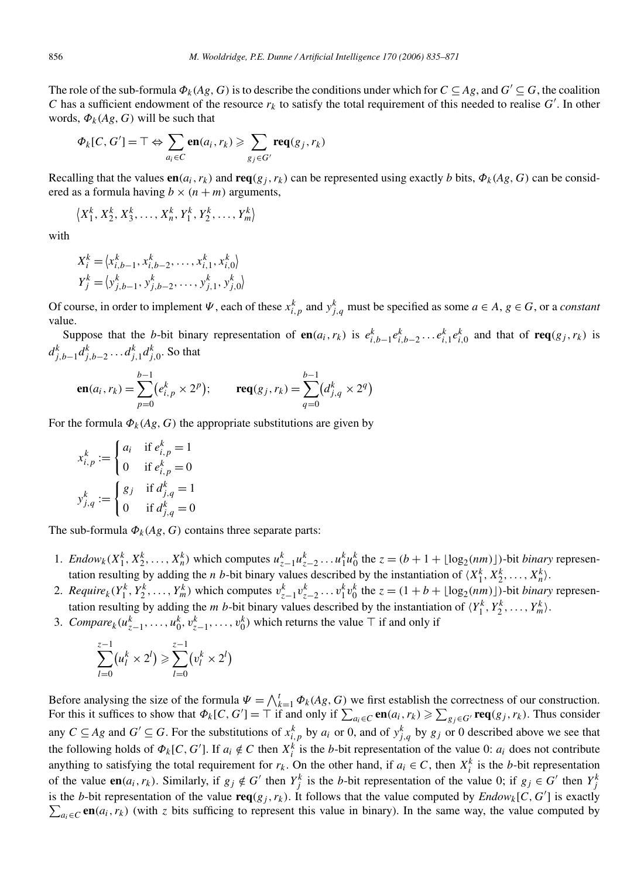The role of the sub-formula  $\Phi_k(Ag, G)$  is to describe the conditions under which for  $C \subseteq Ag$ , and  $G' \subseteq G$ , the coalition *C* has a sufficient endowment of the resource  $r_k$  to satisfy the total requirement of this needed to realise  $G'$ . In other words,  $\Phi_k(Ag, G)$  will be such that

$$
\Phi_k[C, G'] = \top \Leftrightarrow \sum_{a_i \in C} \mathbf{en}(a_i, r_k) \geqslant \sum_{g_j \in G'} \mathbf{req}(g_j, r_k)
$$

Recalling that the values **en** $(a_i, r_k)$  and **req** $(g_i, r_k)$  can be represented using exactly *b* bits,  $\Phi_k(Ag, G)$  can be considered as a formula having  $b \times (n + m)$  arguments,

$$
\left\langle X_1^k, X_2^k, X_3^k, \ldots, X_n^k, Y_1^k, Y_2^k, \ldots, Y_m^k \right\rangle
$$

with

$$
X_i^k = \langle x_{i,b-1}^k, x_{i,b-2}^k, \dots, x_{i,1}^k, x_{i,0}^k \rangle
$$
  

$$
Y_j^k = \langle y_{j,b-1}^k, y_{j,b-2}^k, \dots, y_{j,1}^k, y_{j,0}^k \rangle
$$

Of course, in order to implement  $\Psi$ , each of these  $x_{i,p}^k$  and  $y_{j,q}^k$  must be specified as some  $a \in A$ ,  $g \in G$ , or a *constant* value.

Suppose that the *b*-bit binary representation of **en** $(a_i, r_k)$  is  $e_{i,b-1}^k e_{i,b-2}^k \dots e_{i,1}^k e_{i,0}^k$  and that of **req** $(g_j, r_k)$  is *d*<sup>*k*</sup><sub>*j*,*b*−2</sub> *...d*<sup>*k*</sup><sub>*j*,1</sub>*d*<sup>*k*</sup><sub>*j*,0</sub>. So that

$$
\mathbf{en}(a_i, r_k) = \sum_{p=0}^{b-1} (e_{i,p}^k \times 2^p); \qquad \mathbf{req}(g_j, r_k) = \sum_{q=0}^{b-1} (d_{j,q}^k \times 2^q)
$$

For the formula  $\Phi_k(Ag, G)$  the appropriate substitutions are given by

$$
x_{i,p}^k := \begin{cases} a_i & \text{if } e_{i,p}^k = 1 \\ 0 & \text{if } e_{i,p}^k = 0 \end{cases}
$$

$$
y_{j,q}^k := \begin{cases} g_j & \text{if } d_{j,q}^k = 1 \\ 0 & \text{if } d_{j,q}^k = 0 \end{cases}
$$

The sub-formula  $\Phi_k(Ag, G)$  contains three separate parts:

- 1. *Endow<sub>k</sub>*( $X_1^k$ ,  $X_2^k$ , ...,  $X_n^k$ ) which computes  $u_{z-1}^k u_{z-2}^k$ ...  $u_1^k u_0^k$  the  $z = (b+1 + \lfloor \log_2(nm) \rfloor)$ -bit *binary* representation resulting by adding the *n b*-bit binary values described by the instantiation of  $\langle X_1^k, X_2^k, \ldots, X_n^k \rangle$ .
- 2. Require<sub>k</sub> $(Y_1^k, Y_2^k, \ldots, Y_m^k)$  which computes  $v_{z-1}^k v_{z-2}^k \ldots v_1^k v_0^k$  the  $z = (1 + b + \lfloor \log_2(nm) \rfloor)$ -bit *binary* representation resulting by adding the *m b*-bit binary values described by the instantiation of  $\langle Y_1^k, Y_2^k, \ldots, Y_m^k \rangle$ .
- 3. *Compare<sub>k</sub>*( $u_{z-1}^k, \ldots, u_0^k, v_{z-1}^k, \ldots, v_0^k$ ) which returns the value  $\top$  if and only if

$$
\sum_{l=0}^{z-1} (u_l^k \times 2^l) \geq \sum_{l=0}^{z-1} (v_l^k \times 2^l)
$$

Before analysing the size of the formula  $\Psi = \bigwedge_{k=1}^t \Phi_k(Ag, G)$  we first establish the correctness of our construction. For this it suffices to show that  $\Phi_k[C, G'] = \top$  if and only if  $\sum_{a_i \in C} \mathbf{en}(a_i, r_k) \geqslant \sum_{g_j \in G'} \mathbf{req}(g_j, r_k)$ . Thus consider any  $C \subseteq Ag$  and  $G' \subseteq G$ . For the substitutions of  $x_{i,p}^k$  by  $a_i$  or 0, and of  $y_{j,q}^k$  by  $g_j$  or 0 described above we see that the following holds of  $\Phi_k[C, G']$ . If  $a_i \notin C$  then  $X_i^k$  is the *b*-bit representation of the value 0:  $a_i$  does not contribute anything to satisfying the total requirement for  $r_k$ . On the other hand, if  $a_i \in C$ , then  $X_i^k$  is the *b*-bit representation of the value **en**( $a_i, r_k$ ). Similarly, if  $g_j \notin G'$  then  $Y_j^k$  is the *b*-bit representation of the value 0; if  $g_j \in G'$  then  $Y_j^k$ is the *b*-bit representation of the value **req**( $g_j$ ,  $r_k$ ). It follows that the value computed by *Endow<sub>k</sub>*[*C*, *G'*] is exactly  $\sum_{a_i \in C} \mathbf{en}(a_i, r_k)$  (with *z* bits sufficing to represent this value in binary). In the same way, the value computed by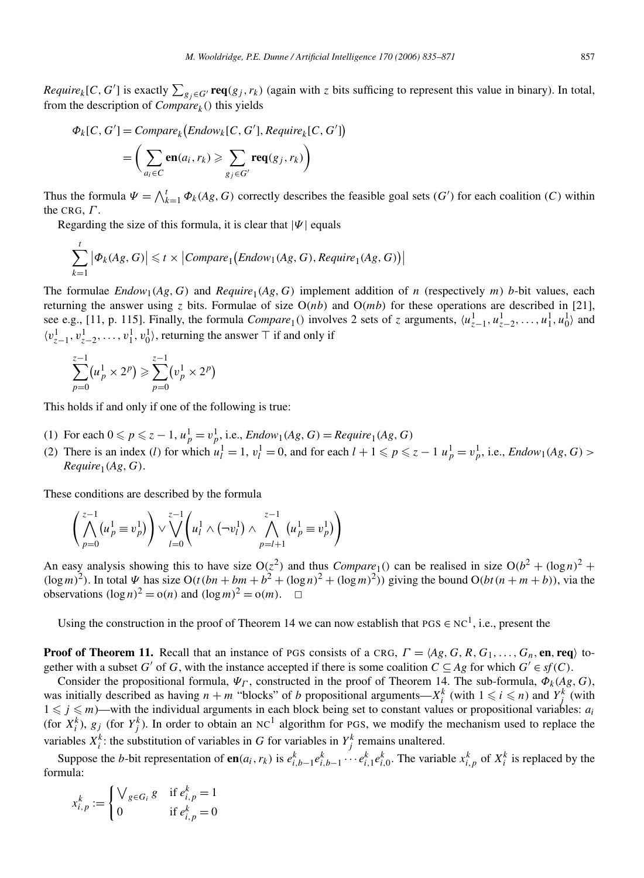*Require*<sub>k</sub>[C, G'] is exactly  $\sum_{g_j \in G'} \text{req}(g_j, r_k)$  (again with *z* bits sufficing to represent this value in binary). In total, from the description of *Comparek()* this yields

$$
\Phi_k[C, G'] = Compare_k(Endow_k[C, G'], Required_k[C, G'])
$$

$$
= \left(\sum_{a_i \in C} \mathbf{en}(a_i, r_k) \geqslant \sum_{g_j \in G'} \mathbf{req}(g_j, r_k)\right)
$$

Thus the formula  $\Psi = \bigwedge_{k=1}^{t} \Phi_k(Ag, G)$  correctly describes the feasible goal sets  $(G')$  for each coalition  $(C)$  within the CRG, *Γ* .

Regarding the size of this formula, it is clear that |*Ψ*| equals

$$
\sum_{k=1}^{t} |\Phi_k(Ag, G)| \leq t \times |Compare_1(Endow_1(Ag, G), Required_1(Ag, G))|
$$

The formulae *Endow*<sub>1</sub>(*Ag*, *G*) and *Require*<sub>1</sub>(*Ag*, *G*) implement addition of *n* (respectively *m*) *b*-bit values, each returning the answer using *z* bits. Formulae of size O*(nb)* and O*(mb)* for these operations are described in [21], see e.g., [11, p. 115]. Finally, the formula *Compare*<sub>1</sub>() involves 2 sets of *z* arguments,  $\langle u_{z-1}^1, u_{z-2}^1, \ldots, u_1^1, u_0^1 \rangle$  and  $\langle v_{z-1}^1, v_{z-2}^1, \ldots, v_1^1, v_0^1 \rangle$ , returning the answer  $\top$  if and only if

$$
\sum_{p=0}^{z-1} (u_p^1 \times 2^p) \geqslant \sum_{p=0}^{z-1} (v_p^1 \times 2^p)
$$

This holds if and only if one of the following is true:

- (1) For each  $0 \le p \le z 1$ ,  $u_p^1 = v_p^1$ , i.e., *Endow*<sub>1</sub>(*Ag, G*) = *Require*<sub>1</sub>(*Ag, G*)
- (2) There is an index (*l*) for which  $u_l^1 = 1$ ,  $v_l^1 = 0$ , and for each  $l + 1 \leq p \leq z 1$   $u_p^1 = v_p^1$ , i.e., *Endow*<sub>1</sub>(*Ag*, *G*) >  $Required_1(Ag, G)$ .

These conditions are described by the formula

$$
\left(\bigwedge_{p=0}^{z-1} (u_p^1 \equiv v_p^1)\right) \vee \bigvee_{l=0}^{z-1} \left(u_l^1 \wedge (\neg v_l^1) \wedge \bigwedge_{p=l+1}^{z-1} (u_p^1 \equiv v_p^1)\right)
$$

An easy analysis showing this to have size  $O(z^2)$  and thus *Compare*<sub>1</sub>() can be realised in size  $O(b^2 + (\log n)^2 +$ *(*log *m*)<sup>2</sup>). In total *Ψ* has size O(*t*(*bn* + *bm* + *b*<sup>2</sup> + (log *n*)<sup>2</sup> + (log *m*)<sup>2</sup>)) giving the bound O(*bt*(*n* + *m* + *b*)), via the observations  $(\log n)^2 = o(n)$  and  $(\log m)^2 = o(m)$ .  $\Box$ 

Using the construction in the proof of Theorem 14 we can now establish that PGS  $\in$  NC<sup>1</sup>, i.e., present the

**Proof of Theorem 11.** Recall that an instance of PGS consists of a CRG,  $\Gamma = \langle Ag, G, R, G_1, \ldots, G_n, \text{en}, \text{req} \rangle$  together with a subset *G'* of *G*, with the instance accepted if there is some coalition  $C \subseteq Ag$  for which  $G' \in sf(C)$ .

Consider the propositional formula,  $\Psi_r$ , constructed in the proof of Theorem 14. The sub-formula,  $\Phi_k(Ag, G)$ , was initially described as having  $n + m$  "blocks" of *b* propositional arguments— $X_i^k$  (with  $1 \leq i \leq n$ ) and  $Y_j^k$  (with  $1 \leq j \leq m$ )—with the individual arguments in each block being set to constant values or propositional variables:  $a_i$ (for  $X_i^k$ ),  $g_j$  (for  $Y_j^k$ ). In order to obtain an NC<sup>1</sup> algorithm for PGS, we modify the mechanism used to replace the variables  $X_i^k$ : the substitution of variables in *G* for variables in  $Y_j^k$  remains unaltered.

Suppose the *b*-bit representation of **en** $(a_i, r_k)$  is  $e_{i,b-1}^k e_{i,b-1}^k \cdots e_{i,1}^k e_{i,0}^k$ . The variable  $x_{i,p}^k$  of  $X_i^k$  is replaced by the formula:

$$
x_{i,p}^k := \begin{cases} \bigvee_{g \in G_i} g & \text{if } e_{i,p}^k = 1\\ 0 & \text{if } e_{i,p}^k = 0 \end{cases}
$$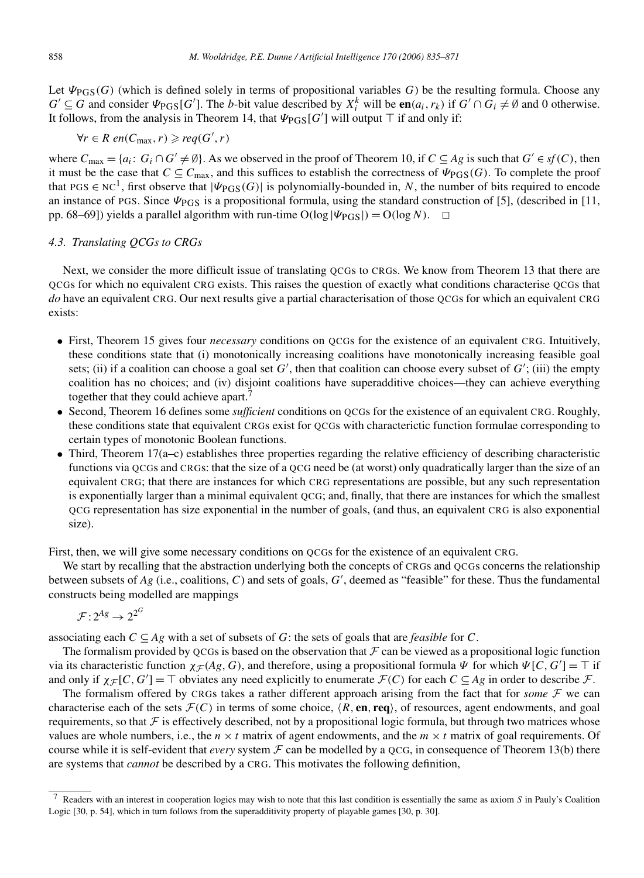Let *Ψ*P<sub>GS</sub>(*G*) (which is defined solely in terms of propositional variables *G*) be the resulting formula. Choose any  $G' \subseteq G$  and consider  $\Psi_{\text{PGS}}[G']$ . The *b*-bit value described by  $X_i^k$  will be **en** $(a_i, r_k)$  if  $G' \cap G_i \neq \emptyset$  and 0 otherwise. It follows, from the analysis in Theorem 14, that  $\psi_{\rm PGS}[G']$  will output  $\top$  if and only if:

$$
\forall r \in R \text{ en}(C_{\text{max}}, r) \geqslant \text{req}(G', r)
$$

where  $C_{\text{max}} = \{a_i: G_i \cap G' \neq \emptyset\}$ . As we observed in the proof of Theorem 10, if  $C \subseteq Ag$  is such that  $G' \in sf(C)$ , then it must be the case that  $C \subseteq C_{\text{max}}$ , and this suffices to establish the correctness of  $\Psi_{\text{PGS}}(G)$ . To complete the proof that PGS  $\in \text{NC}^1$ , first observe that  $|\Psi_{PGS}(G)|$  is polynomially-bounded in, *N*, the number of bits required to encode an instance of PGS. Since  $\psi_{PGS}$  is a propositional formula, using the standard construction of [5], (described in [11, pp. 68–69]) yields a parallel algorithm with run-time  $O(log |\Psi_{PGS}|) = O(log N)$ .  $\Box$ 

## *4.3. Translating QCGs to CRGs*

Next, we consider the more difficult issue of translating QCGs to CRGs. We know from Theorem 13 that there are QCGs for which no equivalent CRG exists. This raises the question of exactly what conditions characterise QCGs that *do* have an equivalent CRG. Our next results give a partial characterisation of those QCGs for which an equivalent CRG exists:

- First, Theorem 15 gives four *necessary* conditions on QCGs for the existence of an equivalent CRG. Intuitively, these conditions state that (i) monotonically increasing coalitions have monotonically increasing feasible goal sets; (ii) if a coalition can choose a goal set  $G'$ , then that coalition can choose every subset of  $G'$ ; (iii) the empty coalition has no choices; and (iv) disjoint coalitions have superadditive choices—they can achieve everything together that they could achieve apart.<sup>7</sup>
- Second, Theorem 16 defines some *sufficient* conditions on QCGs for the existence of an equivalent CRG. Roughly, these conditions state that equivalent CRGs exist for QCGs with characterictic function formulae corresponding to certain types of monotonic Boolean functions.
- Third, Theorem 17(a–c) establishes three properties regarding the relative efficiency of describing characteristic functions via QCGs and CRGs: that the size of a QCG need be (at worst) only quadratically larger than the size of an equivalent CRG; that there are instances for which CRG representations are possible, but any such representation is exponentially larger than a minimal equivalent QCG; and, finally, that there are instances for which the smallest QCG representation has size exponential in the number of goals, (and thus, an equivalent CRG is also exponential size).

First, then, we will give some necessary conditions on QCGs for the existence of an equivalent CRG.

We start by recalling that the abstraction underlying both the concepts of CRGs and QCGs concerns the relationship between subsets of *Ag* (i.e., coalitions, *C*) and sets of goals, *G* , deemed as "feasible" for these. Thus the fundamental constructs being modelled are mappings

$$
\mathcal{F}: 2^{Ag} \to 2^{2^G}
$$

associating each  $C \subseteq Ag$  with a set of subsets of *G*: the sets of goals that are *feasible* for *C*.

The formalism provided by QCGs is based on the observation that  $\mathcal F$  can be viewed as a propositional logic function via its characteristic function  $\chi_F(Ag, G)$ , and therefore, using a propositional formula *Ψ* for which  $\Psi[C, G'] = \top$  if and only if  $\chi_{\mathcal{F}}[C, G'] = \top$  obviates any need explicitly to enumerate  $\mathcal{F}(C)$  for each  $C \subseteq Ag$  in order to describe  $\mathcal{F}$ .

The formalism offered by CRGs takes a rather different approach arising from the fact that for *some* F we can characterise each of the sets  $\mathcal{F}(C)$  in terms of some choice,  $\langle R, en, req \rangle$ , of resources, agent endowments, and goal requirements, so that  $\mathcal F$  is effectively described, not by a propositional logic formula, but through two matrices whose values are whole numbers, i.e., the  $n \times t$  matrix of agent endowments, and the  $m \times t$  matrix of goal requirements. Of course while it is self-evident that *every* system  $\mathcal F$  can be modelled by a QCG, in consequence of Theorem 13(b) there are systems that *cannot* be described by a CRG. This motivates the following definition,

<sup>7</sup> Readers with an interest in cooperation logics may wish to note that this last condition is essentially the same as axiom *S* in Pauly's Coalition Logic [30, p. 54], which in turn follows from the superadditivity property of playable games [30, p. 30].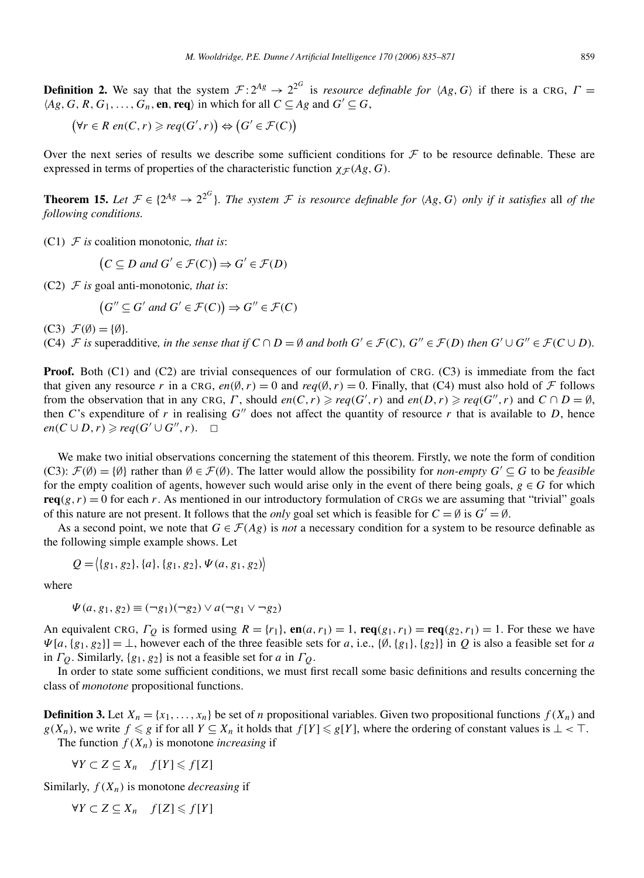**Definition 2.** We say that the system  $\mathcal{F}: 2^{Ag} \to 2^{2^G}$  is *resource definable for*  $\langle Ag, G \rangle$  if there is a CRG,  $\Gamma =$  $\langle Ag, G, R, G_1, \ldots, G_n, \text{en}, \text{req} \rangle$  in which for all  $C \subseteq Ag$  and  $G' \subseteq G$ ,

$$
(\forall r \in R \text{ en}(C, r) \geqslant \text{req}(G', r)) \Leftrightarrow (G' \in \mathcal{F}(C))
$$

Over the next series of results we describe some sufficient conditions for  $\mathcal F$  to be resource definable. These are expressed in terms of properties of the characteristic function  $\chi_F(Ag, G)$ .

**Theorem 15.** Let  $\mathcal{F} \in \{2^{Ag} \to 2^{2^G}\}\$ . The system  $\mathcal{F}$  is resource definable for  $\langle Ag, G \rangle$  only if it satisfies all of the *following conditions.*

(C1)  $\mathcal F$  *is* coalition monotonic, *that is*:

 $(C \subseteq D \text{ and } G' \in \mathcal{F}(C)) \Rightarrow G' \in \mathcal{F}(D)$ 

(C2)  $\mathcal F$  *is* goal anti-monotonic, that is:

$$
(G'' \subseteq G' \text{ and } G' \in \mathcal{F}(C)) \Rightarrow G'' \in \mathcal{F}(C)
$$

 $(\text{C3}) \mathcal{F}(\emptyset) = {\emptyset}.$ 

(C4)  $\mathcal{F}$  *is* superadditive, in the sense that if  $C \cap D = \emptyset$  and both  $G' \in \mathcal{F}(C)$ ,  $G'' \in \mathcal{F}(D)$  then  $G' \cup G'' \in \mathcal{F}(C \cup D)$ .

**Proof.** Both (C1) and (C2) are trivial consequences of our formulation of CRG. (C3) is immediate from the fact that given any resource r in a CRG,  $en(\emptyset, r) = 0$  and  $req(\emptyset, r) = 0$ . Finally, that (C4) must also hold of F follows from the observation that in any CRG, *Γ*, should  $en(C, r) \geqslant req(G', r)$  and  $en(D, r) \geqslant req(G'', r)$  and  $C \cap D = \emptyset$ , then *C*'s expenditure of *r* in realising  $G''$  does not affect the quantity of resource *r* that is available to *D*, hence  $en(C \cup D, r)$  ≥  $req(G' \cup G'', r)$ . □

We make two initial observations concerning the statement of this theorem. Firstly, we note the form of condition (C3):  $\mathcal{F}(\emptyset) = \{\emptyset\}$  rather than  $\emptyset \in \mathcal{F}(\emptyset)$ . The latter would allow the possibility for *non-empty*  $G' \subseteq G$  to be *feasible* for the empty coalition of agents, however such would arise only in the event of there being goals,  $g \in G$  for which **req** $(g, r) = 0$  for each *r*. As mentioned in our introductory formulation of CRGs we are assuming that "trivial" goals of this nature are not present. It follows that the *only* goal set which is feasible for  $C = \emptyset$  is  $G' = \emptyset$ .

As a second point, we note that  $G \in \mathcal{F}(Ag)$  is *not* a necessary condition for a system to be resource definable as the following simple example shows. Let

$$
Q = \langle \{g_1, g_2\}, \{a\}, \{g_1, g_2\}, \Psi(a, g_1, g_2) \rangle
$$

where

$$
\Psi(a, g_1, g_2) \equiv (\neg g_1)(\neg g_2) \lor a(\neg g_1 \lor \neg g_2)
$$

An equivalent CRG,  $\Gamma_O$  is formed using  $R = \{r_1\}$ ,  $\mathbf{en}(a, r_1) = 1$ ,  $\mathbf{req}(g_1, r_1) = \mathbf{req}(g_2, r_1) = 1$ . For these we have  $\Psi[a, \{g_1, g_2\}] = \bot$ , however each of the three feasible sets for *a*, i.e., {Ø, { $g_1$ }, { $g_2$ }} in *Q* is also a feasible set for *a* in  $\Gamma_0$ . Similarly, { $g_1, g_2$ } is not a feasible set for *a* in  $\Gamma_0$ .

In order to state some sufficient conditions, we must first recall some basic definitions and results concerning the class of *monotone* propositional functions.

**Definition 3.** Let  $X_n = \{x_1, \ldots, x_n\}$  be set of *n* propositional variables. Given two propositional functions  $f(X_n)$  and  $g(X_n)$ , we write  $f \le g$  if for all  $Y \subseteq X_n$  it holds that  $f[Y] \le g[Y]$ , where the ordering of constant values is  $\perp < \top$ . The function  $f(X_n)$  is monotone *increasing* if

 $\forall Y \subset Z \subseteq X_n$  *f*[*Y*] ≤ *f*[*Z*]

Similarly,  $f(X_n)$  is monotone *decreasing* if

 $\forall Y \subset Z \subseteq X_n$  *f*[*Z*] ≤ *f*[*Y*]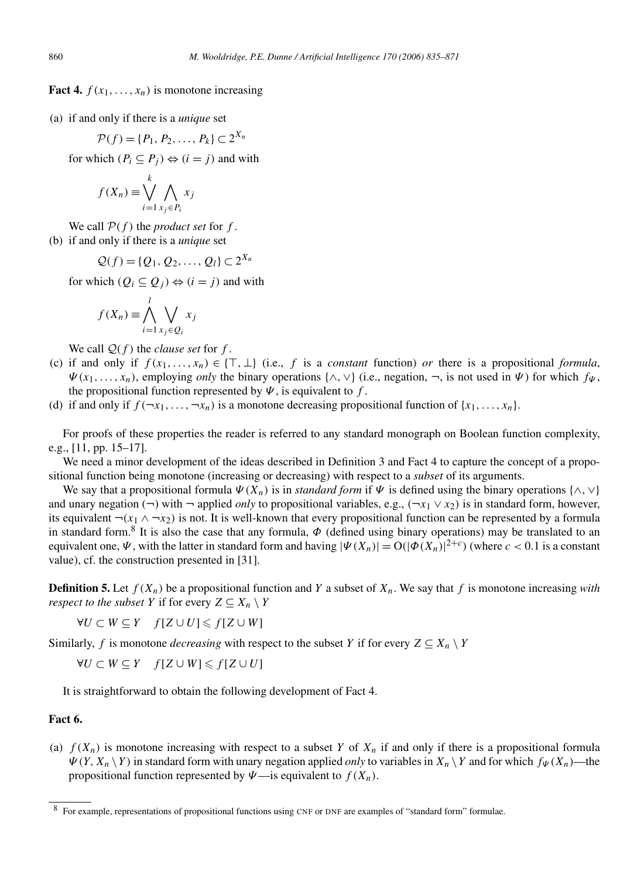**Fact 4.**  $f(x_1, \ldots, x_n)$  is monotone increasing

(a) if and only if there is a *unique* set

$$
\mathcal{P}(f) = \{P_1, P_2, \ldots, P_k\} \subset 2^{X_n}
$$

for which  $(P_i \subseteq P_j) \Leftrightarrow (i = j)$  and with

$$
f(X_n) \equiv \bigvee_{i=1}^k \bigwedge_{x_j \in P_i} x_j
$$

We call  $P(f)$  the *product set* for f.

(b) if and only if there is a *unique* set

$$
Q(f) = \{Q_1, Q_2, \ldots, Q_l\} \subset 2^{X_n}
$$

for which  $(Q_i \subseteq Q_j) \Leftrightarrow (i = j)$  and with

$$
f(X_n) \equiv \bigwedge_{i=1}^{l} \bigvee_{x_j \in Q_i} x_j
$$

We call  $Q(f)$  the *clause set* for  $f$ .

- (c) if and only if  $f(x_1,...,x_n) \in \{\top, \bot\}$  (i.e., *f* is a *constant* function) *or* there is a propositional *formula*,  $\Psi(x_1, \ldots, x_n)$ , employing *only* the binary operations { $\wedge$ ,  $\vee$ } (i.e., negation,  $\neg$ , is not used in  $\Psi$ ) for which  $f_{\Psi}$ , the propositional function represented by  $\Psi$ , is equivalent to  $f$ .
- (d) if and only if  $f(\neg x_1, \ldots, \neg x_n)$  is a monotone decreasing propositional function of  $\{x_1, \ldots, x_n\}$ .

For proofs of these properties the reader is referred to any standard monograph on Boolean function complexity, e.g., [11, pp. 15–17].

We need a minor development of the ideas described in Definition 3 and Fact 4 to capture the concept of a propositional function being monotone (increasing or decreasing) with respect to a *subset* of its arguments.

We say that a propositional formula  $\Psi(X_n)$  is in *standard form* if  $\Psi$  is defined using the binary operations {∧, ∨} and unary negation  $(\neg)$  with  $\neg$  applied *only* to propositional variables, e.g.,  $(\neg x_1 \lor x_2)$  is in standard form, however, its equivalent  $\neg(x_1 \land \neg x_2)$  is not. It is well-known that every propositional function can be represented by a formula in standard form.8 It is also the case that any formula, *Φ* (defined using binary operations) may be translated to an equivalent one,  $\Psi$ , with the latter in standard form and having  $|\Psi(X_n)| = O(|\Phi(X_n)|^{2+c})$  (where  $c < 0.1$  is a constant value), cf. the construction presented in [31].

**Definition 5.** Let  $f(X_n)$  be a propositional function and *Y* a subset of  $X_n$ . We say that f is monotone increasing *with respect to the subset Y* if for every  $Z \subseteq X_n \setminus Y$ 

 $\forall U \subset W \subseteq Y$  *f*[ $Z \cup U$ ] ≤ *f*[ $Z \cup W$ ]

Similarly, *f* is monotone *decreasing* with respect to the subset *Y* if for every  $Z \subseteq X_n \setminus Y$ 

 $\forall U \subset W \subseteq Y$  *f*[ $Z \cup W$ ] ≤ *f*[ $Z \cup U$ ]

It is straightforward to obtain the following development of Fact 4.

# **Fact 6.**

(a)  $f(X_n)$  is monotone increasing with respect to a subset *Y* of  $X_n$  if and only if there is a propositional formula *Ψ* (*Y, X<sub>n</sub>* \*Y*) in standard form with unary negation applied *only* to variables in  $X_n \ Y$  and for which  $f_\Psi(X_n)$ —the propositional function represented by  $\Psi$ —is equivalent to  $f(X_n)$ .

<sup>8</sup> For example, representations of propositional functions using CNF or DNF are examples of "standard form" formulae.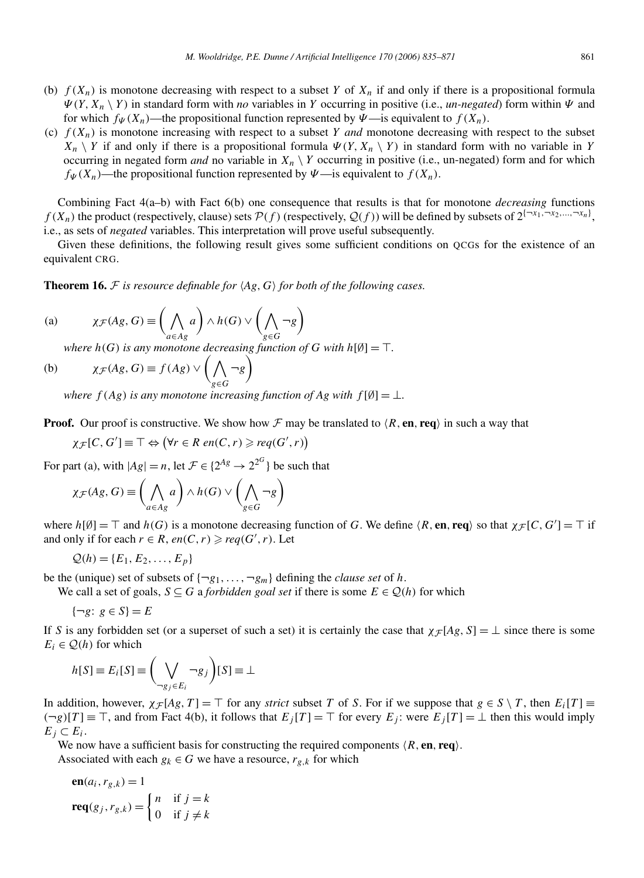- (b)  $f(X_n)$  is monotone decreasing with respect to a subset *Y* of  $X_n$  if and only if there is a propositional formula *Ψ* (*Y, X<sub>n</sub>* \ *Y*) in standard form with *no* variables in *Y* occurring in positive (i.e., *un-negated*) form within  $\Psi$  and for which  $f_{\Psi}(X_n)$ —the propositional function represented by  $\Psi$ —is equivalent to  $f(X_n)$ .
- (c)  $f(X_n)$  is monotone increasing with respect to a subset *Y* and monotone decreasing with respect to the subset  $X_n \setminus Y$  if and only if there is a propositional formula  $\Psi(Y, X_n \setminus Y)$  in standard form with no variable in *Y* occurring in negated form *and* no variable in  $X_n \setminus Y$  occurring in positive (i.e., un-negated) form and for which  $f_{\Psi}(X_n)$ —the propositional function represented by  $\Psi$ —is equivalent to  $f(X_n)$ .

Combining Fact 4(a–b) with Fact 6(b) one consequence that results is that for monotone *decreasing* functions  $f(X_n)$  the product (respectively, clause) sets  $P(f)$  (respectively,  $Q(f)$ ) will be defined by subsets of  $2^{\{-x_1, -x_2, ..., -x_n\}}$ , i.e., as sets of *negated* variables. This interpretation will prove useful subsequently.

Given these definitions, the following result gives some sufficient conditions on QCGs for the existence of an equivalent CRG.

**Theorem 16.** F is resource definable for  $\langle Ag, G \rangle$  for both of the following cases.

(a) 
$$
\chi_{\mathcal{F}}(Ag, G) \equiv \left(\bigwedge_{a \in Ag} a\right) \wedge h(G) \vee \left(\bigwedge_{g \in G} \neg g\right)
$$

*where*  $h(G)$  *is any monotone decreasing function of G with*  $h[\emptyset] = T$ .

(b) 
$$
\chi_{\mathcal{F}}(Ag, G) \equiv f(Ag) \vee \left(\bigwedge_{g \in G} \neg g\right)
$$

*where*  $f(Ag)$  *is any monotone increasing function of Ag with*  $f[\emptyset] = \bot$ *.* 

**Proof.** Our proof is constructive. We show how  $\mathcal F$  may be translated to  $\langle R, \textbf{en}, \textbf{req} \rangle$  in such a way that

$$
\chi_{\mathcal{F}}[C, G'] \equiv \top \Leftrightarrow (\forall r \in R \text{ en } (C, r) \geqslant \text{req}(G', r))
$$

For part (a), with  $|Ag| = n$ , let  $\mathcal{F} \in \{2^{Ag} \to 2^{2^G}\}\)$  be such that

$$
\chi_{\mathcal{F}}(Ag, G) \equiv \left(\bigwedge_{a \in Ag} a\right) \wedge h(G) \vee \left(\bigwedge_{g \in G} \neg g\right)
$$

where  $h[\emptyset] = \top$  and  $h(G)$  is a monotone decreasing function of *G*. We define  $\langle R, \text{en}, \text{req} \rangle$  so that  $\chi_{\mathcal{F}}[C, G'] = \top$  if and only if for each  $r \in R$ ,  $en(C, r) \geqslant req(G', r)$ . Let

$$
\mathcal{Q}(h) = \{E_1, E_2, \ldots, E_p\}
$$

be the (unique) set of subsets of  $\{\neg g_1, \ldots, \neg g_m\}$  defining the *clause set* of *h*.

We call a set of goals,  $S \subseteq G$  a *forbidden goal set* if there is some  $E \in \mathcal{Q}(h)$  for which

$$
\{\neg g \colon g \in S\} = E
$$

If *S* is any forbidden set (or a superset of such a set) it is certainly the case that  $\chi_F[A, S] = \bot$  since there is some  $E_i \in \mathcal{Q}(h)$  for which

$$
h[S] \equiv E_i[S] \equiv \left(\bigvee_{\neg g_j \in E_i} \neg g_j\right)[S] \equiv \bot
$$

In addition, however,  $\chi_F[Ag, T] = \top$  for any *strict* subset *T* of *S*. For if we suppose that  $g \in S \setminus T$ , then  $E_i[T] =$  $(¬g)[T] ≡ ⊤$ , and from Fact 4(b), it follows that  $E_i[T] = ⊤$  for every  $E_j$ : were  $E_j[T] = ⊥$  then this would imply  $E_j \subset E_i$ .

We now have a sufficient basis for constructing the required components  $(R, en, req)$ .

Associated with each  $g_k \in G$  we have a resource,  $r_{g,k}$  for which

$$
\mathbf{en}(a_i, r_{g,k}) = 1
$$
  

$$
\mathbf{req}(g_j, r_{g,k}) = \begin{cases} n & \text{if } j = k \\ 0 & \text{if } j \neq k \end{cases}
$$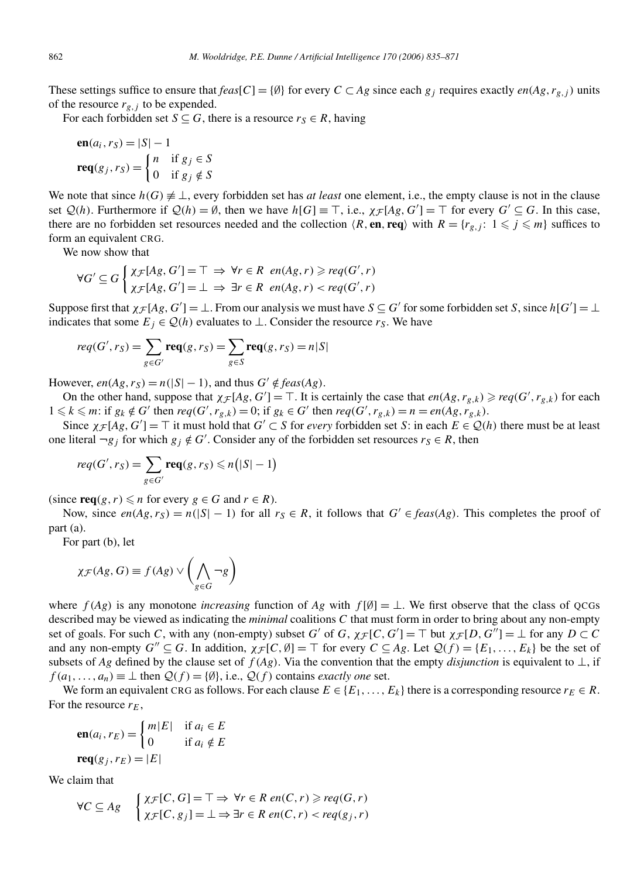These settings suffice to ensure that  $feas[C] = \{\emptyset\}$  for every  $C \subset Ag$  since each  $g_j$  requires exactly  $en(Ag, r_g, j)$  units of the resource  $r_{g,j}$  to be expended.

For each forbidden set *S*  $\subseteq$  *G*, there is a resource  $r_S \in R$ , having

$$
\mathbf{en}(a_i, r_S) = |S| - 1
$$
  

$$
\mathbf{req}(g_j, r_S) = \begin{cases} n & \text{if } g_j \in S \\ 0 & \text{if } g_j \notin S \end{cases}
$$

We note that since  $h(G) \neq \perp$ , every forbidden set has *at least* one element, i.e., the empty clause is not in the clause set  $Q(h)$ . Furthermore if  $Q(h) = \emptyset$ , then we have  $h[G] \equiv \top$ , i.e.,  $\chi_{\mathcal{F}}[Ag, G'] = \top$  for every  $G' \subseteq G$ . In this case, there are no forbidden set resources needed and the collection  $\langle R, \text{en}, \text{req} \rangle$  with  $R = \{r_{g,j}: 1 \leq j \leq m\}$  suffices to form an equivalent CRG.

We now show that

$$
\forall G' \subseteq G \left\{ \begin{aligned} \chi_{\mathcal{F}}[A g, G'] &= \top \implies \forall r \in R \quad en(A g, r) \geqslant req(G', r) \\ \chi_{\mathcal{F}}[A g, G'] &= \bot \implies \exists r \in R \quad en(A g, r) < req(G', r) \end{aligned} \right.
$$

Suppose first that  $\chi_F[Ag, G'] = \bot$ . From our analysis we must have  $S \subseteq G'$  for some forbidden set *S*, since  $h[G'] = \bot$ indicates that some  $E_j \in \mathcal{Q}(h)$  evaluates to  $\perp$ . Consider the resource  $r_S$ . We have

$$
req(G', r_S) = \sum_{g \in G'} \mathbf{req}(g, r_S) = \sum_{g \in S} \mathbf{req}(g, r_S) = n|S|
$$

However,  $en(Ag, r_S) = n(|S| - 1)$ , and thus  $G' \notin feas(Ag)$ .

On the other hand, suppose that  $\chi_F[Ag, G'] = \top$ . It is certainly the case that  $en(Ag, r_{g,k}) \geqslant req(G', r_{g,k})$  for each  $1 \leq k \leq m$ : if  $g_k \notin G'$  then  $req(G', r_{g,k}) = 0$ ; if  $g_k \in G'$  then  $req(G', r_{g,k}) = n = en(Ag, r_{g,k})$ .

Since  $\chi_F[Ag, G'] = \top$  it must hold that  $G' \subset S$  for *every* forbidden set *S*: in each  $E \in \mathcal{Q}(h)$  there must be at least one literal  $\neg g_j$  for which  $g_j \notin G'$ . Consider any of the forbidden set resources  $r_S \in R$ , then

$$
req(G', r_S) = \sum_{g \in G'} \mathbf{req}(g, r_S) \leqslant n(|S| - 1)
$$

(since **req** $(g, r) \le n$  for every  $g \in G$  and  $r \in R$ ).

Now, since  $en(Ag, r_S) = n(|S| - 1)$  for all  $r_S \in R$ , it follows that  $G' \in feas(Ag)$ . This completes the proof of part (a).

For part (b), let

$$
\chi_{\mathcal{F}}(Ag, G) \equiv f(Ag) \vee \left(\bigwedge_{g \in G} \neg g\right)
$$

where  $f(Ag)$  is any monotone *increasing* function of  $Ag$  with  $f[\emptyset] = \bot$ . We first observe that the class of QCGs described may be viewed as indicating the *minimal* coalitions *C* that must form in order to bring about any non-empty set of goals. For such *C*, with any (non-empty) subset *G'* of *G*,  $\chi_F[C, G'] = \top$  but  $\chi_F[D, G''] = \bot$  for any  $D \subset C$ and any non-empty  $G'' \subseteq G$ . In addition,  $\chi_{\mathcal{F}}[C, \emptyset] = \top$  for every  $C \subseteq Ag$ . Let  $\mathcal{Q}(f) = \{E_1, \ldots, E_k\}$  be the set of subsets of *Ag* defined by the clause set of  $f(Ag)$ . Via the convention that the empty *disjunction* is equivalent to  $\perp$ , if  $f(a_1, \ldots, a_n) \equiv \perp$  then  $\mathcal{Q}(f) = \{\emptyset\}$ , i.e.,  $\mathcal{Q}(f)$  contains *exactly one* set.

We form an equivalent CRG as follows. For each clause  $E \in \{E_1, \ldots, E_k\}$  there is a corresponding resource  $r_E \in R$ . For the resource  $r_E$ ,

$$
\mathbf{en}(a_i, r_E) = \begin{cases} m|E| & \text{if } a_i \in E \\ 0 & \text{if } a_i \notin E \end{cases}
$$

$$
\mathbf{req}(g_j, r_E) = |E|
$$

We claim that

$$
\forall C \subseteq Ag \quad \begin{cases} \chi_{\mathcal{F}}[C, G] = \top \Rightarrow \forall r \in R \text{ en}(C, r) \geqslant \text{req}(G, r) \\ \chi_{\mathcal{F}}[C, g_j] = \bot \Rightarrow \exists r \in R \text{ en}(C, r) < \text{req}(g_j, r) \end{cases}
$$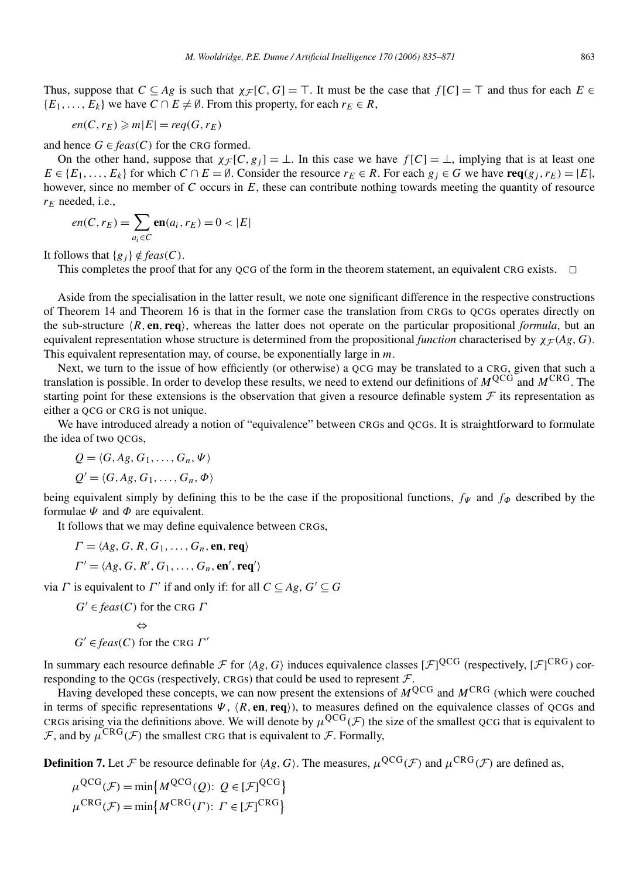Thus, suppose that  $C \subseteq Ag$  is such that  $\chi_F[C, G] = T$ . It must be the case that  $f[C] = T$  and thus for each  $E \in$  ${E_1, \ldots, E_k}$  we have  $C \cap E \neq \emptyset$ . From this property, for each  $r_E \in R$ ,

$$
en(C, r_E) \geqslant m|E| = \text{req}(G, r_E)
$$

and hence  $G \in \text{feas}(C)$  for the CRG formed.

On the other hand, suppose that  $\chi_F[C,g_i]=\perp$ . In this case we have  $f[C]=\perp$ , implying that is at least one  $E \in \{E_1, \ldots, E_k\}$  for which  $C \cap E = \emptyset$ . Consider the resource  $r_E \in R$ . For each  $g_i \in G$  we have **req** $(g_i, r_E) = |E|$ , however, since no member of *C* occurs in *E*, these can contribute nothing towards meeting the quantity of resource  $r_E$  needed, i.e.,

$$
en(C, r_E) = \sum_{a_i \in C} \mathbf{en}(a_i, r_E) = 0 < |E|
$$

It follows that  ${g_i} \notin \text{feas}(C)$ .

This completes the proof that for any OCG of the form in the theorem statement, an equivalent CRG exists.  $\Box$ 

Aside from the specialisation in the latter result, we note one significant difference in the respective constructions of Theorem 14 and Theorem 16 is that in the former case the translation from CRGs to QCGs operates directly on the sub-structure  $\langle R, en, req \rangle$ , whereas the latter does not operate on the particular propositional *formula*, but an equivalent representation whose structure is determined from the propositional *function* characterised by  $\chi_F(Ag, G)$ . This equivalent representation may, of course, be exponentially large in *m*.

Next, we turn to the issue of how efficiently (or otherwise) a QCG may be translated to a CRG, given that such a translation is possible. In order to develop these results, we need to extend our definitions of  $M^{QCG}$  and  $M^{CRG}$ . The starting point for these extensions is the observation that given a resource definable system  $\mathcal F$  its representation as either a QCG or CRG is not unique.

We have introduced already a notion of "equivalence" between CRGs and OCGs. It is straightforward to formulate the idea of two QCGs,

$$
Q = \langle G, Ag, G_1, \ldots, G_n, \Psi \rangle
$$

 $Q' = \langle G, Ag, G_1, \ldots, G_n, \Phi \rangle$ 

being equivalent simply by defining this to be the case if the propositional functions,  $f_\Psi$  and  $f_\phi$  described by the formulae *Ψ* and *Φ* are equivalent.

It follows that we may define equivalence between CRGs,

 $\Gamma = \langle Ag, G, R, G_1, \ldots, G_n, \textbf{en}, \textbf{req} \rangle$  $\Gamma' = \langle Ag, G, R', G_1, \ldots, G_n, \mathbf{en}', \mathbf{req}' \rangle$ 

via *Γ* is equivalent to *Γ'* if and only if: for all  $C \subseteq Ag$ ,  $G' \subseteq G$ 

$$
G' \in feas(C) \text{ for the CRG } \Gamma
$$
  

$$
\Leftrightarrow
$$
  

$$
G' \in feas(C) \text{ for the CRG } \Gamma'
$$

In summary each resource definable  $\mathcal F$  for  $\langle Ag, G \rangle$  induces equivalence classes  $[\mathcal F]^{\text{QCG}}$  (respectively,  $[\mathcal F]^{\text{CRG}}$ ) corresponding to the QCGs (respectively, CRGs) that could be used to represent F.

Having developed these concepts, we can now present the extensions of  $M^{\text{QCG}}$  and  $M^{\text{CRG}}$  (which were couched in terms of specific representations  $\Psi$ ,  $\langle R, en, req \rangle$ ), to measures defined on the equivalence classes of QCGs and CRGs arising via the definitions above. We will denote by  $\mu^{QCG}(\mathcal{F})$  the size of the smallest QCG that is equivalent to  $\mathcal{F}$ , and by  $\mu^{CRG}(\mathcal{F})$  the smallest CRG that is equivalent to  $\mathcal{F}$ . Formally,

**Definition 7.** Let F be resource definable for  $\langle Ag, G \rangle$ . The measures,  $\mu^{QCG}(\mathcal{F})$  and  $\mu^{CRG}(\mathcal{F})$  are defined as,

$$
\mu^{QCG}(\mathcal{F}) = \min\{M^{QCG}(Q): Q \in [\mathcal{F}]^{QCG}\}
$$

$$
\mu^{CRG}(\mathcal{F}) = \min\{M^{CRG}(T): T \in [\mathcal{F}]^{CRG}\}
$$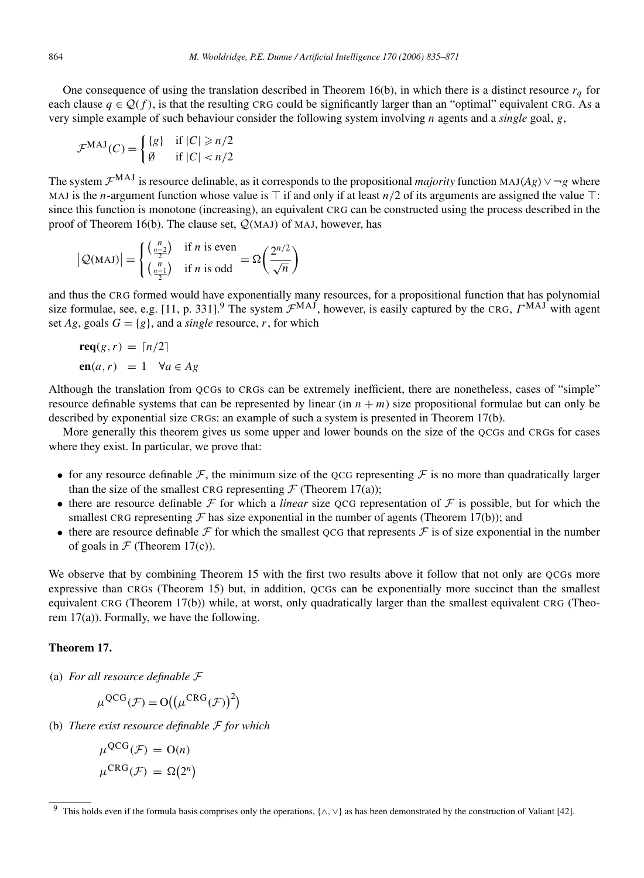One consequence of using the translation described in Theorem 16(b), in which there is a distinct resource  $r_q$  for each clause  $q \in \mathcal{Q}(f)$ , is that the resulting CRG could be significantly larger than an "optimal" equivalent CRG. As a very simple example of such behaviour consider the following system involving *n* agents and a *single* goal, *g*,

$$
\mathcal{F}^{\mathrm{MAJ}}(C) = \begin{cases} \{g\} & \text{if } |C| \ge n/2\\ \emptyset & \text{if } |C| < n/2 \end{cases}
$$

The system  $\mathcal{F}^{MAJ}$  is resource definable, as it corresponds to the propositional *majority* function MAJ(*Ag*)  $\vee \neg g$  where MAJ is the *n*-argument function whose value is  $\top$  if and only if at least  $n/2$  of its arguments are assigned the value  $\top$ : since this function is monotone (increasing), an equivalent CRG can be constructed using the process described in the proof of Theorem 16(b). The clause set, Q*(*MAJ*)* of MAJ, however, has

$$
|\mathcal{Q}(\text{MAJ})| = \begin{cases} \left(\frac{n}{2}\right) & \text{if } n \text{ is even} \\ \left(\frac{n}{2}\right) & \text{if } n \text{ is odd} \end{cases} = \Omega \left(\frac{2^{n/2}}{\sqrt{n}}\right)
$$

and thus the CRG formed would have exponentially many resources, for a propositional function that has polynomial size formulae, see, e.g. [11, p. 331].<sup>9</sup> The system  $\mathcal{F}^{MAJ}$ , however, is easily captured by the CRG,  $\Gamma^{MAJ}$  with agent set *Ag*, goals  $G = \{g\}$ , and a *single* resource, *r*, for which

$$
req(g, r) = \lceil n/2 \rceil
$$
  

$$
en(a, r) = 1 \quad \forall a \in Ag
$$

Although the translation from QCGs to CRGs can be extremely inefficient, there are nonetheless, cases of "simple" resource definable systems that can be represented by linear (in  $n + m$ ) size propositional formulae but can only be described by exponential size CRGs: an example of such a system is presented in Theorem 17(b).

More generally this theorem gives us some upper and lower bounds on the size of the QCGs and CRGs for cases where they exist. In particular, we prove that:

- for any resource definable  $\mathcal F$ , the minimum size of the OCG representing  $\mathcal F$  is no more than quadratically larger than the size of the smallest CRG representing  $\mathcal F$  (Theorem 17(a));
- there are resource definable  $\mathcal F$  for which a *linear* size OCG representation of  $\mathcal F$  is possible, but for which the smallest CRG representing  $\mathcal F$  has size exponential in the number of agents (Theorem 17(b)); and
- there are resource definable  $\mathcal F$  for which the smallest QCG that represents  $\mathcal F$  is of size exponential in the number of goals in  $\mathcal F$  (Theorem 17(c)).

We observe that by combining Theorem 15 with the first two results above it follow that not only are QCGs more expressive than CRGs (Theorem 15) but, in addition, QCGs can be exponentially more succinct than the smallest equivalent CRG (Theorem 17(b)) while, at worst, only quadratically larger than the smallest equivalent CRG (Theorem 17(a)). Formally, we have the following.

# **Theorem 17.**

(a) *For all resource definable* F

$$
\mu^{QCG}(\mathcal{F}) = O((\mu^{CRG}(\mathcal{F}))^2)
$$

(b) *There exist resource definable* F *for which*

$$
\mu^{QCG}(\mathcal{F}) = O(n)
$$

$$
\mu^{CRG}(\mathcal{F}) = \Omega(2^n)
$$

<sup>9</sup> This holds even if the formula basis comprises only the operations, {∧*,*∨} as has been demonstrated by the construction of Valiant [42].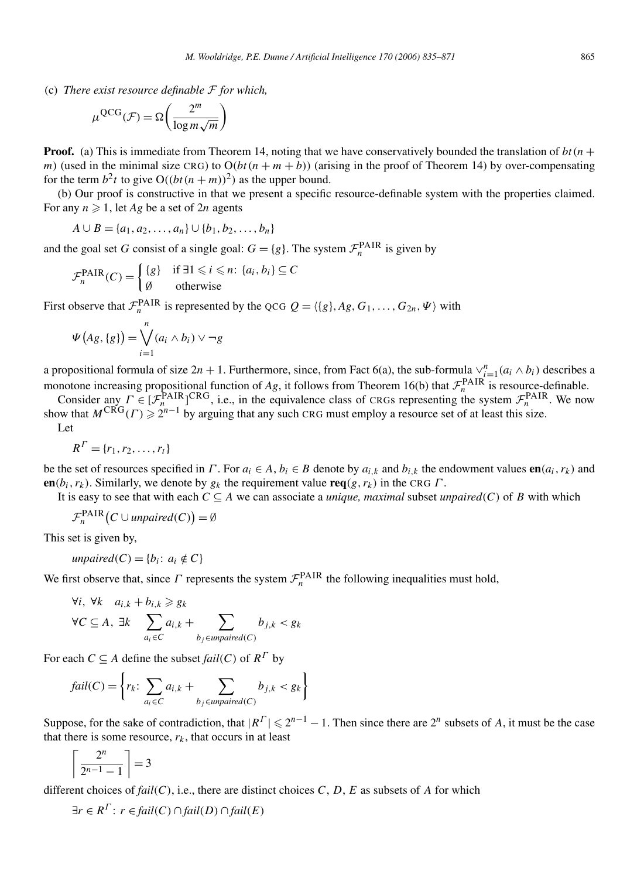(c) *There exist resource definable* F *for which,*

$$
\mu^{\text{QCG}}(\mathcal{F}) = \Omega\left(\frac{2^m}{\log m \sqrt{m}}\right)
$$

**Proof.** (a) This is immediate from Theorem 14, noting that we have conservatively bounded the translation of  $bt(n+1)$ *m*) (used in the minimal size CRG) to  $O(bt(n+m+b))$  (arising in the proof of Theorem 14) by over-compensating for the term  $b^2t$  to give  $O((bt(n+m))^2)$  as the upper bound.

(b) Our proof is constructive in that we present a specific resource-definable system with the properties claimed. For any  $n \ge 1$ , let *Ag* be a set of 2*n* agents

*A* ∪ *B* = { $a_1, a_2, ..., a_n$ }∪ { $b_1, b_2, ..., b_n$ }

and the goal set *G* consist of a single goal:  $G = \{g\}$ . The system  $\mathcal{F}_n^{\text{PAIR}}$  is given by

$$
\mathcal{F}_n^{\text{PAIR}}(C) = \begin{cases} \{g\} & \text{if } \exists 1 \leq i \leq n \colon \{a_i, b_i\} \subseteq C \\ \emptyset & \text{otherwise} \end{cases}
$$

First observe that  $\mathcal{F}_n^{\text{PAIR}}$  is represented by the QCG  $Q = \langle \{g\}, Ag, G_1, \dots, G_{2n}, \Psi \rangle$  with

$$
\Psi\big(Ag,\{g\}\big)=\bigvee_{i=1}^n(a_i\wedge b_i)\vee\neg g
$$

a propositional formula of size  $2n + 1$ . Furthermore, since, from Fact 6(a), the sub-formula  $\vee_{i=1}^{n} (a_i \wedge b_i)$  describes a monotone increasing propositional function of *Ag*, it follows from Theorem 16(b) that  $\mathcal{F}_n^{\text{PAIR}}$  is resource-definable.

Consider any  $\Gamma \in [\mathcal{F}_n^{\text{PAIR}}]^{\text{CRG}}$ , i.e., in the equivalence class of CRGs representing the system  $\mathcal{F}_n^{\text{PAIR}}$ . We now show that  $M<sup>CRG</sup>(\Gamma) \ge 2^{n-1}$  by arguing that any such CRG must employ a resource set of at least this size. Let

$$
R^{\Gamma} = \{r_1, r_2, \ldots, r_t\}
$$

be the set of resources specified in *Γ*. For  $a_i \in A$ ,  $b_i \in B$  denote by  $a_{i,k}$  and  $b_{i,k}$  the endowment values **en** $(a_i, r_k)$  and **en** $(b_i, r_k)$ . Similarly, we denote by  $g_k$  the requirement value **req** $(g, r_k)$  in the CRG *Γ*.

It is easy to see that with each  $C \subseteq A$  we can associate a *unique, maximal* subset *unpaired*(C) of *B* with which

$$
\mathcal{F}_n^{\text{PAIR}}(C \cup \text{unpaired}(C)) = \emptyset
$$

This set is given by,

*unpaired*(
$$
C
$$
) = { $b_i$ :  $a_i \notin C$ }

We first observe that, since  $\Gamma$  represents the system  $\mathcal{F}_n^{\text{PAIR}}$  the following inequalities must hold,

$$
\forall i, \forall k \quad a_{i,k} + b_{i,k} \ge g_k
$$
  
\n
$$
\forall C \subseteq A, \exists k \sum_{a_i \in C} a_{i,k} + \sum_{b_j \in unpaired(C)} b_{j,k} < g_k
$$

For each  $C \subseteq A$  define the subset *fail* $(C)$  of  $R^T$  by

$$
fail(C) = \left\{ r_k \colon \sum_{a_i \in C} a_{i,k} + \sum_{b_j \in unpaired(C)} b_{j,k} < g_k \right\}
$$

Suppose, for the sake of contradiction, that  $|R^{\Gamma}| \le 2^{n-1} - 1$ . Then since there are  $2^n$  subsets of *A*, it must be the case that there is some resource,  $r_k$ , that occurs in at least

$$
\left\lceil \frac{2^n}{2^{n-1}-1} \right\rceil = 3
$$

different choices of  $fail(C)$ , i.e., there are distinct choices C, D, E as subsets of A for which

$$
\exists r \in R^{\Gamma} \colon r \in fail(C) \cap fail(D) \cap fail(E)
$$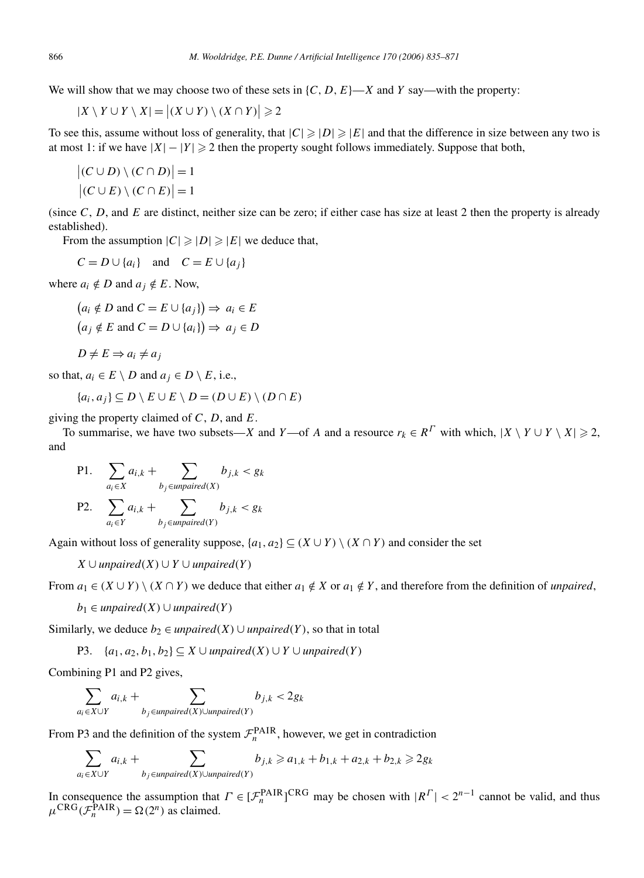We will show that we may choose two of these sets in  $\{C, D, E\}$ —*X* and *Y* say—with the property:

$$
|X \setminus Y \cup Y \setminus X| = |(X \cup Y) \setminus (X \cap Y)| \geqslant 2
$$

To see this, assume without loss of generality, that  $|C| \geq |D| \geq |E|$  and that the difference in size between any two is at most 1: if we have  $|X| - |Y| \ge 2$  then the property sought follows immediately. Suppose that both,

$$
\left| (C \cup D) \setminus (C \cap D) \right| = 1
$$
  

$$
\left| (C \cup E) \setminus (C \cap E) \right| = 1
$$

(since *C*, *D*, and *E* are distinct, neither size can be zero; if either case has size at least 2 then the property is already established).

From the assumption  $|C| \geq |D| \geq |E|$  we deduce that,

*C* = *D* ∪ {*a<sub>i</sub>*} and *C* = *E* ∪ {*a<sub>j</sub>*}

where  $a_i \notin D$  and  $a_j \notin E$ . Now,

$$
(a_i \notin D \text{ and } C = E \cup \{a_j\}) \Rightarrow a_i \in E
$$

$$
(a_j \notin E \text{ and } C = D \cup \{a_i\}) \Rightarrow a_j \in D
$$

$$
D \neq E \Rightarrow a_i \neq a_j
$$

so that,  $a_i \in E \setminus D$  and  $a_j \in D \setminus E$ , i.e.,

$$
\{a_i, a_j\} \subseteq D \setminus E \cup E \setminus D = (D \cup E) \setminus (D \cap E)
$$

giving the property claimed of *C*, *D*, and *E*.

To summarise, we have two subsets—*X* and *Y*—of *A* and a resource  $r_k \in R^{\Gamma}$  with which,  $|X \setminus Y \cup Y \setminus X| \ge 2$ , and

P1. 
$$
\sum_{a_i \in X} a_{i,k} + \sum_{b_j \in unpaired(X)} b_{j,k} < g_k
$$
\nP2. 
$$
\sum_{a_i \in Y} a_{i,k} + \sum_{b_j \in unpaired(Y)} b_{j,k} < g_k
$$

Again without loss of generality suppose,  $\{a_1, a_2\} \subseteq (X \cup Y) \setminus (X \cap Y)$  and consider the set

 $X$  ∪ *unpaired*(*X*) ∪ *Y* ∪ *unpaired*(*Y*)

From  $a_1 \in (X \cup Y) \setminus (X \cap Y)$  we deduce that either  $a_1 \notin X$  or  $a_1 \notin Y$ , and therefore from the definition of *unpaired*,

$$
b_1 \in \text{unpaired}(X) \cup \text{unpaired}(Y)
$$

Similarly, we deduce *b*<sub>2</sub> ∈ *unpaired*(*X*) ∪ *unpaired*(*Y*), so that in total

P3. { $a_1, a_2, b_1, b_2$ } ⊂ *X* ∪ *unpaired*(*X*) ∪ *Y* ∪ *unpaired*(*Y*)

Combining P1 and P2 gives,

$$
\sum_{a_i \in X \cup Y} a_{i,k} + \sum_{b_j \in unpaired(X) \cup unpaired(Y)} b_{j,k} < 2g_k
$$

From P3 and the definition of the system  $\mathcal{F}_n^{\text{PAIR}}$ , however, we get in contradiction

$$
\sum_{a_i \in X \cup Y} a_{i,k} + \sum_{b_j \in unpaired(X) \cup unpaired(Y)} b_{j,k} \geq a_{1,k} + b_{1,k} + a_{2,k} + b_{2,k} \geq 2g_k
$$

In consequence the assumption that  $\Gamma \in [\mathcal{F}_n^{\text{PAIR}}]^{\text{CRG}}$  may be chosen with  $|R^{\Gamma}| < 2^{n-1}$  cannot be valid, and thus  $\mu^{\text{CRG}}(\mathcal{F}_n^{\text{PAIR}}) = \Omega(2^n)$  as claimed.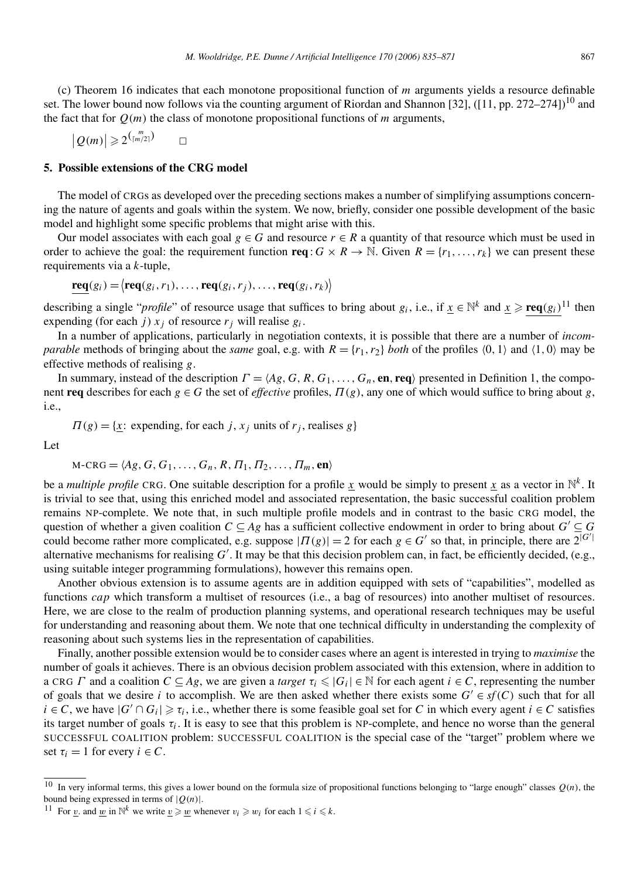(c) Theorem 16 indicates that each monotone propositional function of *m* arguments yields a resource definable set. The lower bound now follows via the counting argument of Riordan and Shannon [32], ([11, pp. 272–274])<sup>10</sup> and the fact that for  $Q(m)$  the class of monotone propositional functions of *m* arguments,

$$
|Q(m)| \geq 2^{\binom{m}{\lceil m/2 \rceil}} \qquad \square
$$

# **5. Possible extensions of the CRG model**

The model of CRGs as developed over the preceding sections makes a number of simplifying assumptions concerning the nature of agents and goals within the system. We now, briefly, consider one possible development of the basic model and highlight some specific problems that might arise with this.

Our model associates with each goal  $g \in G$  and resource  $r \in R$  a quantity of that resource which must be used in order to achieve the goal: the requirement function **req**:  $G \times R \to \mathbb{N}$ . Given  $R = \{r_1, \ldots, r_k\}$  we can present these requirements via a *k*-tuple,

$$
req(g_i) = \langle req(g_i, r_1), \dots, req(g_i, r_j), \dots, req(g_i, r_k) \rangle
$$

describing a single "*profile*" of resource usage that suffices to bring about  $g_i$ , i.e., if  $x \in \mathbb{N}^k$  and  $x \geq \text{req}(g_i)^{11}$  then expending (for each *j*)  $x_j$  of resource  $r_j$  will realise  $g_i$ .

In a number of applications, particularly in negotiation contexts, it is possible that there are a number of *incomparable* methods of bringing about the *same* goal, e.g. with  $R = \{r_1, r_2\}$  *both* of the profiles  $\langle 0, 1 \rangle$  and  $\langle 1, 0 \rangle$  may be effective methods of realising *g*.

In summary, instead of the description  $\Gamma = \langle Ag, G, R, G_1, \ldots, G_n \rangle$ , **en**, **req** $\rangle$  presented in Definition 1, the component **req** describes for each  $g \in G$  the set of *effective* profiles,  $\Pi(g)$ , any one of which would suffice to bring about *g*, i.e.,

 $\Pi(g) = \{x :$  expending, for each *j*,  $x_j$  units of  $r_j$ , realises *g*}

Let

$$
M-CRG = \langle Ag, G, G_1, \ldots, G_n, R, \Pi_1, \Pi_2, \ldots, \Pi_m, en \rangle
$$

be a *multiple profile* CRG. One suitable description for a profile *x* would be simply to present *x* as a vector in  $\mathbb{N}^k$ . It is trivial to see that, using this enriched model and associated representation, the basic successful coalition problem remains NP-complete. We note that, in such multiple profile models and in contrast to the basic CRG model, the question of whether a given coalition  $C \subseteq Ag$  has a sufficient collective endowment in order to bring about  $G' \subseteq G$ could become rather more complicated, e.g. suppose  $|T(g)| = 2$  for each  $g \in G'$  so that, in principle, there are  $2|G'|$ alternative mechanisms for realising G'. It may be that this decision problem can, in fact, be efficiently decided, (e.g., using suitable integer programming formulations), however this remains open.

Another obvious extension is to assume agents are in addition equipped with sets of "capabilities", modelled as functions *cap* which transform a multiset of resources (i.e., a bag of resources) into another multiset of resources. Here, we are close to the realm of production planning systems, and operational research techniques may be useful for understanding and reasoning about them. We note that one technical difficulty in understanding the complexity of reasoning about such systems lies in the representation of capabilities.

Finally, another possible extension would be to consider cases where an agent is interested in trying to *maximise* the number of goals it achieves. There is an obvious decision problem associated with this extension, where in addition to a CRG *Γ* and a coalition  $C \subseteq Ag$ , we are given a *target*  $\tau_i \leq |G_i| \in \mathbb{N}$  for each agent  $i \in C$ , representing the number of goals that we desire *i* to accomplish. We are then asked whether there exists some  $G' \in sf(C)$  such that for all  $i \in C$ , we have  $|G' \cap G_i| \geq \tau_i$ , i.e., whether there is some feasible goal set for *C* in which every agent  $i \in C$  satisfies its target number of goals  $\tau_i$ . It is easy to see that this problem is NP-complete, and hence no worse than the general SUCCESSFUL COALITION problem: SUCCESSFUL COALITION is the special case of the "target" problem where we set  $\tau_i = 1$  for every  $i \in C$ .

<sup>&</sup>lt;sup>10</sup> In very informal terms, this gives a lower bound on the formula size of propositional functions belonging to "large enough" classes  $Q(n)$ , the bound being expressed in terms of  $|O(n)|$ .

<sup>&</sup>lt;sup>11</sup> For <u>*v*</u>. and <u>*w*</u> in  $\mathbb{N}^k$  we write <u>*v*</u>  $\geq$  *w*<sub></sub> whenever *v*<sub>*i*</sub>  $\geq$  *w*<sub>*i*</sub> for each  $1 \leq i \leq k$ .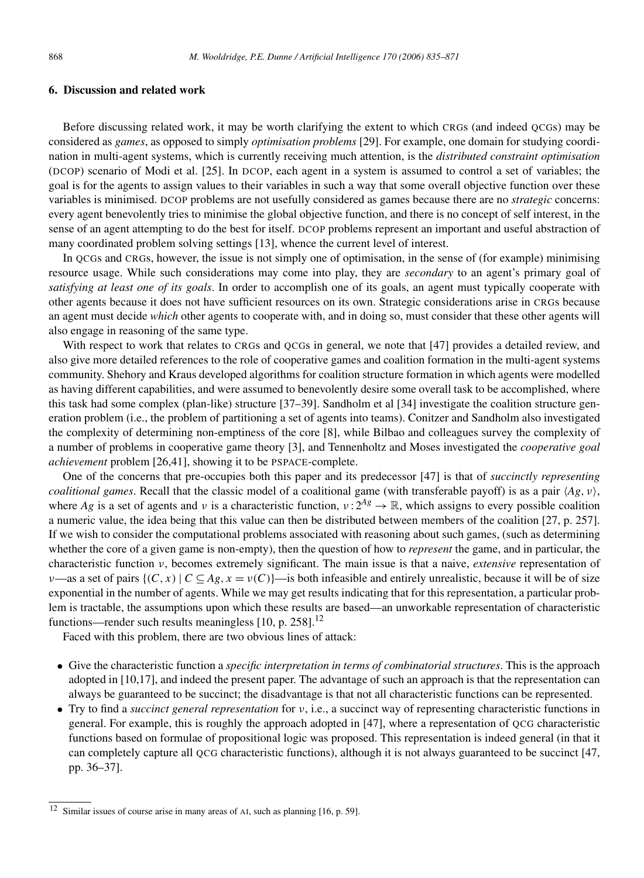## **6. Discussion and related work**

Before discussing related work, it may be worth clarifying the extent to which CRGs (and indeed QCGs) may be considered as *games*, as opposed to simply *optimisation problems* [29]. For example, one domain for studying coordination in multi-agent systems, which is currently receiving much attention, is the *distributed constraint optimisation* (DCOP) scenario of Modi et al. [25]. In DCOP, each agent in a system is assumed to control a set of variables; the goal is for the agents to assign values to their variables in such a way that some overall objective function over these variables is minimised. DCOP problems are not usefully considered as games because there are no *strategic* concerns: every agent benevolently tries to minimise the global objective function, and there is no concept of self interest, in the sense of an agent attempting to do the best for itself. DCOP problems represent an important and useful abstraction of many coordinated problem solving settings [13], whence the current level of interest.

In QCGs and CRGs, however, the issue is not simply one of optimisation, in the sense of (for example) minimising resource usage. While such considerations may come into play, they are *secondary* to an agent's primary goal of *satisfying at least one of its goals*. In order to accomplish one of its goals, an agent must typically cooperate with other agents because it does not have sufficient resources on its own. Strategic considerations arise in CRGs because an agent must decide *which* other agents to cooperate with, and in doing so, must consider that these other agents will also engage in reasoning of the same type.

With respect to work that relates to CRGs and QCGs in general, we note that [47] provides a detailed review, and also give more detailed references to the role of cooperative games and coalition formation in the multi-agent systems community. Shehory and Kraus developed algorithms for coalition structure formation in which agents were modelled as having different capabilities, and were assumed to benevolently desire some overall task to be accomplished, where this task had some complex (plan-like) structure [37–39]. Sandholm et al [34] investigate the coalition structure generation problem (i.e., the problem of partitioning a set of agents into teams). Conitzer and Sandholm also investigated the complexity of determining non-emptiness of the core [8], while Bilbao and colleagues survey the complexity of a number of problems in cooperative game theory [3], and Tennenholtz and Moses investigated the *cooperative goal achievement* problem [26,41], showing it to be PSPACE-complete.

One of the concerns that pre-occupies both this paper and its predecessor [47] is that of *succinctly representing coalitional games*. Recall that the classic model of a coalitional game (with transferable payoff) is as a pair *Ag,ν* , where *Ag* is a set of agents and *ν* is a characteristic function,  $v: 2^{4g} \to \mathbb{R}$ , which assigns to every possible coalition a numeric value, the idea being that this value can then be distributed between members of the coalition [27, p. 257]. If we wish to consider the computational problems associated with reasoning about such games, (such as determining whether the core of a given game is non-empty), then the question of how to *represent* the game, and in particular, the characteristic function *ν*, becomes extremely significant. The main issue is that a naive, *extensive* representation of *v*—as a set of pairs  $\{(C, x) | C \subseteq Ag, x = v(C)\}$ —is both infeasible and entirely unrealistic, because it will be of size exponential in the number of agents. While we may get results indicating that for this representation, a particular problem is tractable, the assumptions upon which these results are based—an unworkable representation of characteristic functions—render such results meaningless  $[10, p. 258]$ .<sup>12</sup>

Faced with this problem, there are two obvious lines of attack:

- Give the characteristic function a *specific interpretation in terms of combinatorial structures*. This is the approach adopted in [10,17], and indeed the present paper. The advantage of such an approach is that the representation can always be guaranteed to be succinct; the disadvantage is that not all characteristic functions can be represented.
- Try to find a *succinct general representation* for *ν*, i.e., a succinct way of representing characteristic functions in general. For example, this is roughly the approach adopted in [47], where a representation of QCG characteristic functions based on formulae of propositional logic was proposed. This representation is indeed general (in that it can completely capture all QCG characteristic functions), although it is not always guaranteed to be succinct [47, pp. 36–37].

<sup>12</sup> Similar issues of course arise in many areas of AI, such as planning [16, p. 59].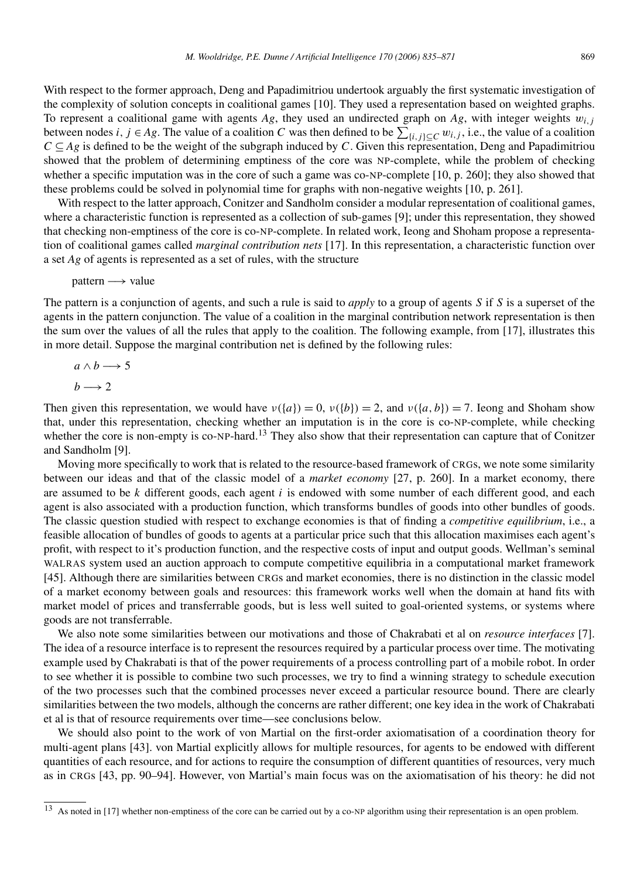With respect to the former approach, Deng and Papadimitriou undertook arguably the first systematic investigation of the complexity of solution concepts in coalitional games [10]. They used a representation based on weighted graphs. To represent a coalitional game with agents  $Ag$ , they used an undirected graph on  $Ag$ , with integer weights  $w_{i,j}$ between nodes *i*,  $j \in Ag$ . The value of a coalition *C* was then defined to be  $\sum_{\{i,j\} \subseteq C} w_{i,j}$ , i.e., the value of a coalition  $C \subseteq Ag$  is defined to be the weight of the subgraph induced by *C*. Given this representation, Deng and Papadimitriou showed that the problem of determining emptiness of the core was NP-complete, while the problem of checking whether a specific imputation was in the core of such a game was co-NP-complete [10, p. 260]; they also showed that these problems could be solved in polynomial time for graphs with non-negative weights [10, p. 261].

With respect to the latter approach, Conitzer and Sandholm consider a modular representation of coalitional games, where a characteristic function is represented as a collection of sub-games [9]; under this representation, they showed that checking non-emptiness of the core is co-NP-complete. In related work, Ieong and Shoham propose a representation of coalitional games called *marginal contribution nets* [17]. In this representation, a characteristic function over a set *Ag* of agents is represented as a set of rules, with the structure

pattern → value

The pattern is a conjunction of agents, and such a rule is said to *apply* to a group of agents *S* if *S* is a superset of the agents in the pattern conjunction. The value of a coalition in the marginal contribution network representation is then the sum over the values of all the rules that apply to the coalition. The following example, from [17], illustrates this in more detail. Suppose the marginal contribution net is defined by the following rules:

$$
a \wedge b \longrightarrow 5
$$

$$
b \longrightarrow 2
$$

Then given this representation, we would have  $v({a}) = 0$ ,  $v({b}) = 2$ , and  $v({a, b}) = 7$ . Ieong and Shoham show that, under this representation, checking whether an imputation is in the core is co-NP-complete, while checking whether the core is non-empty is  $co-NP$ -hard.<sup>13</sup> They also show that their representation can capture that of Conitzer and Sandholm [9].

Moving more specifically to work that is related to the resource-based framework of CRGs, we note some similarity between our ideas and that of the classic model of a *market economy* [27, p. 260]. In a market economy, there are assumed to be *k* different goods, each agent *i* is endowed with some number of each different good, and each agent is also associated with a production function, which transforms bundles of goods into other bundles of goods. The classic question studied with respect to exchange economies is that of finding a *competitive equilibrium*, i.e., a feasible allocation of bundles of goods to agents at a particular price such that this allocation maximises each agent's profit, with respect to it's production function, and the respective costs of input and output goods. Wellman's seminal WALRAS system used an auction approach to compute competitive equilibria in a computational market framework [45]. Although there are similarities between CRGs and market economies, there is no distinction in the classic model of a market economy between goals and resources: this framework works well when the domain at hand fits with market model of prices and transferrable goods, but is less well suited to goal-oriented systems, or systems where goods are not transferrable.

We also note some similarities between our motivations and those of Chakrabati et al on *resource interfaces* [7]. The idea of a resource interface is to represent the resources required by a particular process over time. The motivating example used by Chakrabati is that of the power requirements of a process controlling part of a mobile robot. In order to see whether it is possible to combine two such processes, we try to find a winning strategy to schedule execution of the two processes such that the combined processes never exceed a particular resource bound. There are clearly similarities between the two models, although the concerns are rather different; one key idea in the work of Chakrabati et al is that of resource requirements over time—see conclusions below.

We should also point to the work of von Martial on the first-order axiomatisation of a coordination theory for multi-agent plans [43]. von Martial explicitly allows for multiple resources, for agents to be endowed with different quantities of each resource, and for actions to require the consumption of different quantities of resources, very much as in CRGs [43, pp. 90–94]. However, von Martial's main focus was on the axiomatisation of his theory: he did not

<sup>&</sup>lt;sup>13</sup> As noted in [17] whether non-emptiness of the core can be carried out by a co-NP algorithm using their representation is an open problem.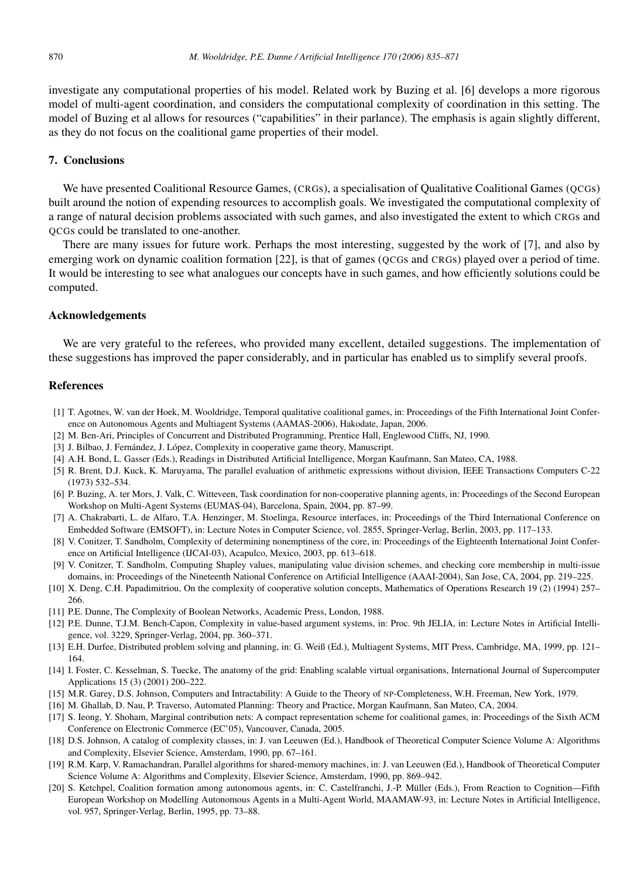investigate any computational properties of his model. Related work by Buzing et al. [6] develops a more rigorous model of multi-agent coordination, and considers the computational complexity of coordination in this setting. The model of Buzing et al allows for resources ("capabilities" in their parlance). The emphasis is again slightly different, as they do not focus on the coalitional game properties of their model.

## **7. Conclusions**

We have presented Coalitional Resource Games, (CRGs), a specialisation of Qualitative Coalitional Games (QCGs) built around the notion of expending resources to accomplish goals. We investigated the computational complexity of a range of natural decision problems associated with such games, and also investigated the extent to which CRGs and QCGs could be translated to one-another.

There are many issues for future work. Perhaps the most interesting, suggested by the work of [7], and also by emerging work on dynamic coalition formation [22], is that of games (QCGs and CRGs) played over a period of time. It would be interesting to see what analogues our concepts have in such games, and how efficiently solutions could be computed.

# **Acknowledgements**

We are very grateful to the referees, who provided many excellent, detailed suggestions. The implementation of these suggestions has improved the paper considerably, and in particular has enabled us to simplify several proofs.

## **References**

- [1] T. Agotnes, W. van der Hoek, M. Wooldridge, Temporal qualitative coalitional games, in: Proceedings of the Fifth International Joint Conference on Autonomous Agents and Multiagent Systems (AAMAS-2006), Hakodate, Japan, 2006.
- [2] M. Ben-Ari, Principles of Concurrent and Distributed Programming, Prentice Hall, Englewood Cliffs, NJ, 1990.
- [3] J. Bilbao, J. Fernández, J. López, Complexity in cooperative game theory, Manuscript.
- [4] A.H. Bond, L. Gasser (Eds.), Readings in Distributed Artificial Intelligence, Morgan Kaufmann, San Mateo, CA, 1988.
- [5] R. Brent, D.J. Kuck, K. Maruyama, The parallel evaluation of arithmetic expressions without division, IEEE Transactions Computers C-22 (1973) 532–534.
- [6] P. Buzing, A. ter Mors, J. Valk, C. Witteveen, Task coordination for non-cooperative planning agents, in: Proceedings of the Second European Workshop on Multi-Agent Systems (EUMAS-04), Barcelona, Spain, 2004, pp. 87–99.
- [7] A. Chakrabarti, L. de Alfaro, T.A. Henzinger, M. Stoelinga, Resource interfaces, in: Proceedings of the Third International Conference on Embedded Software (EMSOFT), in: Lecture Notes in Computer Science, vol. 2855, Springer-Verlag, Berlin, 2003, pp. 117–133.
- [8] V. Conitzer, T. Sandholm, Complexity of determining nonemptiness of the core, in: Proceedings of the Eighteenth International Joint Conference on Artificial Intelligence (IJCAI-03), Acapulco, Mexico, 2003, pp. 613–618.
- [9] V. Conitzer, T. Sandholm, Computing Shapley values, manipulating value division schemes, and checking core membership in multi-issue domains, in: Proceedings of the Nineteenth National Conference on Artificial Intelligence (AAAI-2004), San Jose, CA, 2004, pp. 219–225.
- [10] X. Deng, C.H. Papadimitriou, On the complexity of cooperative solution concepts, Mathematics of Operations Research 19 (2) (1994) 257– 266.
- [11] P.E. Dunne, The Complexity of Boolean Networks, Academic Press, London, 1988.
- [12] P.E. Dunne, T.J.M. Bench-Capon, Complexity in value-based argument systems, in: Proc. 9th JELIA, in: Lecture Notes in Artificial Intelligence, vol. 3229, Springer-Verlag, 2004, pp. 360–371.
- [13] E.H. Durfee, Distributed problem solving and planning, in: G. Weiß (Ed.), Multiagent Systems, MIT Press, Cambridge, MA, 1999, pp. 121– 164.
- [14] I. Foster, C. Kesselman, S. Tuecke, The anatomy of the grid: Enabling scalable virtual organisations, International Journal of Supercomputer Applications 15 (3) (2001) 200–222.
- [15] M.R. Garey, D.S. Johnson, Computers and Intractability: A Guide to the Theory of NP-Completeness, W.H. Freeman, New York, 1979.
- [16] M. Ghallab, D. Nau, P. Traverso, Automated Planning: Theory and Practice, Morgan Kaufmann, San Mateo, CA, 2004.
- [17] S. Ieong, Y. Shoham, Marginal contribution nets: A compact representation scheme for coalitional games, in: Proceedings of the Sixth ACM Conference on Electronic Commerce (EC'05), Vancouver, Canada, 2005.
- [18] D.S. Johnson, A catalog of complexity classes, in: J. van Leeuwen (Ed.), Handbook of Theoretical Computer Science Volume A: Algorithms and Complexity, Elsevier Science, Amsterdam, 1990, pp. 67–161.
- [19] R.M. Karp, V. Ramachandran, Parallel algorithms for shared-memory machines, in: J. van Leeuwen (Ed.), Handbook of Theoretical Computer Science Volume A: Algorithms and Complexity, Elsevier Science, Amsterdam, 1990, pp. 869–942.
- [20] S. Ketchpel, Coalition formation among autonomous agents, in: C. Castelfranchi, J.-P. Müller (Eds.), From Reaction to Cognition—Fifth European Workshop on Modelling Autonomous Agents in a Multi-Agent World, MAAMAW-93, in: Lecture Notes in Artificial Intelligence, vol. 957, Springer-Verlag, Berlin, 1995, pp. 73–88.